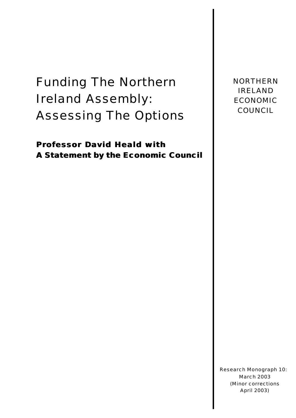Funding The Northern Ireland Assembly: Assessing The Options

**Professor David Heald with A Statement by the Economic Council** NORTHERN IRELAND ECONOMIC COUNCIL

Research Monograph 10: March 2003 (Minor corrections April 2003)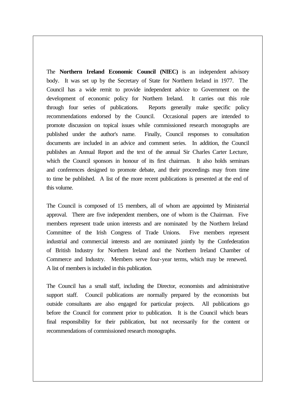The **Northern Ireland Economic Council (NIEC)** is an independent advisory body. It was set up by the Secretary of State for Northern Ireland in 1977. The Council has a wide remit to provide independent advice to Government on the development of economic policy for Northern Ireland. It carries out this role through four series of publications. Reports generally make specific policy recommendations endorsed by the Council. Occasional papers are intended to promote discussion on topical issues while commissioned research monographs are published under the author's name. Finally, Council responses to consultation documents are included in an advice and comment series. In addition, the Council publishes an Annual Report and the text of the annual Sir Charles Carter Lecture, which the Council sponsors in honour of its first chairman. It also holds seminars and conferences designed to promote debate, and their proceedings may from time to time be published. A list of the more recent publications is presented at the end of this volume.

The Council is composed of 15 members, all of whom are appointed by Ministerial approval. There are five independent members, one of whom is the Chairman. Five members represent trade union interests and are nominated by the Northern Ireland Committee of the Irish Congress of Trade Unions. Five members represent industrial and commercial interests and are nominated jointly by the Confederation of British Industry for Northern Ireland and the Northern Ireland Chamber of Commerce and Industry. Members serve four-year terms, which may be renewed. A list of members is included in this publication.

The Council has a small staff, including the Director, economists and administrative support staff. Council publications are normally prepared by the economists but outside consultants are also engaged for particular projects. All publications go before the Council for comment prior to publication. It is the Council which bears final responsibility for their publication, but not necessarily for the content or recommendations of commissioned research monographs.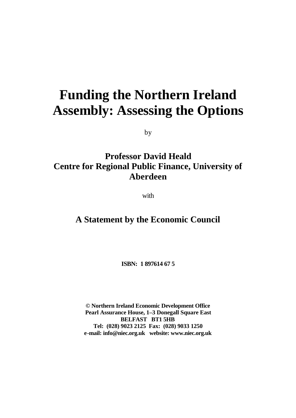# **Funding the Northern Ireland Assembly: Assessing the Options**

by

# **Professor David Heald Centre for Regional Public Finance, University of Aberdeen**

with

# **A Statement by the Economic Council**

**ISBN: 1 897614 67 5**

**© Northern Ireland Economic Development Office Pearl Assurance House, 1–3 Donegall Square East BELFAST BT1 5HB Tel: (028) 9023 2125 Fax: (028) 9033 1250 e-mail: info@niec.org.uk website: www.niec.org.uk**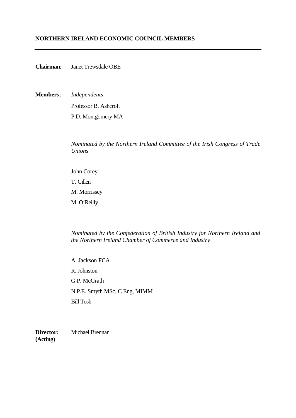## **NORTHERN IRELAND ECONOMIC COUNCIL MEMBERS**

**Chairman**: Janet Trewsdale OBE

**Members**: *Independents* Professor B. Ashcroft P.D. Montgomery MA

> *Nominated by the Northern Ireland Committee of the Irish Congress of Trade Unions*

John Corey T. Gillen M. Morrissey M. O'Reilly

*Nominated by the Confederation of British Industry for Northern Ireland and the Northern Ireland Chamber of Commerce and Industry*

A. Jackson FCA R. Johnston G.P. McGrath N.P.E. Smyth MSc, C Eng, MIMM Bill Tosh

**Director:** Michael Brennan **(Acting)**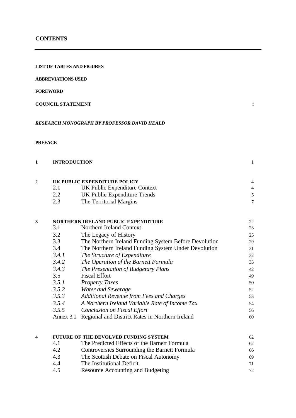### **CONTENTS**

### **LIST OF TABLES AND FIGURES**

**ABBREVIATIONS USED**

### **FOREWORD**

### **COUNCIL STATEMENT** i

### *RESEARCH MONOGRAPH BY PROFESSOR DAVID HEALD*

### **PREFACE**

| <b>INTRODUCTION</b>          |                               |  |
|------------------------------|-------------------------------|--|
| UK PUBLIC EXPENDITURE POLICY |                               |  |
|                              | UK Public Expenditure Context |  |

|     | UK Public Expenditure Trends |  |
|-----|------------------------------|--|
| 2.3 | The Territorial Margins      |  |

# **3 NORTHERN IRELAND PUBLIC EXPENDITURE** 22<br>
22<br>
23<br>
23

| 3.1       | Northern Ireland Context                              | 23 |
|-----------|-------------------------------------------------------|----|
| 3.2       | The Legacy of History                                 | 25 |
| 3.3       | The Northern Ireland Funding System Before Devolution | 29 |
| 3.4       | The Northern Ireland Funding System Under Devolution  | 31 |
| 3.4.1     | The Structure of Expenditure                          | 32 |
| 3.4.2     | The Operation of the Barnett Formula                  | 33 |
| 3.4.3     | The Presentation of Budgetary Plans                   | 42 |
| 3.5       | <b>Fiscal Effort</b>                                  | 49 |
| 3.5.1     | <b>Property Taxes</b>                                 | 50 |
| 3.5.2     | Water and Sewerage                                    | 52 |
| 3.5.3     | <b>Additional Revenue from Fees and Charges</b>       | 53 |
| 3.5.4     | A Northern Ireland Variable Rate of Income Tax        | 54 |
| 3.5.5     | <b>Conclusion on Fiscal Effort</b>                    | 56 |
| Annex 3.1 | Regional and District Rates in Northern Ireland       | 60 |
|           |                                                       |    |

### **4 FUTURE OF THE DEVOLVED FUNDING SYSTEM** 62 4.1 The Predicted Effects of the Barnett Formula 62 4.2 Controversies Surrounding the Barnett Formula 66 4.3 The Scottish Debate on Fiscal Autonomy 69 4.4 The Institutional Deficit 71 4.5 Resource Accounting and Budgeting 72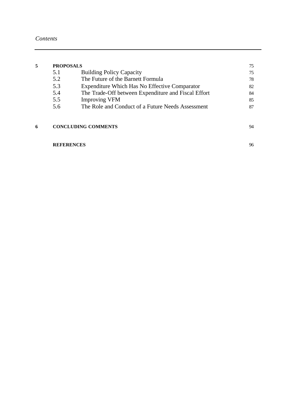| 5 | <b>PROPOSALS</b> |                                                      | 75 |
|---|------------------|------------------------------------------------------|----|
|   | 5.1              | <b>Building Policy Capacity</b>                      | 75 |
|   | 5.2              | The Future of the Barnett Formula                    | 78 |
|   | 5.3              | <b>Expenditure Which Has No Effective Comparator</b> | 82 |
|   | 5.4              | The Trade-Off between Expenditure and Fiscal Effort  | 84 |
|   | 5.5              | <b>Improving VFM</b>                                 | 85 |
|   | 5.6              | The Role and Conduct of a Future Needs Assessment    | 87 |
|   |                  |                                                      |    |
| 6 |                  | <b>CONCLUDING COMMENTS</b>                           | 94 |

### **REFERENCES** 96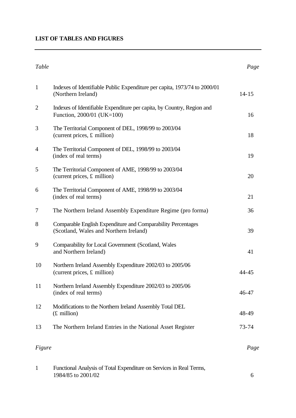### **LIST OF TABLES AND FIGURES**

# *Table Page* 1 Indexes of Identifiable Public Expenditure per capita, 1973/74 to 2000/01 (Northern Ireland) 14-15 2 Indexes of Identifiable Expenditure per capita, by Country, Region and Function, 2000/01 (UK=100) 16 3 The Territorial Component of DEL, 1998/99 to 2003/04 (current prices,  $\pounds$  million) 18 4 The Territorial Component of DEL, 1998/99 to 2003/04 (index of real terms) 19 5 The Territorial Component of AME, 1998/99 to 2003/04 (current prices, £ million) 20 6 The Territorial Component of AME, 1998/99 to 2003/04 (index of real terms) 21 7 The Northern Ireland Assembly Expenditure Regime (pro forma) 36 8 Comparable English Expenditure and Comparability Percentages (Scotland, Wales and Northern Ireland) 39 9 Comparability for Local Government (Scotland, Wales and Northern Ireland) 41 10 Northern Ireland Assembly Expenditure 2002/03 to 2005/06 (current prices,  $\pounds$  million)  $44-45$ 11 Northern Ireland Assembly Expenditure 2002/03 to 2005/06 (index of real terms) 46-47 12 Modifications to the Northern Ireland Assembly Total DEL  $(f. \text{ million})$  48-49 13 The Northern Ireland Entries in the National Asset Register 73-74 *Figure* Page

| Functional Analysis of Total Expenditure on Services in Real Terms, |  |
|---------------------------------------------------------------------|--|
| 1984/85 to 2001/02                                                  |  |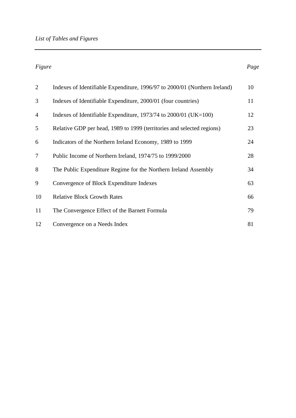*Figure* Page

| 2              | Indexes of Identifiable Expenditure, 1996/97 to 2000/01 (Northern Ireland) | 10 |
|----------------|----------------------------------------------------------------------------|----|
| 3              | Indexes of Identifiable Expenditure, 2000/01 (four countries)              | 11 |
| $\overline{4}$ | Indexes of Identifiable Expenditure, $1973/74$ to $2000/01$ (UK=100)       | 12 |
| 5              | Relative GDP per head, 1989 to 1999 (territories and selected regions)     | 23 |
| 6              | Indicators of the Northern Ireland Economy, 1989 to 1999                   | 24 |
| 7              | Public Income of Northern Ireland, 1974/75 to 1999/2000                    | 28 |
| 8              | The Public Expenditure Regime for the Northern Ireland Assembly            | 34 |
| 9              | Convergence of Block Expenditure Indexes                                   | 63 |
| 10             | <b>Relative Block Growth Rates</b>                                         | 66 |
| 11             | The Convergence Effect of the Barnett Formula                              | 79 |
| 12             | Convergence on a Needs Index                                               | 81 |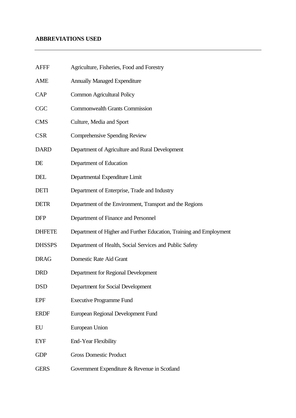## **ABBREVIATIONS USED**

| <b>AFFF</b>   | Agriculture, Fisheries, Food and Forestry                           |
|---------------|---------------------------------------------------------------------|
| AME           | <b>Annually Managed Expenditure</b>                                 |
| <b>CAP</b>    | <b>Common Agricultural Policy</b>                                   |
| <b>CGC</b>    | <b>Commonwealth Grants Commission</b>                               |
| <b>CMS</b>    | Culture, Media and Sport                                            |
| <b>CSR</b>    | Comprehensive Spending Review                                       |
| <b>DARD</b>   | Department of Agriculture and Rural Development                     |
| DE            | Department of Education                                             |
| DEL           | Departmental Expenditure Limit                                      |
| <b>DETI</b>   | Department of Enterprise, Trade and Industry                        |
| <b>DETR</b>   | Department of the Environment, Transport and the Regions            |
| <b>DFP</b>    | Department of Finance and Personnel                                 |
| <b>DHFETE</b> | Department of Higher and Further Education, Training and Employment |
| <b>DHSSPS</b> | Department of Health, Social Services and Public Safety             |
| <b>DRAG</b>   | Domestic Rate Aid Grant                                             |
| <b>DRD</b>    | Department for Regional Development                                 |
| <b>DSD</b>    | Department for Social Development                                   |
| <b>EPF</b>    | <b>Executive Programme Fund</b>                                     |
| <b>ERDF</b>   | European Regional Development Fund                                  |
| EU            | European Union                                                      |
| <b>EYF</b>    | <b>End-Year Flexibility</b>                                         |
| <b>GDP</b>    | <b>Gross Domestic Product</b>                                       |
| <b>GERS</b>   | Government Expenditure & Revenue in Scotland                        |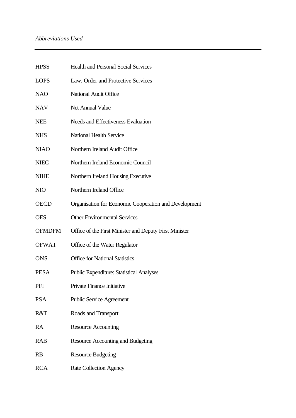## *Abbreviations Used*

| <b>HPSS</b>   | <b>Health and Personal Social Services</b>             |
|---------------|--------------------------------------------------------|
| <b>LOPS</b>   | Law, Order and Protective Services                     |
| <b>NAO</b>    | <b>National Audit Office</b>                           |
| <b>NAV</b>    | Net Annual Value                                       |
| <b>NEE</b>    | Needs and Effectiveness Evaluation                     |
| <b>NHS</b>    | <b>National Health Service</b>                         |
| <b>NIAO</b>   | Northern Ireland Audit Office                          |
| <b>NIEC</b>   | Northern Ireland Economic Council                      |
| <b>NIHE</b>   | Northern Ireland Housing Executive                     |
| <b>NIO</b>    | Northern Ireland Office                                |
| <b>OECD</b>   | Organisation for Economic Cooperation and Development  |
| <b>OES</b>    | <b>Other Environmental Services</b>                    |
| <b>OFMDFM</b> | Office of the First Minister and Deputy First Minister |
| <b>OFWAT</b>  | Office of the Water Regulator                          |
| <b>ONS</b>    | <b>Office for National Statistics</b>                  |
| <b>PESA</b>   | <b>Public Expenditure: Statistical Analyses</b>        |
| PFI           | Private Finance Initiative                             |
| <b>PSA</b>    | <b>Public Service Agreement</b>                        |
| R&T           | Roads and Transport                                    |
| RA            | <b>Resource Accounting</b>                             |
| <b>RAB</b>    | Resource Accounting and Budgeting                      |
| <b>RB</b>     | <b>Resource Budgeting</b>                              |
| <b>RCA</b>    | <b>Rate Collection Agency</b>                          |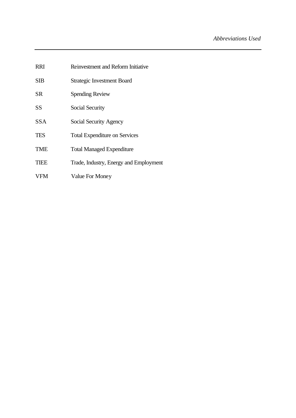RRI Reinvestment and Reform Initiative SIB Strategic Investment Board SR Spending Review SS Social Security SSA Social Security Agency TES Total Expenditure on Services TME Total Managed Expenditure TIEE Trade, Industry, Energy and Employment VFM Value For Money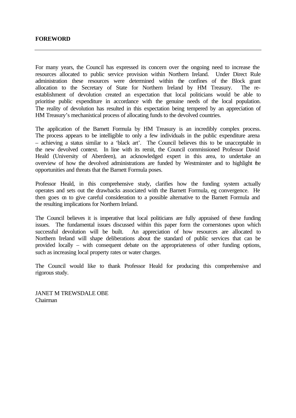For many years, the Council has expressed its concern over the ongoing need to increase the resources allocated to public service provision within Northern Ireland. Under Direct Rule administration these resources were determined within the confines of the Block grant allocation to the Secretary of State for Northern Ireland by HM Treasury. The reestablishment of devolution created an expectation that local politicians would be able to prioritise public expenditure in accordance with the genuine needs of the local population. The reality of devolution has resulted in this expectation being tempered by an appreciation of HM Treasury's mechanistical process of allocating funds to the devolved countries.

The application of the Barnett Formula by HM Treasury is an incredibly complex process. The process appears to be intelligible to only a few individuals in the public expenditure arena – achieving a status similar to a 'black art'. The Council believes this to be unacceptable in the new devolved context. In line with its remit, the Council commissioned Professor David Heald (University of Aberdeen), an acknowledged expert in this area, to undertake an overview of how the devolved administrations are funded by Westminster and to highlight the opportunities and threats that the Barnett Formula poses.

Professor Heald, in this comprehensive study, clarifies how the funding system actually operates and sets out the drawbacks associated with the Barnett Formula, eg convergence. He then goes on to give careful consideration to a possible alternative to the Barnett Formula and the resulting implications for Northern Ireland.

The Council believes it is imperative that local politicians are fully appraised of these funding issues. The fundamental issues discussed within this paper form the cornerstones upon which successful devolution will be built. An appreciation of how resources are allocated to Northern Ireland will shape deliberations about the standard of public services that can be provided locally – with consequent debate on the appropriateness of other funding options, such as increasing local property rates or water charges.

The Council would like to thank Professor Heald for producing this comprehensive and rigorous study.

JANET M TREWSDALE OBE Chairman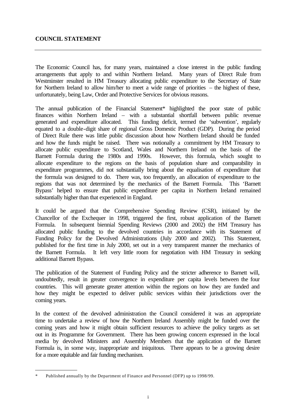### **COUNCIL STATEMENT**

The Economic Council has, for many years, maintained a close interest in the public funding arrangements that apply to and within Northern Ireland. Many years of Direct Rule from Westminster resulted in HM Treasury allocating public expenditure to the Secretary of State for Northern Ireland to allow him/her to meet a wide range of priorities – the highest of these, unfortunately, being Law, Order and Protective Services for obvious reasons.

The annual publication of the Financial Statement\* highlighted the poor state of public finances within Northern Ireland – with a substantial shortfall between public revenue generated and expenditure allocated. This funding deficit, termed the 'subvention', regularly equated to a double-digit share of regional Gross Domestic Product (GDP). During the period of Direct Rule there was little public discussion about how Northern Ireland should be funded and how the funds might be raised. There was notionally a commitment by HM Treasury to allocate public expenditure to Scotland, Wales and Northern Ireland on the basis of the Barnett Formula during the 1980s and 1990s. However, this formula, which sought to allocate expenditure to the regions on the basis of population share and comparability in expenditure programmes, did not substantially bring about the equalisation of expenditure that the formula was designed to do. There was, too frequently, an allocation of expenditure to the regions that was not determined by the mechanics of the Barnett Formula. This 'Barnett Bypass' helped to ensure that public expenditure per capita in Northern Ireland remained substantially higher than that experienced in England.

It could be argued that the Comprehensive Spending Review (CSR), initiated by the Chancellor of the Exchequer in 1998, triggered the first, robust application of the Barnett Formula. In subsequent biennial Spending Reviews (2000 and 2002) the HM Treasury has allocated public funding to the devolved countries in accordance with its Statement of Funding Policy for the Devolved Administrations (July 2000 and 2002). This Statement, published for the first time in July 2000, set out in a very transparent manner the mechanics of the Barnett Formula. It left very little room for negotiation with HM Treasury in seeking additional Barnett Bypass.

The publication of the Statement of Funding Policy and the stricter adherence to Barnett will, undoubtedly, result in greater convergence in expenditure per capita levels between the four countries. This will generate greater attention within the regions on how they are funded and how they might be expected to deliver public services within their jurisdictions over the coming years.

In the context of the devolved administration the Council considered it was an appropriate time to undertake a review of how the Northern Ireland Assembly might be funded over the coming years and how it might obtain sufficient resources to achieve the policy targets as set out in its Programme for Government. There has been growing concern expressed in the local media by devolved Ministers and Assembly Members that the application of the Barnett Formula is, in some way, inappropriate and iniquitous. There appears to be a growing desire for a more equitable and fair funding mechanism.

Published annually by the Department of Finance and Personnel (DFP) up to 1998/99.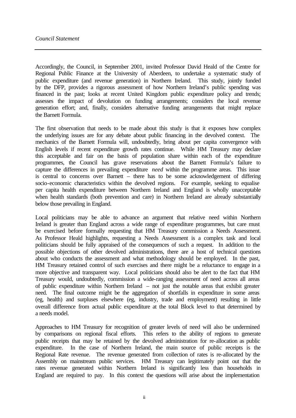Accordingly, the Council, in September 2001, invited Professor David Heald of the Centre for Regional Public Finance at the University of Aberdeen, to undertake a systematic study of public expenditure (and revenue generation) in Northern Ireland. This study, jointly funded by the DFP, provides a rigorous assessment of how Northern Ireland's public spending was financed in the past; looks at recent United Kingdom public expenditure policy and trends; assesses the impact of devolution on funding arrangements; considers the local revenue generation effort; and, finally, considers alternative funding arrangements that might replace the Barnett Formula.

The first observation that needs to be made about this study is that it exposes how complex the underlying issues are for any debate about public financing in the devolved context. The mechanics of the Barnett Formula will, undoubtedly, bring about per capita convergence with English levels if recent expenditure growth rates continue. While HM Treasury may declare this acceptable and fair on the basis of population share within each of the expenditure programmes, the Council has grave reservations about the Barnett Formula's failure to capture the differences in prevailing expenditure *need* within the programme areas. This issue is central to concerns over Barnett – there has to be some acknowledgement of differing socio-economic characteristics within the devolved regions. For example, seeking to equalise per capita health expenditure between Northern Ireland and England is wholly unacceptable when health standards (both prevention and care) in Northern Ireland are already substantially below those prevailing in England.

Local politicians may be able to advance an argument that relative need within Northern Ireland is greater than England across a wide range of expenditure programmes, but care must be exercised before formally requesting that HM Treasury commission a Needs Assessment. As Professor Heald highlights, requesting a Needs Assessment is a complex task and local politicians should be fully appraised of the consequences of such a request. In addition to the possible objections of other devolved administrations, there are a host of technical questions about who conducts the assessment and what methodology should be employed. In the past, HM Treasury retained control of such exercises and there might be a reluctance to engage in a more objective and transparent way. Local politicians should also be alert to the fact that HM Treasury would, undoubtedly, commission a wide-ranging assessment of need across all areas of public expenditure within Northern Ireland – not just the notable areas that exhibit greater need. The final outcome might be the aggregation of shortfalls in expenditure in some areas (eg, health) and surpluses elsewhere (eg, industry, trade and employment) resulting in little overall difference from actual public expenditure at the total Block level to that determined by a needs model.

Approaches to HM Treasury for recognition of greater levels of need will also be undermined by comparisons on regional fiscal efforts. This refers to the ability of regions to generate public receipts that may be retained by the devolved administration for re-allocation as public expenditure. In the case of Northern Ireland, the main source of public receipts is the Regional Rate revenue. The revenue generated from collection of rates is re-allocated by the Assembly on mainstream public services. HM Treasury can legitimately point out that the rates revenue generated within Northern Ireland is significantly less than households in England are required to pay. In this context the questions will arise about the implementation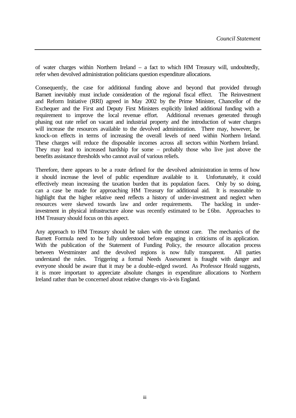of water charges within Northern Ireland – a fact to which HM Treasury will, undoubtedly, refer when devolved administration politicians question expenditure allocations.

Consequently, the case for additional funding above and beyond that provided through Barnett inevitably must include consideration of the regional fiscal effect. The Reinvestment and Reform Initiative (RRI) agreed in May 2002 by the Prime Minister, Chancellor of the Exchequer and the First and Deputy First Ministers explicitly linked additional funding with a requirement to improve the local revenue effort. Additional revenues generated through phasing out rate relief on vacant and industrial property and the introduction of water charges will increase the resources available to the devolved administration. There may, however, be knock-on effects in terms of increasing the overall levels of need within Northern Ireland. These charges will reduce the disposable incomes across all sectors within Northern Ireland. They may lead to increased hardship for some – probably those who live just above the benefits assistance thresholds who cannot avail of various reliefs.

Therefore, there appears to be a route defined for the devolved administration in terms of how it should increase the level of public expenditure available to it. Unfortunately, it could effectively mean increasing the taxation burden that its population faces. Only by so doing, can a case be made for approaching HM Treasury for additional aid. It is reasonable to highlight that the higher relative need reflects a history of under-investment and neglect when resources were skewed towards law and order requirements. The backlog in underinvestment in physical infrastructure alone was recently estimated to be £6bn. Approaches to HM Treasury should focus on this aspect.

Any approach to HM Treasury should be taken with the utmost care. The mechanics of the Barnett Formula need to be fully understood before engaging in criticisms of its application. With the publication of the Statement of Funding Policy, the resource allocation process between Westminster and the devolved regions is now fully transparent. All parties understand the rules. Triggering a formal Needs Assessment is fraught with danger and everyone should be aware that it may be a double-edged sword. As Professor Heald suggests, it is more important to appreciate absolute changes in expenditure allocations to Northern Ireland rather than be concerned about relative changes vis-à-vis England.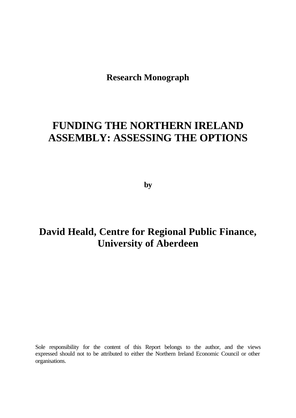**Research Monograph**

# **FUNDING THE NORTHERN IRELAND ASSEMBLY: ASSESSING THE OPTIONS**

**by**

# **David Heald, Centre for Regional Public Finance, University of Aberdeen**

Sole responsibility for the content of this Report belongs to the author, and the views expressed should not to be attributed to either the Northern Ireland Economic Council or other organisations.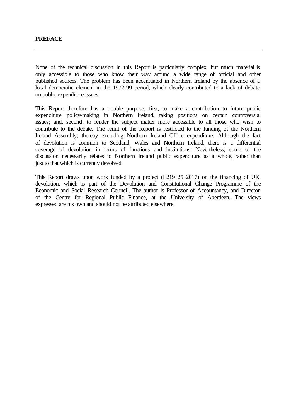None of the technical discussion in this Report is particularly complex, but much material is only accessible to those who know their way around a wide range of official and other published sources. The problem has been accentuated in Northern Ireland by the absence of a local democratic element in the 1972-99 period, which clearly contributed to a lack of debate on public expenditure issues.

This Report therefore has a double purpose: first, to make a contribution to future public expenditure policy-making in Northern Ireland, taking positions on certain controversial issues; and, second, to render the subject matter more accessible to all those who wish to contribute to the debate. The remit of the Report is restricted to the funding of the Northern Ireland Assembly, thereby excluding Northern Ireland Office expenditure. Although the fact of devolution is common to Scotland, Wales and Northern Ireland, there is a differential coverage of devolution in terms of functions and institutions. Nevertheless, some of the discussion necessarily relates to Northern Ireland public expenditure as a whole, rather than just to that which is currently devolved.

This Report draws upon work funded by a project (L219 25 2017) on the financing of UK devolution, which is part of the Devolution and Constitutional Change Programme of the Economic and Social Research Council. The author is Professor of Accountancy, and Director of the Centre for Regional Public Finance, at the University of Aberdeen. The views expressed are his own and should not be attributed elsewhere.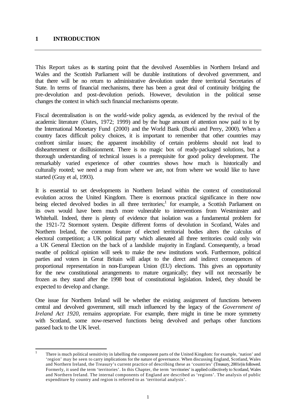### **1 INTRODUCTION**

This Report takes as is starting point that the devolved Assemblies in Northern Ireland and Wales and the Scottish Parliament will be durable institutions of devolved government, and that there will be no return to administrative devolution under three territorial Secretaries of State. In terms of financial mechanisms, there has been a great deal of continuity bridging the pre-devolution and post-devolution periods. However, devolution in the political sense changes the context in which such financial mechanisms operate.

Fiscal decentralisation is on the world-wide policy agenda, as evidenced by the revival of the academic literature (Oates, 1972; 1999) and by the huge amount of attention now paid to it by the International Monetary Fund (2000) and the World Bank (Burki and Perry, 2000). When a country faces difficult policy choices, it is important to remember that other countries may confront similar issues; the apparent insolubility of certain problems should not lead to disheartenment or disillusionment. There is no magic box of ready-packaged solutions, but a thorough understanding of technical issues is a prerequisite for good policy development. The remarkably varied experience of other countries shows how much is historically and culturally rooted; we need a map from where we are, not from where we would like to have started (Gray et al, 1993).

It is essential to set developments in Northern Ireland within the context of constitutional evolution across the United Kingdom. There is enormous practical significance in there now being elected devolved bodies in all three territories;<sup>1</sup> for example, a Scottish Parliament on its own would have been much more vulnerable to interventions from Westminster and Whitehall. Indeed, there is plenty of evidence that isolation was a fundamental problem for the 1921-72 Stormont system. Despite different forms of devolution in Scotland, Wales and Northern Ireland, the common feature of elected territorial bodies alters the calculus of electoral competition; a UK political party which alienated all three territories could only win a UK General Election on the back of a landslide majority in England. Consequently, a broad swathe of political opinion will seek to make the new institutions work. Furthermore, political parties and voters in Great Britain will adapt to the direct and indirect consequences of proportional representation in non-European Union (EU) elections. This gives an opportunity for the new constitutional arrangements to mature organically; they will not necessarily be frozen as they stand after the 1998 bout of constitutional legislation. Indeed, they should be expected to develop and change.

One issue for Northern Ireland will be whether the existing assignment of functions between central and devolved government, still much influenced by the legacy of the *Government of Ireland Act 1920*, remains appropriate. For example, there might in time be more symmetry with Scotland, some now-reserved functions being devolved and perhaps other functions passed back to the UK level.

 $\frac{1}{1}$ There is much political sensitivity in labelling the component parts of the United Kingdom: for example, 'nation' and 'region' may be seen to carry implications for the nature of governance. When discussing England, Scotland, Wales and Northern Ireland, the Treasury's current practice of describing these as 'countries' (Treasury, 2001e) is followed. Formerly, it used the term 'territories'. In this Chapter, the term 'territories' is applied collectively to Scotland, Wales and Northern Ireland. The internal components of England are described as 'regions'. The analysis of public expenditure by country and region is referred to as 'territorial analysis'.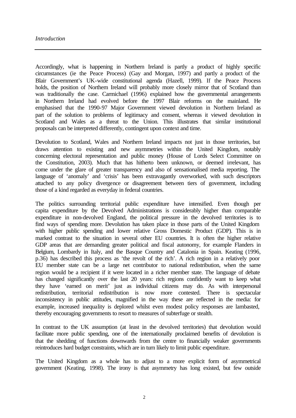Accordingly, what is happening in Northern Ireland is partly a product of highly specific circumstances (ie the Peace Process) (Gay and Morgan, 1997) and partly a product of the Blair Government's UK-wide constitutional agenda (Hazell, 1999). If the Peace Process holds, the position of Northern Ireland will probably more closely mirror that of Scotland than was traditionally the case. Carmichael (1996) explained how the governmental arrangements in Northern Ireland had evolved before the 1997 Blair reforms on the mainland. He emphasised that the 1990-97 Major Government viewed devolution in Northern Ireland as part of the solution to problems of legitimacy and consent, whereas it viewed devolution in Scotland and Wales as a threat to the Union. This illustrates that similar institutional proposals can be interpreted differently, contingent upon context and time.

Devolution to Scotland, Wales and Northern Ireland impacts not just in those territories, but draws attention to existing and new asymmetries within the United Kingdom, notably concerning electoral representation and public money (House of Lords Select Committee on the Constitution, 2003). Much that has hitherto been unknown, or deemed irrelevant, has come under the glare of greater transparency and also of sensationalised media reporting. The language of 'anomaly' and 'crisis' has been extravagantly overworked, with such descriptors attached to any policy divergence or disagreement between tiers of government, including those of a kind regarded as everyday in federal countries.

The politics surrounding territorial public expenditure have intensified. Even though per capita expenditure by the Devolved Administrations is considerably higher than comparable expenditure in non-devolved England, the political pressure in the devolved territories is to find ways of spending more. Devolution has taken place in those parts of the United Kingdom with higher public spending and lower relative Gross Domestic Product (GDP). This is in marked contrast to the situation in several other EU countries. It is often the higher relative GDP areas that are demanding greater political and fiscal autonomy, for example Flanders in Belgium, Lombardy in Italy, and the Basque Country and Catalonia in Spain. Keating (1996, p.36) has described this process as 'the revolt of the rich'. A rich region in a relatively poor EU member state can be a large net contributor to national redistribution, when the same region would be a recipient if it were located in a richer member state. The language of debate has changed significantly over the last 20 years: rich regions confidently want to keep what they have 'earned on merit' just as individual citizens may do. As with interpersonal redistribution, territorial redistribution is now more contested. There is spectacular inconsistency in public attitudes, magnified in the way these are reflected in the media: for example, increased inequality is deplored whilst even modest policy responses are lambasted, thereby encouraging governments to resort to measures of subterfuge or stealth.

In contrast to the UK assumption (at least in the devolved territories) that devolution would facilitate more public spending, one of the internationally proclaimed benefits of devolution is that the shedding of functions downwards from the centre to financially weaker governments reintroduces hard budget constraints, which are in turn likely to limit public expenditure.

The United Kingdom as a whole has to adjust to a more explicit form of asymmetrical government (Keating, 1998). The irony is that asymmetry has long existed, but few outside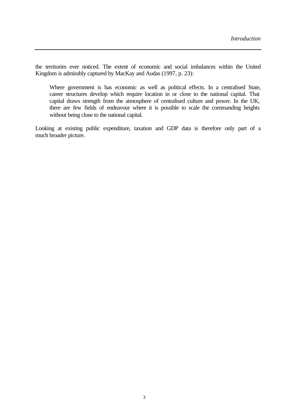the territories ever noticed. The extent of economic and social imbalances within the United Kingdom is admirably captured by MacKay and Audas (1997, p. 23):

Where government is has economic as well as political effects. In a centralised State, career structures develop which require location in or close to the national capital. That capital draws strength from the atmosphere of centralised culture and power. In the UK, there are few fields of endeavour where it is possible to scale the commanding heights without being close to the national capital.

Looking at existing public expenditure, taxation and GDP data is therefore only part of a much broader picture.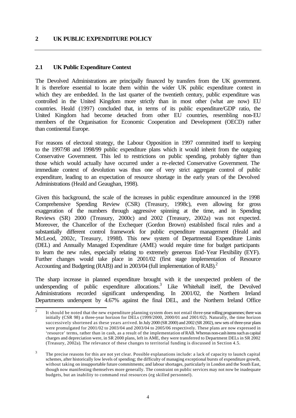### **2 UK PUBLIC EXPENDITURE POLICY**

### **2.1 UK Public Expenditure Context**

The Devolved Administrations are principally financed by transfers from the UK government. It is therefore essential to locate them within the wider UK public expenditure context in which they are embedded. In the last quarter of the twentieth century, public expenditure was controlled in the United Kingdom more strictly than in most other (what are now) EU countries. Heald (1997) concluded that, in terms of its public expenditure/GDP ratio, the United Kingdom had become detached from other EU countries, resembling non-EU members of the Organisation for Economic Cooperation and Development (OECD) rather than continental Europe.

For reasons of electoral strategy, the Labour Opposition in 1997 committed itself to keeping to the 1997/98 and 1998/99 public expenditure plans which it would inherit from the outgoing Conservative Government. This led to restrictions on public spending, probably tighter than those which would actually have occurred under a re-elected Conservative Government. The immediate context of devolution was thus one of very strict aggregate control of public expenditure, leading to an expectation of resource shortage in the early years of the Devolved Administrations (Heald and Geaughan, 1998).

Given this background, the scale of the increases in public expenditure announced in the 1998 Comprehensive Spending Review (CSR) (Treasury, 1998c), even allowing for gross exaggeration of the numbers through aggressive spinning at the time, and in Spending Reviews (SR) 2000 (Treasury, 2000c) and 2002 (Treasury, 2002a) was not expected. Moreover, the Chancellor of the Exchequer (Gordon Brown) established fiscal rules and a substantially different control framework for public expenditure management (Heald and McLeod, 2002c, Treasury, 1998f). This new system of Departmental Expenditure Limits (DEL) and Annually Managed Expenditure (AME) would require time for budget participants to learn the new rules, especially relating to extremely generous End-Year Flexibility (EYF). Further changes would take place in 2001/02 (first stage implementation of Resource Accounting and Budgeting (RAB)) and in  $2003/04$  (full implementation of RAB).<sup>2</sup>

The sharp increase in planned expenditure brought with it the unexpected problem of the underspending of public expenditure allocations.<sup>3</sup> Like Whitehall itself, the Devolved Administrations recorded significant underspending. In 2001/02, the Northern Ireland Departments underspent by 4.67% against the final DEL, and the Northern Ireland Office

<sup>&</sup>lt;sup>2</sup> It should be noted that the new expenditure planning system does not entail three-year rolling programmes; there was initially (CSR 98) a three-year horizon for DELs (1999/2000, 2000/01 and 2001/02). Naturally, the time horizon successively shortened as these years arrived. In July 2000 (SR 2000) and 2002 (SR 2002), new sets of three-year plans were promulgated for 2001/02 to 2003/04 and 2003/04 to 2005/06 respectively. These plans are now expressed in 'resource' terms, rather than in cash, as a result of the implementation of RAB. Whereas non-cash items such as capital charges and depreciation were, in SR 2000 plans, left in AME, they were transferred to Department DELs in SR 2002 (Treasury, 2002a). The relevance of these changes to territorial funding is discussed in Section 4.5.

<sup>3</sup> The precise reasons for this are not yet clear. Possible explanations include: a lack of capacity to launch capital schemes, after historically low levels of spending; the difficulty of managing exceptional bursts of expenditure growth, without taking on insupportable future commitments; and labour shortages, particularly in London and the South East, though now manifesting themselves more generally. The constraint on public services may not now be inadequate budgets, but an inability to command real resources (eg skilled personnel).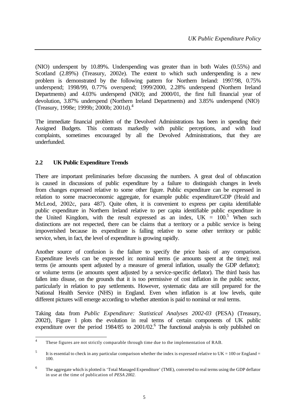(NIO) underspent by 10.89%. Underspending was greater than in both Wales (0.55%) and Scotland (2.89%) (Treasury, 2002e). The extent to which such underspending is a new problem is demonstrated by the following pattern for Northern Ireland: 1997/98, 0.75% underspend; 1998/99, 0.77% overspend; 1999/2000, 2.28% underspend (Northern Ireland Departments) and 4.03% underspend (NIO); and 2000/01, the first full financial year of devolution, 3.87% underspend (Northern Ireland Departments) and 3.85% underspend (NIO) (Treasury, 1998e; 1999b; 2000b; 2001d). 4

The immediate financial problem of the Devolved Administrations has been in spending their Assigned Budgets. This contrasts markedly with public perceptions, and with loud complaints, sometimes encouraged by all the Devolved Administrations, that they are underfunded.

## **2.2 UK Public Expenditure Trends**

There are important preliminaries before discussing the numbers. A great deal of obfuscation is caused in discussions of public expenditure by a failure to distinguish changes in levels from changes expressed relative to some other figure. Public expenditure can be expressed in relation to some macroeconomic aggregate, for example public expenditure/GDP (Heald and McLeod, 2002c, para 487). Quite often, it is convenient to express per capita identifiable public expenditure in Northern Ireland relative to per capita identifiable public expenditure in the United Kingdom, with the result expressed as an index,  $UK = 100$ <sup>5</sup> When such distinctions are not respected, there can be claims that a territory or a public service is being impoverished because its expenditure is falling relative to some other territory or public service, when, in fact, the level of expenditure is growing rapidly.

Another source of confusion is the failure to specify the price basis of any comparison. Expenditure levels can be expressed in: nominal terms (ie amounts spent at the time); real terms (ie amounts spent adjusted by a measure of general inflation, usually the GDP deflator); or volume terms (ie amounts spent adjusted by a service-specific deflator). The third basis has fallen into disuse, on the grounds that it is too permissive of cost inflation in the public sector, particularly in relation to pay settlements. However, systematic data are still prepared for the National Health Service (NHS) in England. Even when inflation is at low levels, quite different pictures will emerge according to whether attention is paid to nominal or real terms.

Taking data from *Public Expenditure: Statistical Analyses 2002-03* (PESA) (Treasury, 2002f), Figure 1 plots the evolution in real terms of certain components of UK public expenditure over the period 1984/85 to 2001/02.<sup>6</sup> The functional analysis is only published on

 $\frac{1}{4}$ These figures are not strictly comparable through time due to the implementation of RAB.

<sup>5</sup> It is essential to check in any particular comparison whether the index is expressed relative to  $UK = 100$  or England = 100.

<sup>6</sup> The aggregate which is plotted is 'Total Managed Expenditure' (TME), converted to real terms using the GDP deflator in use at the time of publication of *PESA 2002*.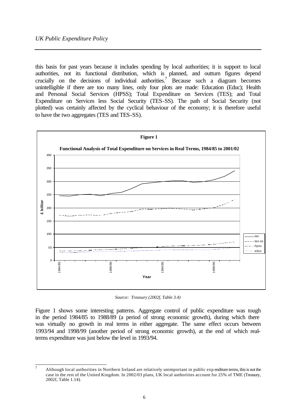this basis for past years because it includes spending by local authorities; it is support to local authorities, not its functional distribution, which is planned, and outturn figures depend crucially on the decisions of individual authorities.<sup>7</sup> Because such a diagram becomes unintelligible if there are too many lines, only four plots are made: Education (Educ); Health and Personal Social Services (HPSS); Total Expenditure on Services (TES); and Total Expenditure on Services less Social Security (TES-SS). The path of Social Security (not plotted) was certainly affected by the cyclical behaviour of the economy; it is therefore useful to have the two aggregates (TES and TES-SS).



*Source: Treasury (2002f, Table 3.4)*

Figure 1 shows some interesting patterns. Aggregate control of public expenditure was tough in the period 1984/85 to 1988/89 (a period of strong economic growth), during which there was virtually no growth in real terms in either aggregate. The same effect occurs between 1993/94 and 1998/99 (another period of strong economic growth), at the end of which realterms expenditure was just below the level in 1993/94.

 $\overline{7}$ Although local authorities in Northern Ireland are relatively unimportant in public exp enditure terms, this is not the case in the rest of the United Kingdom. In 2002/03 plans, UK local authorities account for 25% of TME (Treasury, 2002f, Table 1.14).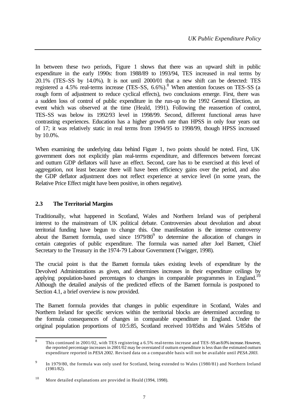In between these two periods, Figure 1 shows that there was an upward shift in public expenditure in the early 1990s: from 1988/89 to 1993/94, TES increased in real terms by 20.1% (TES-SS by 14.0%). It is not until 2000/01 that a new shift can be detected: TES registered a 4.5% real-terms increase (TES-SS, 6.6%).<sup>8</sup> When attention focuses on TES-SS (a rough form of adjustment to reduce cyclical effects), two conclusions emerge. First, there was a sudden loss of control of public expenditure in the run-up to the 1992 General Election, an event which was observed at the time (Heald, 1991). Following the reassertion of control, TES-SS was below its 1992/93 level in 1998/99. Second, different functional areas have contrasting experiences. Education has a higher growth rate than HPSS in only four years out of 17; it was relatively static in real terms from 1994/95 to 1998/99, though HPSS increased by 10.0%.

When examining the underlying data behind Figure 1, two points should be noted. First, UK government does not explicitly plan real-terms expenditure, and differences between forecast and outturn GDP deflators will have an effect. Second, care has to be exercised at this level of aggregation, not least because there will have been efficiency gains over the period, and also the GDP deflator adjustment does not reflect experience at service level (in some years, the Relative Price Effect might have been positive, in others negative).

## **2.3 The Territorial Margins**

Traditionally, what happened in Scotland, Wales and Northern Ireland was of peripheral interest to the mainstream of UK political debate. Controversies about devolution and about territorial funding have begun to change this. One manifestation is the intense controversy about the Barnett formula, used since  $1979/80<sup>9</sup>$  to determine the allocation of changes in certain categories of public expenditure. The formula was named after Joel Barnett, Chief Secretary to the Treasury in the 1974-79 Labour Government (Twigger, 1998).

The crucial point is that the Barnett formula takes existing levels of expenditure by the Devolved Administrations as given, and determines increases in their expenditure ceilings by applying population-based percentages to changes in comparable programmes in England.<sup>10</sup> Although the detailed analysis of the predicted effects of the Barnett formula is postponed to Section 4.1, a brief overview is now provided.

The Barnett formula provides that changes in public expenditure in Scotland, Wales and Northern Ireland for specific services within the territorial blocks are determined according to the formula consequences of changes in comparable expenditure in England. Under the original population proportions of 10:5:85, Scotland received 10/85ths and Wales 5/85ths of

 8 This continued in 2001/02, with TES registering a 6.5% real-terms increase and TES-SS an 8.0% increase. However, the reported percentage increases in 2001/02 may be overstated if outturn expenditure is less than the estimated outturn expenditure reported in *PESA 2002*. Revised data on a comparable basis will not be available until *PESA 2003*.

<sup>9</sup> In 1979/80, the formula was only used for Scotland, being extended to Wales (1980/81) and Northern Ireland (1981/82).

<sup>&</sup>lt;sup>10</sup> More detailed explanations are provided in Heald (1994, 1998).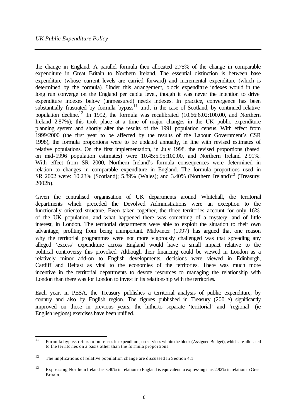the change in England. A parallel formula then allocated 2.75% of the change in comparable expenditure in Great Britain to Northern Ireland. The essential distinction is between base expenditure (whose current levels are carried forward) and incremental expenditure (which is determined by the formula). Under this arrangement, block expenditure indexes would in the long run converge on the England per capita level, though it was never the intention to drive expenditure indexes below (unmeasured) needs indexes. In practice, convergence has been substantially frustrated by formula bypass $11$  and, in the case of Scotland, by continued relative population decline.<sup>12</sup> In 1992, the formula was recalibrated (10.66:6.02:100.00, and Northern Ireland 2.87%); this took place at a time of major changes in the UK public expenditure planning system and shortly after the results of the 1991 population census. With effect from 1999/2000 (the first year to be affected by the results of the Labour Government's CSR 1998), the formula proportions were to be updated annually, in line with revised estimates of relative populations. On the first implementation, in July 1998, the revised proportions (based on mid-1996 population estimates) were 10.45:5.95:100.00, and Northern Ireland 2.91%. With effect from SR 2000, Northern Ireland's formula consequences were determined in relation to changes in comparable expenditure in England. The formula proportions used in SR 2002 were:  $10.23\%$  (Scotland); 5.89% (Wales); and 3.40% (Northern Ireland)<sup>13</sup> (Treasury, 2002b).

Given the centralised organisation of UK departments around Whitehall, the territorial departments which preceded the Devolved Administrations were an exception to the functionally oriented structure. Even taken together, the three territories account for only 16% of the UK population, and what happened there was something of a mystery, and of little interest, in London. The territorial departments were able to exploit the situation to their own advantage, profiting from being unimportant. Midwinter (1997) has argued that one reason why the territorial programmes were not more vigorously challenged was that spreading any alleged 'excess' expenditure across England would have a small impact relative to the political controversy this provoked. Although their financing could be viewed in London as a relatively minor add-on to English developments, decisions were viewed in Edinburgh, Cardiff and Belfast as vital to the economies of the territories. There was much more incentive in the territorial departments to devote resources to managing the relationship with London than there was for London to invest in its relationship with the territories.

Each year, in PESA, the Treasury publishes a territorial analysis of public expenditure, by country and also by English region. The figures published in Treasury (2001e) significantly improved on those in previous years; the hitherto separate 'territorial' and 'regional' (ie English regions) exercises have been unified.

 $11$ <sup>11</sup> Formula bypass refers to incre ases in expenditure, on services within the block (Assigned Budget), which are allocated to the territories on a basis other than the formula proportions.

<sup>&</sup>lt;sup>12</sup> The implications of relative population change are discussed in Section 4.1.

<sup>&</sup>lt;sup>13</sup> Expressing Northern Ireland as 3.40% in relation to England is equivalent to expressing it as 2.92% in relation to Great Britain.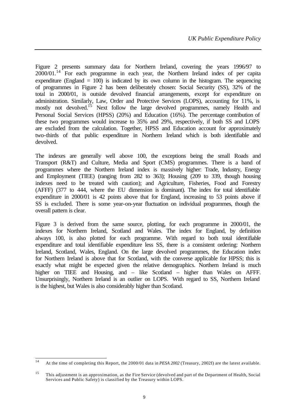Figure 2 presents summary data for Northern Ireland, covering the years 1996/97 to 2000/01.<sup>14</sup> For each programme in each year, the Northern Ireland index of per capita expenditure (England  $= 100$ ) is indicated by its own column in the histogram. The sequencing of programmes in Figure 2 has been deliberately chosen: Social Security (SS), 32% of the total in 2000/01, is outside devolved financial arrangements, except for expenditure on administration. Similarly, Law, Order and Protective Services (LOPS), accounting for 11%, is mostly not devolved.<sup>15</sup> Next follow the large devolved programmes, namely Health and Personal Social Services (HPSS) (20%) and Education (16%). The percentage contribution of these two programmes would increase to 35% and 29%, respectively, if both SS and LOPS are excluded from the calculation. Together, HPSS and Education account for approximately two-thirds of that public expenditure in Northern Ireland which is both identifiable and devolved.

The indexes are generally well above 100, the exceptions being the small Roads and Transport (R&T) and Culture, Media and Sport (CMS) programmes. There is a band of programmes where the Northern Ireland index is massively higher: Trade, Industry, Energy and Employment (TIEE) (ranging from 282 to 363); Housing (209 to 339, though housing indexes need to be treated with caution); and Agriculture, Fisheries, Food and Forestry (AFFF) (377 to 444, where the EU dimension is dominant). The index for total identifiable expenditure in 2000/01 is 42 points above that for England, increasing to 53 points above if SS is excluded. There is some year-on-year fluctuation on individual programmes, though the overall pattern is clear.

Figure 3 is derived from the same source, plotting, for each programme in 2000/01, the indexes for Northern Ireland, Scotland and Wales. The index for England, by definition always 100, is also plotted for each programme. With regard to both total identifiable expenditure and total identifiable expenditure less SS, there is a consistent ordering: Northern Ireland, Scotland, Wales, England. On the large devolved programmes, the Education index for Northern Ireland is above that for Scotland, with the converse applicable for HPSS; this is exactly what might be expected given the relative demographics. Northern Ireland is much higher on TIEE and Housing, and – like Scotland – higher than Wales on AFFF. Unsurprisingly, Northern Ireland is an outlier on LOPS. With regard to SS, Northern Ireland is the highest, but Wales is also considerably higher than Scotland.

 $\overline{14}$ <sup>14</sup> At the time of completing this Report, the 2000/01 data in *PESA 2002* (Treasury, 2002f) are the latest available.

<sup>&</sup>lt;sup>15</sup> This adjustment is an approximation, as the Fire Service (devolved and part of the Department of Health, Social Services and Public Safety) is classified by the Treasury within LOPS.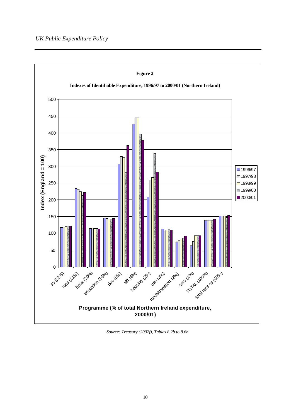## *UK Public Expenditure Policy*



*Source: Treasury (2002f), Tables 8.2b to 8.6b*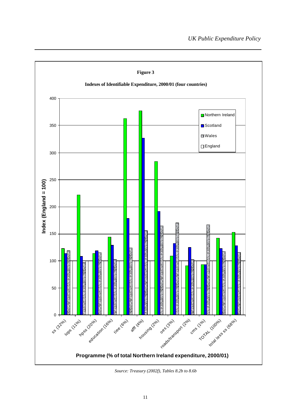

*Source: Treasury (2002f), Tables 8.2b to 8.6b*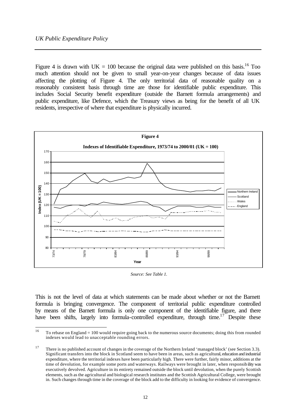Figure 4 is drawn with  $UK = 100$  because the original data were published on this basis.<sup>16</sup> Too much attention should not be given to small year-on-year changes because of data issues affecting the plotting of Figure 4. The only territorial data of reasonable quality on a reasonably consistent basis through time are those for identifiable public expenditure. This includes Social Security benefit expenditure (outside the Barnett formula arrangements) and public expenditure, like Defence, which the Treasury views as being for the benefit of all UK residents, irrespective of where that expenditure is physically incurred.



*Source: See Table 1.*

This is not the level of data at which statements can be made about whether or not the Barnett formula is bringing convergence. The component of territorial public expenditure controlled by means of the Barnett formula is only one component of the identifiable figure, and there have been shifts, largely into formula-controlled expenditure, through time.<sup>17</sup> Despite these

 $16$ To rebase on England  $= 100$  would require going back to the numerous source documents; doing this from rounded indexes would lead to unacceptable rounding errors.

<sup>&</sup>lt;sup>17</sup> There is no published account of changes in the coverage of the Northern Ireland 'managed block' (see Section 3.3). Significant transfers into the block in Scotland seem to have been in areas, such as agricultural, education and industrial expenditure, where the territorial indexes have been particularly high. There were further, fairly minor, additions at the time of devolution, for example some ports and waterways. Railways were brought in later, when responsibility was executively devolved. Agriculture in its entirety remained outside the block until devolution, when the purely Scottish elements, such as the agricultural and biological research institutes and the Scottish Agricultural College, were brought in. Such changes through time in the coverage of the block add to the difficulty in looking for evidence of convergence.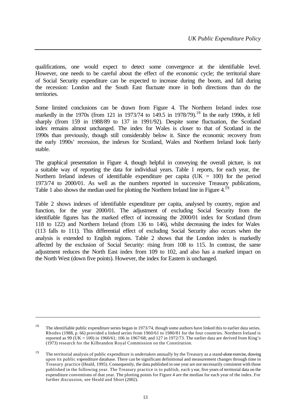qualifications, one would expect to detect some convergence at the identifiable level. However, one needs to be careful about the effect of the economic cycle; the territorial share of Social Security expenditure can be expected to increase during the boom, and fall during the recession: London and the South East fluctuate more in both directions than do the territories.

Some limited conclusions can be drawn from Figure 4. The Northern Ireland index rose markedly in the 1970s (from 121 in 1973/74 to 149.5 in 1978/79).<sup>18</sup> In the early 1990s, it fell sharply (from 159 in 1988/89 to 137 in 1991/92). Despite some fluctuation, the Scotland index remains almost unchanged. The index for Wales is closer to that of Scotland in the 1990s than previously, though still considerably below it. Since the economic recovery from the early 1990s' recession, the indexes for Scotland, Wales and Northern Ireland look fairly stable.

The graphical presentation in Figure 4, though helpful in conveying the overall picture, is not a suitable way of reporting the data for individual years. Table 1 reports, for each year, the Northern Ireland indexes of identifiable expenditure per capita ( $UK = 100$ ) for the period 1973/74 to 2000/01. As well as the numbers reported in successive Treasury publications, Table 1 also shows the median used for plotting the Northern Ireland line in Figure  $4.1^{\circ}$ 

Table 2 shows indexes of identifiable expenditure per capita, analysed by country, region and function, for the year 2000/01. The adjustment of excluding Social Security from the identifiable figures has the marked effect of increasing the 2000/01 index for Scotland (from 118 to 122) and Northern Ireland (from 136 to 146), whilst decreasing the index for Wales (113 falls to 111). This differential effect of excluding Social Security also occurs when the analysis is extended to English regions. Table 2 shows that the London index is markedly affected by the exclusion of Social Security: rising from 108 to 115. In contrast, the same adjustment reduces the North East index from 109 to 102, and also has a marked impact on the North West (down five points). However, the index for Eastern is unchanged.

l

<sup>&</sup>lt;sup>18</sup> The identifiable public expenditure series began in 1973/74, though some authors have linked this to earlier data series. Rhodes (1988, p. 66) provided a linked series from 1960/61 to 1980/81 for the four countries. Northern Ireland is reported as 99 (UK = 100) in 1960/61; 106 in 1967/68; and 127 in 1972/73. The earlier data are derived from King's (1973) research for the Kilbrandon Royal Commission on the Constitution.

<sup>&</sup>lt;sup>19</sup> The territorial analysis of public expenditure is undertaken annually by the Treasury as a stand-alone exercise, drawing upon its public expenditure database. There can be significant definitional and measurement changes through time in Treasury practice (Heald, 1995). Consequently, the data published in one year are not necessarily consistent with those published in the following year. The Treasury practice is to publish, each y ear, five years of territorial data on the expenditure conventions of that year. The plotting points for Figure 4 are the median for each year of the index. For further discussion, see Heald and Short (2002).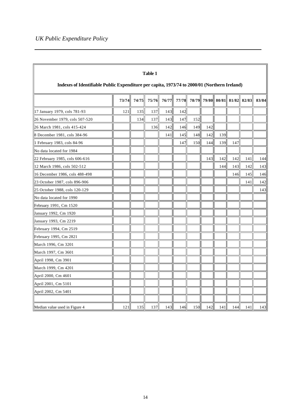| Table 1                                                                                      |       |       |       |       |       |     |     |                               |     |     |       |  |  |
|----------------------------------------------------------------------------------------------|-------|-------|-------|-------|-------|-----|-----|-------------------------------|-----|-----|-------|--|--|
| Indexes of Identifiable Public Expenditure per capita, 1973/74 to 2000/01 (Northern Ireland) |       |       |       |       |       |     |     |                               |     |     |       |  |  |
|                                                                                              | 73/74 | 74/75 | 75/76 | 76/77 | 77/78 |     |     | 78/79 79/80 80/81 81/82 82/83 |     |     | 83/84 |  |  |
| 17 January 1979, cols 781-93                                                                 | 121   | 135   | 137   | 143   | 142   |     |     |                               |     |     |       |  |  |
| 26 November 1979, cols 507-520                                                               |       | 134   | 137   | 143   | 147   | 152 |     |                               |     |     |       |  |  |
| 26 March 1981, cols 415-424                                                                  |       |       | 136   | 142   | 146   | 149 | 142 |                               |     |     |       |  |  |
| 8 December 1981, cols 384-96                                                                 |       |       |       | 141   | 145   | 148 | 142 | 139                           |     |     |       |  |  |
| 1 February 1983, cols 84-96                                                                  |       |       |       |       | 147   | 150 | 144 | 139                           | 147 |     |       |  |  |
| No data located for 1984                                                                     |       |       |       |       |       |     |     |                               |     |     |       |  |  |
| 22 February 1985, cols 606-616                                                               |       |       |       |       |       |     | 143 | 142                           | 142 | 141 | 144   |  |  |
| 12 March 1986, cols 502-512                                                                  |       |       |       |       |       |     |     | 144                           | 143 | 142 | 143   |  |  |
| 16 December 1986, cols 488-498                                                               |       |       |       |       |       |     |     |                               | 146 | 145 | 146   |  |  |
| 23 October 1987, cols 896-906                                                                |       |       |       |       |       |     |     |                               |     | 141 | 142   |  |  |
| 25 October 1988, cols 120-129                                                                |       |       |       |       |       |     |     |                               |     |     | 143   |  |  |
| No data located for 1990                                                                     |       |       |       |       |       |     |     |                               |     |     |       |  |  |
| February 1991, Cm 1520                                                                       |       |       |       |       |       |     |     |                               |     |     |       |  |  |
| January 1992, Cm 1920                                                                        |       |       |       |       |       |     |     |                               |     |     |       |  |  |
| January 1993, Cm 2219                                                                        |       |       |       |       |       |     |     |                               |     |     |       |  |  |
| February 1994, Cm 2519                                                                       |       |       |       |       |       |     |     |                               |     |     |       |  |  |
| February 1995, Cm 2821                                                                       |       |       |       |       |       |     |     |                               |     |     |       |  |  |
| March 1996, Cm 3201                                                                          |       |       |       |       |       |     |     |                               |     |     |       |  |  |
| March 1997, Cm 3601                                                                          |       |       |       |       |       |     |     |                               |     |     |       |  |  |
| April 1998, Cm 3901                                                                          |       |       |       |       |       |     |     |                               |     |     |       |  |  |
| March 1999, Cm 4201                                                                          |       |       |       |       |       |     |     |                               |     |     |       |  |  |
| April 2000, Cm 4601                                                                          |       |       |       |       |       |     |     |                               |     |     |       |  |  |
| April 2001, Cm 5101                                                                          |       |       |       |       |       |     |     |                               |     |     |       |  |  |
| April 2002, Cm 5401                                                                          |       |       |       |       |       |     |     |                               |     |     |       |  |  |
|                                                                                              |       |       |       |       |       |     |     |                               |     |     |       |  |  |
| Median value used in Figure 4                                                                | 121   | 135   | 137   | 143   | 146   | 150 | 142 | 141                           | 144 | 141 | 143   |  |  |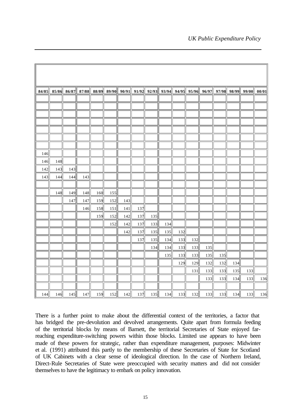|     |     |     |     |     |     |     |     |     |     |     | 84/85 85/86 86/87 87/88 88/89 89/90 90/91 91/92 92/93 93/94 94/95 95/96 96/97 97/98 98/99 99/00 00/01 |     |     |     |     |     |
|-----|-----|-----|-----|-----|-----|-----|-----|-----|-----|-----|-------------------------------------------------------------------------------------------------------|-----|-----|-----|-----|-----|
|     |     |     |     |     |     |     |     |     |     |     |                                                                                                       |     |     |     |     |     |
|     |     |     |     |     |     |     |     |     |     |     |                                                                                                       |     |     |     |     |     |
|     |     |     |     |     |     |     |     |     |     |     |                                                                                                       |     |     |     |     |     |
|     |     |     |     |     |     |     |     |     |     |     |                                                                                                       |     |     |     |     |     |
|     |     |     |     |     |     |     |     |     |     |     |                                                                                                       |     |     |     |     |     |
|     |     |     |     |     |     |     |     |     |     |     |                                                                                                       |     |     |     |     |     |
|     |     |     |     |     |     |     |     |     |     |     |                                                                                                       |     |     |     |     |     |
| 146 |     |     |     |     |     |     |     |     |     |     |                                                                                                       |     |     |     |     |     |
| 146 | 148 |     |     |     |     |     |     |     |     |     |                                                                                                       |     |     |     |     |     |
| 142 | 143 | 143 |     |     |     |     |     |     |     |     |                                                                                                       |     |     |     |     |     |
| 143 | 144 | 144 | 143 |     |     |     |     |     |     |     |                                                                                                       |     |     |     |     |     |
|     |     |     |     |     |     |     |     |     |     |     |                                                                                                       |     |     |     |     |     |
|     | 148 | 149 | 148 | 160 | 155 |     |     |     |     |     |                                                                                                       |     |     |     |     |     |
|     |     | 147 | 147 | 159 | 152 | 143 |     |     |     |     |                                                                                                       |     |     |     |     |     |
|     |     |     | 146 | 158 | 151 | 141 | 137 |     |     |     |                                                                                                       |     |     |     |     |     |
|     |     |     |     | 159 | 152 | 142 | 137 | 135 |     |     |                                                                                                       |     |     |     |     |     |
|     |     |     |     |     | 152 | 142 | 137 | 133 | 134 |     |                                                                                                       |     |     |     |     |     |
|     |     |     |     |     |     | 142 | 137 | 135 | 135 | 132 |                                                                                                       |     |     |     |     |     |
|     |     |     |     |     |     |     | 137 | 135 | 134 | 133 | 132                                                                                                   |     |     |     |     |     |
|     |     |     |     |     |     |     |     | 134 | 134 | 133 | 133                                                                                                   | 135 |     |     |     |     |
|     |     |     |     |     |     |     |     |     | 135 | 133 | 133                                                                                                   | 135 | 135 |     |     |     |
|     |     |     |     |     |     |     |     |     |     | 129 | 129                                                                                                   | 132 | 132 | 134 |     |     |
|     |     |     |     |     |     |     |     |     |     |     | 131                                                                                                   | 133 | 133 | 135 | 133 |     |
|     |     |     |     |     |     |     |     |     |     |     |                                                                                                       | 133 | 133 | 134 | 133 | 136 |
|     |     |     |     |     |     |     |     |     |     |     |                                                                                                       |     |     |     |     |     |
| 144 | 146 | 145 | 147 | 159 | 152 | 142 | 137 | 135 | 134 | 133 | 132                                                                                                   | 133 | 133 | 134 | 133 | 136 |

There is a further point to make about the differential context of the territories, a factor that has bridged the pre-devolution and devolved arrangements. Quite apart from formula feeding of the territorial blocks by means of Barnett, the territorial Secretaries of State enjoyed farreaching expenditure-switching powers within those blocks. Limited use appears to have been made of these powers for strategic, rather than expenditure management, purposes: Midwinter et al. (1991) attributed this partly to the membership of these Secretaries of State for Scotland of UK Cabinets with a clear sense of ideological direction. In the case of Northern Ireland, Direct-Rule Secretaries of State were preoccupied with security matters and did not consider themselves to have the legitimacy to embark on policy innovation.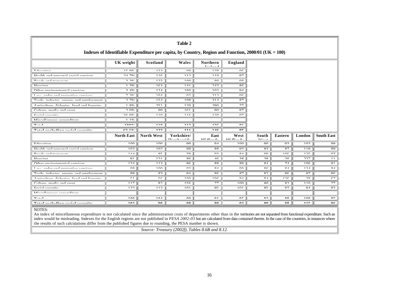| Table 2                                                                                                                                                                                                                        |                                                                                                       |                   |                         |                                 |                         |                    |                      |                      |                   |  |  |  |  |  |  |
|--------------------------------------------------------------------------------------------------------------------------------------------------------------------------------------------------------------------------------|-------------------------------------------------------------------------------------------------------|-------------------|-------------------------|---------------------------------|-------------------------|--------------------|----------------------|----------------------|-------------------|--|--|--|--|--|--|
|                                                                                                                                                                                                                                | Indexes of Identifiable Expenditure per capita, by Country, Region and Function, $2000/01$ (UK = 100) |                   |                         |                                 |                         |                    |                      |                      |                   |  |  |  |  |  |  |
|                                                                                                                                                                                                                                | UK weight                                                                                             | Scotland          | Wales                   | Northern<br>$T = 1 - 1 - 1$     | England                 |                    |                      |                      |                   |  |  |  |  |  |  |
| Education                                                                                                                                                                                                                      | 1500                                                                                                  | 124               | $\overline{0}$          | 120                             | በሬ                      |                    |                      |                      |                   |  |  |  |  |  |  |
| Haalth and nonconal sanial saminas                                                                                                                                                                                             | 24.70/                                                                                                | 11C               | 110                     | 110                             | 07                      |                    |                      |                      |                   |  |  |  |  |  |  |
| Dondo and tunnanout                                                                                                                                                                                                            | 2.20                                                                                                  | 122               | $1 \cap \cap$           | $\circ$ $\circ$                 | $\Omega$                |                    |                      |                      |                   |  |  |  |  |  |  |
| II                                                                                                                                                                                                                             | 1.20                                                                                                  | $1 \leq A$        | 1.4.1                   | 242                             | $O \subset$             |                    |                      |                      |                   |  |  |  |  |  |  |
| Other existences and consider                                                                                                                                                                                                  | 2.40/                                                                                                 | $1 \cap A$        | $1 \angle \cap$         | 102                             | $\Omega$                |                    |                      |                      |                   |  |  |  |  |  |  |
| Low order and protective compact                                                                                                                                                                                               | 7.20                                                                                                  | $1 \cap A$        | $\Omega$                | 212                             | $\Omega$                |                    |                      |                      |                   |  |  |  |  |  |  |
| Tanda industry analysis and amplainment                                                                                                                                                                                        | 2.70                                                                                                  | $1 \nabla A$      | 100                     | 211                             | O <sub>7</sub>          |                    |                      |                      |                   |  |  |  |  |  |  |
| Andonline Coloniae food and fourning                                                                                                                                                                                           | $1$ O $0$ /                                                                                           | 251               | 120                     | 200                             | 77                      |                    |                      |                      |                   |  |  |  |  |  |  |
| Culture madia and snow                                                                                                                                                                                                         | 2.00                                                                                                  | $\Omega$          | $1 \leq 1$              | $\Omega$                        | 07                      |                    |                      |                      |                   |  |  |  |  |  |  |
| $C_{\alpha\alpha}$ is a set $\alpha$                                                                                                                                                                                           | 26.00                                                                                                 | 110               | 11C                     | 120                             | 07                      |                    |                      |                      |                   |  |  |  |  |  |  |
| Missellaneous avnanditum                                                                                                                                                                                                       | $1 - 10$                                                                                              |                   |                         |                                 |                         |                    |                      |                      |                   |  |  |  |  |  |  |
| $70.4 - 1$                                                                                                                                                                                                                     | 1000/                                                                                                 | 110               | 1122                    | 125                             | $\sim$                  |                    |                      |                      |                   |  |  |  |  |  |  |
| $70.411$ and $1.411$ and $1.41$ and $1.411$ and $1.411$                                                                                                                                                                        | $\sim$ 10/                                                                                            | 100               | 444                     | 1100                            | $\mathbf{A}$            |                    |                      |                      |                   |  |  |  |  |  |  |
|                                                                                                                                                                                                                                | <b>North East</b>                                                                                     | <b>North West</b> | Yorkshire/              | East<br><b>A #1.11.</b><br>. л. | West<br>3.42.33<br>- 21 | South<br>$TT$ $-4$ | Eastern              | London               | <b>South East</b> |  |  |  |  |  |  |
| $E_{\text{dustation}}$                                                                                                                                                                                                         | $1 \cap \Omega$                                                                                       | $1 \cap \cap$     | $\Omega$                | $\Omega$                        | $1 \cap \Omega$         | $\Omega$           | 02                   | 102                  | $\circ$ $\circ$   |  |  |  |  |  |  |
| Haalth and nonconal capital commons                                                                                                                                                                                            | 102                                                                                                   | 100               | $\Omega$                | $\circ$                         | $\Omega$                | $\Omega$           | O <sub>7</sub>       | 110                  | $\circ$ $\circ$   |  |  |  |  |  |  |
| Dondo and tunnanout                                                                                                                                                                                                            | 111                                                                                                   | O E               | 70                      | $\Omega$                        | O <sub>A</sub>          | $\Omega$           | $1 \cap \mathcal{L}$ | $1 \cap \epsilon$    | 07                |  |  |  |  |  |  |
| $II$ <sub>a</sub> $i$                                                                                                                                                                                                          | $^{\circ}$                                                                                            | $1 \cap 1$        | $O \subset$             | 1 <sup>C</sup>                  | 20                      | 20                 | $\Omega$             | 227                  | 11                |  |  |  |  |  |  |
| Other existences and company                                                                                                                                                                                                   | $1 \cap A$                                                                                            | 112               | $\Omega$                | $O$ $O$                         | $\circ$ $\circ$         | O <sub>A</sub>     | 71                   | $1 \cap \mathcal{L}$ | O <sub>1</sub>    |  |  |  |  |  |  |
| I am andan and nucleation against                                                                                                                                                                                              | $\Omega$                                                                                              | $1 \cap \cap$     | $\Omega$                | O <sub>A</sub>                  | $\Omega$                | $O \subset$        | O <sub>A</sub>       | 121                  | O <sub>A</sub>    |  |  |  |  |  |  |
| $T_{mod}$<br>industry anony and                                                                                                                                                                                                | $\circ$ $\circ$                                                                                       | 02                | 0 <sub>A</sub>          | $O \subset$                     | O <sub>7</sub>          | $\circ$ $\circ$    | $O \subset$          | O <sub>7</sub>       | $O \subset$       |  |  |  |  |  |  |
| Andoulous Colonias food and fourning                                                                                                                                                                                           | $\epsilon$ 1                                                                                          | 56                | $1 \cap \Omega$         | $1 \cap \mathcal{L}$            | O <sub>A</sub>          | O <sub>A</sub>     | $1 \cap \mathcal{L}$ | 20                   | $\epsilon$        |  |  |  |  |  |  |
| Culture madia and snow                                                                                                                                                                                                         | 117                                                                                                   | $\circ$ $\circ$   | 15C                     | 77                              | $1 \cap \Omega$         | $\Omega$           | $\circ$              | 110                  | 77                |  |  |  |  |  |  |
| Control commitment                                                                                                                                                                                                             | $1 \cap \Omega$                                                                                       | 112               | $1^{\prime}$ $\cap$ $1$ | $\Omega$                        | 1 <sub>0</sub> 1        | $\Omega$           | O7                   | $\Omega$             | $\circ$           |  |  |  |  |  |  |
| Miccellonsons superditure                                                                                                                                                                                                      |                                                                                                       |                   |                         |                                 |                         |                    |                      |                      |                   |  |  |  |  |  |  |
| $77.4 - 1$                                                                                                                                                                                                                     | 1.00                                                                                                  | 104               | $\mathbf{a}$            | $\mathbf{A}$                    | $\mathbf{A}$            | o٠                 | 00                   | 100                  | $\Omega$ =        |  |  |  |  |  |  |
| FREE AND IN CONTRACT A RELEASE AND RELEASED AND RELEASED AND RELEASED AND RELEASED AND RELEASED AND RELEASED AND RELEASED AND RELEASED AND RELEASED AND RELEASED AND RELEASED AND RELEASED AND RELEASED AND RELEASED AND RELEA | 100                                                                                                   | $\mathbf{a}$      | ΛO                      | 0A                              | $\mathbf{A}$            | 0A                 | 00                   | 445                  | $\alpha$          |  |  |  |  |  |  |

### NOTES:

An index of miscellaneous expenditure is not calculated since the administration costs of departments other than in the territories are not separated from functional expenditure. Such an index would be misleading. Indexes for the English regions are not published in *PESA 2002-03* but are calculated from data contained therein. In the case of the countries, in instances where the results of such calculations differ from the published figures due to rounding, the PESA number is shown.

*Source: Treasury (2002f), Tables 8.6B and 8.12.*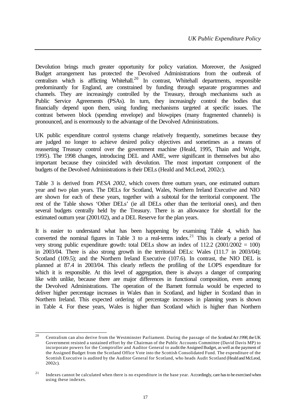Devolution brings much greater opportunity for policy variation. Moreover, the Assigned Budget arrangement has protected the Devolved Administrations from the outbreak of centralism which is afflicting Whitehall.<sup>20</sup> In contrast, Whitehall departments, responsible predominantly for England, are constrained by funding through separate programmes and channels. They are increasingly controlled by the Treasury, through mechanisms such as Public Service Agreements (PSAs). In turn, they increasingly control the bodies that financially depend upon them, using funding mechanisms targeted at specific issues. The contrast between block (spending envelope) and blowpipes (many fragmented channels) is pronounced, and is enormously to the advantage of the Devolved Administrations.

UK public expenditure control systems change relatively frequently, sometimes because they are judged no longer to achieve desired policy objectives and sometimes as a means of reasserting Treasury control over the government machine (Heald, 1995, Thain and Wright, 1995). The 1998 changes, introducing DEL and AME, were significant in themselves but also important because they coincided with devolution. The most important component of the budgets of the Devolved Administrations is their DELs (Heald and McLeod, 2002c).

Table 3 is derived from *PESA 2002*, which covers three outturn years, one estimated outturn year and two plan years. The DELs for Scotland, Wales, Northern Ireland Executive and NIO are shown for each of these years, together with a subtotal for the territorial component. The rest of the Table shows 'Other DELs' (ie all DELs other than the territorial ones), and then several budgets centrally held by the Treasury. There is an allowance for shortfall for the estimated outturn year (2001/02), and a DEL Reserve for the plan years.

It is easier to understand what has been happening by examining Table 4, which has converted the nominal figures in Table 3 to a real-terms index.<sup>21</sup> This is clearly a period of very strong public expenditure growth: total DELs show an index of  $112.2$  (2001/2002 = 100) in 2003/04. There is also strong growth in the territorial DELs: Wales (111.7 in 2003/04); Scotland (109.5); and the Northern Ireland Executive (107.6). In contrast, the NIO DEL is planned at 87.4 in 2003/04. This clearly reflects the profiling of the LOPS expenditure for which it is responsible. At this level of aggregation, there is always a danger of comparing like with unlike, because there are major differences in functional composition, even among the Devolved Administrations. The operation of the Barnett formula would be expected to deliver higher percentage increases in Wales than in Scotland, and higher in Scotland than in Northern Ireland. This expected ordering of percentage increases in planning years is shown in Table 4. For these years, Wales is higher than Scotland which is higher than Northern

 $20^{\circ}$ <sup>20</sup> Centralism can also derive from the Westminster Parliament. During the passage of the *Scotland Act 1998*, the UK Government resisted a sustained effort by the Chairman of the Public Accounts Committee (David Davis MP) to incorporate powers for the Comptroller and Auditor General to audit the Assigned Budget, as well as the payment of the Assigned Budget from the Scotland Office Vote into the Scottish Consolidated Fund. The expenditure of the Scottish Executive is audited by the Auditor General for Scotland, who heads Audit Scotland (Heald and McLeod, 2002c).

<sup>&</sup>lt;sup>21</sup> Indexes cannot be calculated when there is no expenditure in the base year. Accordingly, care has to be exercised when using these indexes.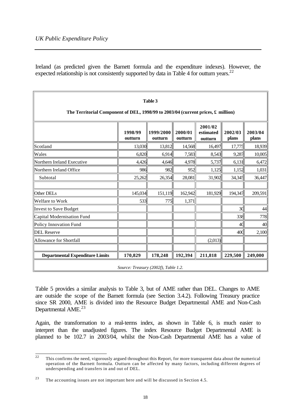Ireland (as predicted given the Barnett formula and the expenditure indexes). However, the expected relationship is not consistently supported by data in Table 4 for outturn years.<sup>22</sup>

| Table 3<br>The Territorial Component of DEL, 1998/99 to 2003/04 (current prices, $\pounds$ million) |                                      |                      |                    |                                 |                  |                  |  |  |  |  |  |
|-----------------------------------------------------------------------------------------------------|--------------------------------------|----------------------|--------------------|---------------------------------|------------------|------------------|--|--|--|--|--|
|                                                                                                     | 1998/99<br>outturn                   | 1999/2000<br>outturn | 2000/01<br>outturn | 2001/02<br>estimated<br>outturn | 2002/03<br>plans | 2003/04<br>plans |  |  |  |  |  |
| <b>Scotland</b>                                                                                     | 13,030                               | 13,812               | 14,568             | 16,497                          | 17,775           | 18,939           |  |  |  |  |  |
| Wales                                                                                               | 6,820                                | 6,914                | 7,583              | 8,543                           | 9,287            | 10,005           |  |  |  |  |  |
| Northern Ireland Executive                                                                          | 4,426                                | 4,646                | 4,978              | 5,737                           | 6,131            | 6,472            |  |  |  |  |  |
| Northern Ireland Office                                                                             | 986                                  | 982                  | 952                | 1,125                           | 1,152            | 1,031            |  |  |  |  |  |
| Subtotal                                                                                            | 25,262                               | 26,354               | 28,081             | 31,902                          | 34,345           | 36,447           |  |  |  |  |  |
|                                                                                                     |                                      |                      |                    |                                 |                  |                  |  |  |  |  |  |
| Other DELs                                                                                          | 145,034                              | 151,119              | 162,942            | 181,929                         | 194,347          | 209,591          |  |  |  |  |  |
| Welfare to Work                                                                                     | 533                                  | 775                  | 1,371              |                                 |                  |                  |  |  |  |  |  |
| Invest to Save Budget                                                                               |                                      |                      |                    |                                 | 30               | 44               |  |  |  |  |  |
| Capital Modernisation Fund                                                                          |                                      |                      |                    |                                 | 338              | 778              |  |  |  |  |  |
| Policy Innovation Fund                                                                              |                                      |                      |                    |                                 | 40               | 40               |  |  |  |  |  |
| <b>DEL Reserve</b>                                                                                  |                                      |                      |                    |                                 | 400              | 2,100            |  |  |  |  |  |
| Allowance for Shortfall                                                                             |                                      |                      |                    | (2,013)                         |                  |                  |  |  |  |  |  |
|                                                                                                     |                                      |                      |                    |                                 |                  |                  |  |  |  |  |  |
| <b>Departmental Expenditure Limits</b>                                                              | 170,829                              | 178,248              | 192,394            | 211,818                         | 229,500          | 249,000          |  |  |  |  |  |
|                                                                                                     | Source: Treasury (2002f), Table 1.2. |                      |                    |                                 |                  |                  |  |  |  |  |  |

Table 5 provides a similar analysis to Table 3, but of AME rather than DEL. Changes to AME are outside the scope of the Barnett formula (see Section 3.4.2). Following Treasury practice since SR 2000, AME is divided into the Resource Budget Departmental AME and Non-Cash Departmental AME.<sup>23</sup>

Again, the transformation to a real-terms index, as shown in Table 6, is much easier to interpret than the unadjusted figures. The index Resource Budget Departmental AME is planned to be 102.7 in 2003/04, whilst the Non-Cash Departmental AME has a value of

 $\overline{22}$ <sup>22</sup> This confirms the need, vigorously argued throughout this Report, for more transparent data about the numerical operation of the Barnett formula. Outturn can be affected by many factors, including different degrees of underspending and transfers in and out of DEL.

<sup>23</sup> The accounting issues are not important here and will be discussed in Section 4.5.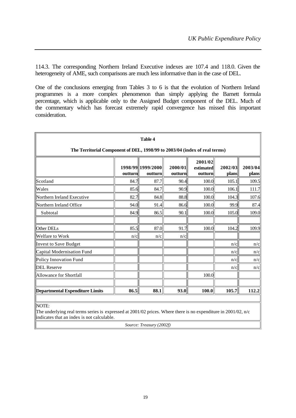114.3. The corresponding Northern Ireland Executive indexes are 107.4 and 118.0. Given the heterogeneity of AME, such comparisons are much less informative than in the case of DEL.

One of the conclusions emerging from Tables 3 to 6 is that the evolution of Northern Ireland programmes is a more complex phenomenon than simply applying the Barnett formula percentage, which is applicable only to the Assigned Budget component of the DEL. Much of the commentary which has forecast extremely rapid convergence has missed this important consideration.

| Table 4                                                                    |         |                              |                    |                                 |                  |                  |  |  |  |  |  |
|----------------------------------------------------------------------------|---------|------------------------------|--------------------|---------------------------------|------------------|------------------|--|--|--|--|--|
| The Territorial Component of DEL, 1998/99 to 2003/04 (index of real terms) |         |                              |                    |                                 |                  |                  |  |  |  |  |  |
|                                                                            | outturn | 1998/99 1999/2000<br>outturn | 2000/01<br>outturn | 2001/02<br>estimated<br>outturn | 2002/03<br>plans | 2003/04<br>plans |  |  |  |  |  |
| Scotland                                                                   | 84.7    | 87.7                         | 90.4               | 100.0                           | 105.1            | 109.5            |  |  |  |  |  |
| Wales                                                                      | 85.6    | 84.7                         | 90.9               | 100.0                           | 106.1            | 111.7            |  |  |  |  |  |
| Northern Ireland Executive                                                 | 82.7    | 84.8                         | 88.8               | 100.0                           | 104.3            | 107.6            |  |  |  |  |  |
| Northern Ireland Office                                                    | 94.0    | 91.4                         | 86.6               | 100.0                           | 99.9             | 87.4             |  |  |  |  |  |
| Subtotal                                                                   | 84.9    | 86.5                         | 90.1               | 100.0                           | 105.0            | 109.0            |  |  |  |  |  |
| Other DELs                                                                 | 85.5    | 87.0                         | 91.7               | 100.0                           | 104.2            | 109.9            |  |  |  |  |  |
| Welfare to Work<br>Invest to Save Budget                                   | n/c     | n/c                          | n/c                |                                 | n/c              | n/c              |  |  |  |  |  |
| Capital Modernisation Fund                                                 |         |                              |                    |                                 | n/c              | n/c              |  |  |  |  |  |
| Policy Innovation Fund                                                     |         |                              |                    |                                 | n/c              | n/c              |  |  |  |  |  |
| <b>DEL Reserve</b>                                                         |         |                              |                    |                                 | n/c              | n/c              |  |  |  |  |  |
| Allowance for Shortfall                                                    |         |                              |                    | 100.0                           |                  |                  |  |  |  |  |  |
| Departmental Expenditure Limits<br>86.5<br>88.1<br>93.0<br>100.0<br>105.7  |         |                              |                    |                                 |                  |                  |  |  |  |  |  |

NOTE:

The underlying real terms series is expressed at 2001/02 prices. Where there is no expenditure in 2001/02, n/c indicates that an index is not calculable.

*Source: Treasury (2002f)*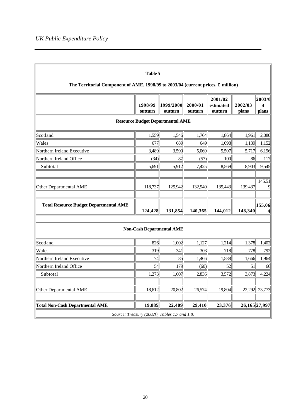| Table 5                                                                                  |                    |                                               |                    |                                 |                  |                                      |  |  |  |
|------------------------------------------------------------------------------------------|--------------------|-----------------------------------------------|--------------------|---------------------------------|------------------|--------------------------------------|--|--|--|
| The Territorial Component of AME, 1998/99 to 2003/04 (current prices, $\pounds$ million) |                    |                                               |                    |                                 |                  |                                      |  |  |  |
|                                                                                          | 1998/99<br>outturn | 1999/2000<br>outturn                          | 2000/01<br>outturn | 2001/02<br>estimated<br>outturn | 2002/03<br>plans | 2003/0 <br>$\boldsymbol{4}$<br>plans |  |  |  |
|                                                                                          |                    | <b>Resource Budget Departmental AME</b>       |                    |                                 |                  |                                      |  |  |  |
| Scotland                                                                                 | 1,559              | 1,546                                         | 1,764              | 1,864                           | 1,961            | 2,080                                |  |  |  |
| Wales                                                                                    | 677                | 689                                           | 649                | 1,098                           | 1,139            | 1,152                                |  |  |  |
| Northern Ireland Executive                                                               | 3,489              | 3,590                                         | 5,069              | 5,507                           | 5,717            | 6,196                                |  |  |  |
| Northern Ireland Office                                                                  | (34)               | 87                                            | (57)               | 100                             | 86               | 117                                  |  |  |  |
| Subtotal                                                                                 | 5,691              | 5,912                                         | 7,425              | 8,569                           | 8,903            | 9,545                                |  |  |  |
|                                                                                          |                    |                                               |                    |                                 |                  |                                      |  |  |  |
| Other Departmental AME                                                                   | 118,737            | 125,942                                       | 132,940            | 135,443                         | 139,437          | 145,51<br>9                          |  |  |  |
|                                                                                          |                    |                                               |                    |                                 |                  |                                      |  |  |  |
| <b>Total Resource Budget Departmental AME</b>                                            | 124,428            | 131,854                                       | 140,365            | 144,012                         | 148,340          | 155,06 <br>4                         |  |  |  |
|                                                                                          |                    |                                               |                    |                                 |                  |                                      |  |  |  |
|                                                                                          |                    | <b>Non-Cash Departmental AME</b>              |                    |                                 |                  |                                      |  |  |  |
| Scotland                                                                                 | 826                | 1,002                                         | 1,127              | 1,214                           | 1,378            | 1,402                                |  |  |  |
| Wales                                                                                    | 319                | 341                                           | 303                | 718                             | 778              | 792                                  |  |  |  |
| Northern Ireland Executive                                                               | 74                 | 85                                            | 1,466              | 1,588                           | 1,666            | 1,964                                |  |  |  |
| Northern Ireland Office                                                                  | 54                 | 179                                           | (60)               | 52                              | 51               | 66                                   |  |  |  |
| Subtotal                                                                                 | 1,273              | 1,607                                         | 2,836              | 3,572                           | 3,873            | 4,224                                |  |  |  |
|                                                                                          |                    |                                               |                    |                                 |                  |                                      |  |  |  |
| Other Departmental AME                                                                   | 18,612             | 20,802                                        | 26,574             | 19,804                          |                  | 22,292 23,773                        |  |  |  |
| <b>Total Non-Cash Departmental AME</b>                                                   | 19,885             | 22,409                                        | 29,410             | 23,376                          | 26,165 27,997    |                                      |  |  |  |
|                                                                                          |                    | Source: Treasury (2002f), Tables 1.7 and 1.8. |                    |                                 |                  |                                      |  |  |  |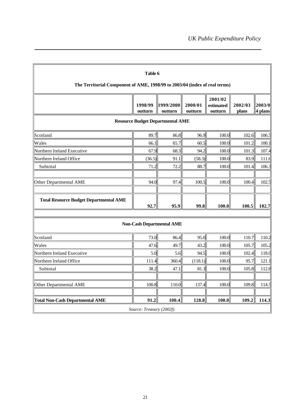| Table 6<br>The Territorial Component of AME, 1998/99 to 2003/04 (index of real terms)                                                        |        |                                  |         |       |       |       |  |  |  |  |  |
|----------------------------------------------------------------------------------------------------------------------------------------------|--------|----------------------------------|---------|-------|-------|-------|--|--|--|--|--|
| 2001/02<br>1998/99<br>1999/2000<br>2002/03<br>2003/0<br>2000/01<br>estimated<br>4 plans<br>outturn<br>outturn<br>outturn<br>outturn<br>plans |        |                                  |         |       |       |       |  |  |  |  |  |
| <b>Resource Budget Departmental AME</b>                                                                                                      |        |                                  |         |       |       |       |  |  |  |  |  |
| Scotland                                                                                                                                     | 89.7   | 86.8                             | 96.9    | 100.0 | 102.6 | 106.5 |  |  |  |  |  |
| Wales                                                                                                                                        | 66.1   | 65.7                             | 60.5    | 100.0 | 101.2 | 100.1 |  |  |  |  |  |
| Northern Ireland Executive                                                                                                                   | 67.9   | 68.3                             | 94.2    | 100.0 | 101.3 | 107.4 |  |  |  |  |  |
| Northern Ireland Office                                                                                                                      | (36.5) | 91.1                             | (58.3)  | 100.0 | 83.9  | 111.6 |  |  |  |  |  |
| Subtotal                                                                                                                                     | 71.2   | 72.2                             | 88.7    | 100.0 | 101.4 | 106.3 |  |  |  |  |  |
| Other Departmental AME                                                                                                                       | 94.0   | 97.4                             | 100.5   | 100.0 | 100.4 | 102.5 |  |  |  |  |  |
| <b>Total Resource Budget Departmental AME</b>                                                                                                | 92.7   | 95.9                             | 99.8    | 100.0 | 100.5 | 102.7 |  |  |  |  |  |
|                                                                                                                                              |        | <b>Non-Cash Departmental AME</b> |         |       |       |       |  |  |  |  |  |
| Scotland                                                                                                                                     | 73.0   | 86.4                             | 95.0    | 100.0 | 110.7 | 110.2 |  |  |  |  |  |
| Wales                                                                                                                                        | 47.6   | 49.7                             | 43.2    | 100.0 | 105.7 | 105.2 |  |  |  |  |  |
| Northern Ireland Executive                                                                                                                   | 5.0    | 5.6                              | 94.5    | 100.0 | 102.4 | 118.0 |  |  |  |  |  |
| Northern Ireland Office                                                                                                                      | 111.4  | 360.4                            | (118.1) | 100.0 | 95.7  | 121.1 |  |  |  |  |  |
| Subtotal                                                                                                                                     | 38.2   | 47.1                             | 81.3    | 100.0 | 105.8 | 112.8 |  |  |  |  |  |
| Other Departmental AME                                                                                                                       | 100.8  | 110.0                            | 137.4   | 100.0 | 109.8 | 114.5 |  |  |  |  |  |
| <b>Total Non-Cash Departmental AME</b>                                                                                                       | 91.2   | 100.4                            | 128.8   | 100.0 | 109.2 | 114.3 |  |  |  |  |  |
| Source: Treasury (2002f).                                                                                                                    |        |                                  |         |       |       |       |  |  |  |  |  |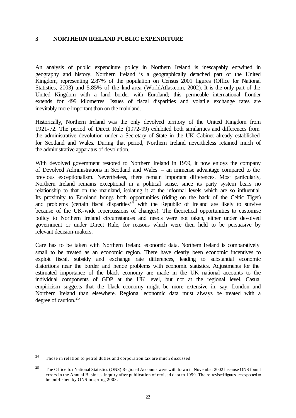#### **3 NORTHERN IRELAND PUBLIC EXPENDITURE**

An analysis of public expenditure policy in Northern Ireland is inescapably entwined in geography and history. Northern Ireland is a geographically detached part of the United Kingdom, representing 2.87% of the population on Census 2001 figures (Office for National Statistics, 2003) and 5.85% of the land area (WorldAtlas.com, 2002). It is the only part of the United Kingdom with a land border with Euroland; this permeable international frontier extends for 499 kilometres. Issues of fiscal disparities and volatile exchange rates are inevitably more important than on the mainland.

Historically, Northern Ireland was the only devolved territory of the United Kingdom from 1921-72. The period of Direct Rule (1972-99) exhibited both similarities and differences from the administrative devolution under a Secretary of State in the UK Cabinet already established for Scotland and Wales. During that period, Northern Ireland nevertheless retained much of the administrative apparatus of devolution.

With devolved government restored to Northern Ireland in 1999, it now enjoys the company of Devolved Administrations in Scotland and Wales – an immense advantage compared to the previous exceptionalism. Nevertheless, there remain important differences. Most particularly, Northern Ireland remains exceptional in a political sense, since its party system bears no relationship to that on the mainland, isolating it at the informal levels which are so influential. Its proximity to Euroland brings both opportunities (riding on the back of the Celtic Tiger) and problems (certain fiscal disparities<sup>24</sup> with the Republic of Ireland are likely to survive because of the UK-wide repercussions of changes). The theoretical opportunities to customise policy to Northern Ireland circumstances and needs were not taken, either under devolved government or under Direct Rule, for reasons which were then held to be persuasive by relevant decision-makers.

Care has to be taken with Northern Ireland economic data. Northern Ireland is comparatively small to be treated as an economic region. There have clearly been economic incentives to exploit fiscal, subsidy and exchange rate differences, leading to substantial economic distortions near the border and hence problems with economic statistics. Adjustments for the estimated importance of the black economy are made in the UK national accounts to the individual components of GDP at the UK level, but not at the regional level. Casual empiricism suggests that the black economy might be more extensive in, say, London and Northern Ireland than elsewhere. Regional economic data must always be treated with a degree of caution.<sup>25</sup>

 $24$ Those in relation to petrol duties and corporation tax are much discussed.

<sup>&</sup>lt;sup>25</sup> The Office for National Statistics (ONS) Regional Accounts were withdrawn in November 2002 because ONS found errors in the Annual Business Inquiry after publication of revised data to 1999. The re -revised figures are expected to be published by ONS in spring 2003.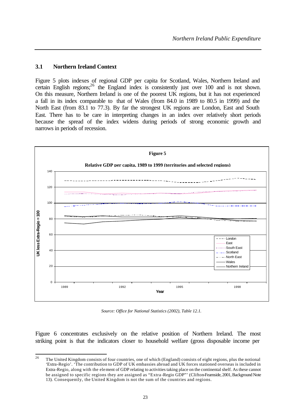#### **3.1 Northern Ireland Context**

Figure 5 plots indexes of regional GDP per capita for Scotland, Wales, Northern Ireland and certain English regions;<sup>26</sup> the England index is consistently just over 100 and is not shown. On this measure, Northern Ireland is one of the poorest UK regions, but it has not experienced a fall in its index comparable to that of Wales (from 84.0 in 1989 to 80.5 in 1999) and the North East (from 83.1 to 77.3). By far the strongest UK regions are London, East and South East. There has to be care in interpreting changes in an index over relatively short periods because the spread of the index widens during periods of strong economic growth and narrows in periods of recession.



*Source: Office for National Statistics (2002), Table 12.1.*

Figure 6 concentrates exclusively on the relative position of Northern Ireland. The most striking point is that the indicators closer to household welfare (gross disposable income per

 $26$ <sup>26</sup> The United Kingdom consists of four countries, one of which (England) consists of eight regions, plus the notional 'Extra-Regio'. 'The contribution to GDP of UK embassies abroad and UK forces stationed overseas is included in Extra-Regio, along with the element of GDP relating to activities taking place on the continental shelf. As these cannot be assigned to specific regions they are assigned as "Extra -Regio GDP"' (Clifton-Fearnside, 2001, Background Note 13). Consequently, the United Kingdom is not the sum of the countries and regions.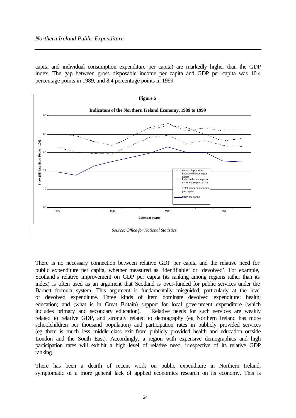capita and individual consumption expenditure per capita) are markedly higher than the GDP index. The gap between gross disposable income per capita and GDP per capita was 10.4 percentage points in 1989, and 8.4 percentage points in 1999.



*Source: Office for National Statistics.*

There is no necessary connection between relative GDP per capita and the relative need for public expenditure per capita, whether measured as 'identifiable' or 'devolved'. For example, Scotland's relative improvement on GDP per capita (its ranking among regions rather than its index) is often used as an argument that Scotland is over-funded for public services under the Barnett formula system. This argument is fundamentally misguided, particularly at the level of devolved expenditure. Three kinds of item dominate devolved expenditure: health; education; and (what is in Great Britain) support for local government expenditure (which includes primary and secondary education). Relative needs for such services are weakly related to relative GDP, and strongly related to demography (eg Northern Ireland has more schoolchildren per thousand population) and participation rates in publicly provided services (eg there is much less middle-class exit from publicly provided health and education outside London and the South East). Accordingly, a region with expensive demographics and high participation rates will exhibit a high level of relative need, irrespective of its relative GDP ranking.

There has been a dearth of recent work on public expenditure in Northern Ireland, symptomatic of a more general lack of applied economics research on its economy. This is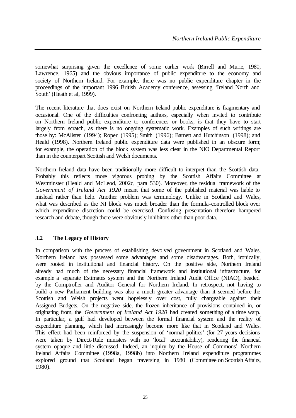somewhat surprising given the excellence of some earlier work (Birrell and Murie, 1980, Lawrence, 1965) and the obvious importance of public expenditure to the economy and society of Northern Ireland. For example, there was no public expenditure chapter in the proceedings of the important 1996 British Academy conference, assessing 'Ireland North and South' (Heath et al, 1999).

The recent literature that does exist on Northern Ireland public expenditure is fragmentary and occasional. One of the difficulties confronting authors, especially when invited to contribute on Northern Ireland public expenditure to conferences or books, is that they have to start largely from scratch, as there is no ongoing systematic work. Examples of such writings are those by: McAlister (1994); Roper (1995); Smith (1996); Barnett and Hutchinson (1998); and Heald (1998). Northern Ireland public expenditure data were published in an obscure form; for example, the operation of the block system was less clear in the NIO Departmental Report than in the counterpart Scottish and Welsh documents.

Northern Ireland data have been traditionally more difficult to interpret than the Scottish data. Probably this reflects more vigorous probing by the Scottish Affairs Committee at Westminster (Heald and McLeod, 2002c, para 530). Moreover, the residual framework of the *Government of Ireland Act 1920* meant that some of the published material was liable to mislead rather than help. Another problem was terminology. Unlike in Scotland and Wales, what was described as the NI block was much broader than the formula-controlled block over which expenditure discretion could be exercised. Confusing presentation therefore hampered research and debate, though there were obviously inhibitors other than poor data.

# **3.2 The Legacy of History**

In comparison with the process of establishing devolved government in Scotland and Wales, Northern Ireland has possessed some advantages and some disadvantages. Both, ironically, were rooted in institutional and financial history. On the positive side, Northern Ireland already had much of the necessary financial framework and institutional infrastructure, for example a separate Estimates system and the Northern Ireland Audit Office (NIAO), headed by the Comptroller and Auditor General for Northern Ireland. In retrospect, not having to build a new Parliament building was also a much greater advantage than it seemed before the Scottish and Welsh projects went hopelessly over cost, fully chargeable against their Assigned Budgets. On the negative side, the frozen inheritance of provisions contained in, or originating from, the *Government of Ireland Act 1920* had created something of a time warp. In particular, a gulf had developed between the formal financial system and the reality of expenditure planning, which had increasingly become more like that in Scotland and Wales. This effect had been reinforced by the suspension of 'normal politics' (for 27 years decisions were taken by Direct-Rule ministers with no 'local' accountability), rendering the financial system opaque and little discussed. Indeed, an inquiry by the House of Commons' Northern Ireland Affairs Committee (1998a, 1998b) into Northern Ireland expenditure programmes explored ground that Scotland began traversing in 1980 (Committee on Scottish Affairs, 1980).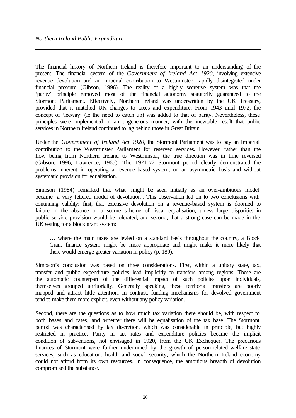The financial history of Northern Ireland is therefore important to an understanding of the present. The financial system of the *Government of Ireland Act 1920*, involving extensive revenue devolution and an Imperial contribution to Westminster, rapidly disintegrated under financial pressure (Gibson, 1996). The reality of a highly secretive system was that the 'parity' principle removed most of the financial autonomy statutorily guaranteed to the Stormont Parliament. Effectively, Northern Ireland was underwritten by the UK Treasury, provided that it matched UK changes to taxes and expenditure. From 1943 until 1972, the concept of 'leeway' (ie the need to catch up) was added to that of parity. Nevertheless, these principles were implemented in an ungenerous manner, with the inevitable result that public services in Northern Ireland continued to lag behind those in Great Britain.

Under the *Government of Ireland Act 1920*, the Stormont Parliament was to pay an Imperial contribution to the Westminster Parliament for reserved services. However, rather than the flow being from Northern Ireland to Westminster, the true direction was in time reversed (Gibson, 1996, Lawrence, 1965). The 1921-72 Stormont period clearly demonstrated the problems inherent in operating a revenue-based system, on an asymmetric basis and without systematic provision for equalisation.

Simpson (1984) remarked that what 'might be seen initially as an over-ambitious model' became 'a very fettered model of devolution'. This observation led on to two conclusions with continuing validity: first, that extensive devolution on a revenue-based system is doomed to failure in the absence of a secure scheme of fiscal equalisation, unless large disparities in public service provision would be tolerated; and second, that a strong case can be made in the UK setting for a block grant system:

… where the main taxes are levied on a standard basis throughout the country, a Block Grant finance system might be more appropriate and might make it more likely that there would emerge greater variation in policy (p. 189).

Simpson's conclusion was based on three considerations. First, within a unitary state, tax, transfer and public expenditure policies lead implicitly to transfers among regions. These are the automatic counterpart of the differential impact of such policies upon individuals, themselves grouped territorially. Generally speaking, these territorial transfers are poorly mapped and attract little attention. In contrast, funding mechanisms for devolved government tend to make them more explicit, even without any policy variation.

Second, there are the questions as to how much tax variation there should be, with respect to both bases and rates, and whether there will be equalisation of the tax base. The Stormont period was characterised by tax discretion, which was considerable in principle, but highly restricted in practice. Parity in tax rates and expenditure policies became the implicit condition of subventions, not envisaged in 1920, from the UK Exchequer. The precarious finances of Stormont were further undermined by the growth of person-related welfare state services, such as education, health and social security, which the Northern Ireland economy could not afford from its own resources. In consequence, the ambitious breadth of devolution compromised the substance.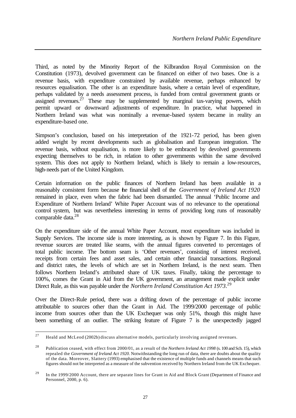Third, as noted by the Minority Report of the Kilbrandon Royal Commission on the Constitution (1973), devolved government can be financed on either of two bases. One is a revenue basis, with expenditure constrained by available revenue, perhaps enhanced by resources equalisation. The other is an expenditure basis, where a certain level of expenditure, perhaps validated by a needs assessment process, is funded from central government grants or assigned revenues. $27$  These may be supplemented by marginal tax-varying powers, which permit upward or downward adjustments of expenditure. In practice, what happened in Northern Ireland was what was nominally a revenue-based system became in reality an expenditure-based one.

Simpson's conclusion, based on his interpretation of the 1921-72 period, has been given added weight by recent developments such as globalisation and European integration. The revenue basis, without equalisation, is more likely to be embraced by devolved governments expecting themselves to be rich, in relation to other governments within the same devolved system. This does not apply to Northern Ireland, which is likely to remain a low-resources, high-needs part of the United Kingdom.

Certain information on the public finances of Northern Ireland has been available in a reasonably consistent form because the financial shell of the *Government of Ireland Act 1920*  remained in place, even when the fabric had been dismantled. The annual 'Public Income and Expenditure of Northern Ireland' White Paper Account was of no relevance to the operational control system, but was nevertheless interesting in terms of providing long runs of reasonably comparable data.<sup>28</sup>

On the expenditure side of the annual White Paper Account, most expenditure was included in Supply Services. The income side is more interesting, as is shown by Figure 7. In this Figure, revenue sources are treated like seams, with the annual figures converted to percentages of total public income. The bottom seam is 'Other revenues', consisting of interest received, receipts from certain fees and asset sales, and certain other financial transactions. Regional and district rates, the levels of which are set in Northern Ireland, is the next seam. Then follows Northern Ireland's attributed share of UK taxes. Finally, taking the percentage to 100%, comes the Grant in Aid from the UK government, an arrangement made explicit under Direct Rule, as this was payable under the *Northern Ireland Constitution Act 1973*. 29

Over the Direct-Rule period, there was a drifting down of the percentage of public income attributable to sources other than the Grant in Aid. The 1999/2000 percentage of public income from sources other than the UK Exchequer was only 51%, though this might have been something of an outlier. The striking feature of Figure 7 is the unexpectedly jagged

<sup>27</sup> <sup>27</sup> Heald and McLeod (2002b) discuss alternative models, particularly involving assigned revenues.

<sup>28</sup> Publication ceased, with effect from 2000/01, as a result of the *Northern Ireland Act 1998* (s. 100 and Sch. 15), which repealed the *Government of Ireland Act 1920*. Notwithstanding the long run of data, there are doubts about the quality of the data. Moreover, Slattery (1993) emphasised that the existence of multiple funds and channels means that such figures should not be interpreted as a measure of the subvention received by Northern Ireland from the UK Exchequer.

<sup>&</sup>lt;sup>29</sup> In the 1999/2000 Account, there are separate lines for Grant in Aid and Block Grant (Department of Finance and Personnel, 2000, p. 6).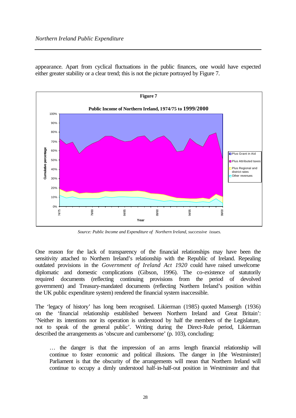appearance. Apart from cyclical fluctuations in the public finances, one would have expected either greater stability or a clear trend; this is not the picture portrayed by Figure 7.



*Source: Public Income and Expenditure of Northern Ireland, successive issues.*

One reason for the lack of transparency of the financial relationships may have been the sensitivity attached to Northern Ireland's relationship with the Republic of Ireland. Repealing outdated provisions in the *Government of Ireland Act 1920* could have raised unwelcome diplomatic and domestic complications (Gibson, 1996). The co-existence of statutorily required documents (reflecting continuing provisions from the period of devolved government) and Treasury-mandated documents (reflecting Northern Ireland's position within the UK public expenditure system) rendered the financial system inaccessible.

The 'legacy of history' has long been recognised. Likierman (1985) quoted Mansergh (1936) on the 'financial relationship established between Northern Ireland and Great Britain': 'Neither its intentions nor its operation is understood by half the members of the Legislature, not to speak of the general public'. Writing during the Direct-Rule period, Likierman described the arrangements as 'obscure and cumbersome' (p. 103), concluding:

… the danger is that the impression of an arms length financial relationship will continue to foster economic and political illusions. The danger in [the Westminster] Parliament is that the obscurity of the arrangements will mean that Northern Ireland will continue to occupy a dimly understood half-in-half-out position in Westminster and that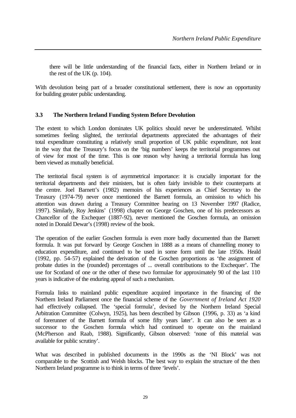there will be little understanding of the financial facts, either in Northern Ireland or in the rest of the UK (p. 104).

With devolution being part of a broader constitutional settlement, there is now an opportunity for building greater public understanding.

#### **3.3 The Northern Ireland Funding System Before Devolution**

The extent to which London dominates UK politics should never be underestimated. Whilst sometimes feeling slighted, the territorial departments appreciated the advantages of their total expenditure constituting a relatively small proportion of UK public expenditure, not least in the way that the Treasury's focus on the 'big numbers' keeps the territorial programmes out of view for most of the time. This is one reason why having a territorial formula has long been viewed as mutually beneficial.

The territorial fiscal system is of asymmetrical importance: it is crucially important for the territorial departments and their ministers, but is often fairly invisible to their counterparts at the centre. Joel Barnett's (1982) memoirs of his experiences as Chief Secretary to the Treasury (1974-79) never once mentioned the Barnett formula, an omission to which his attention was drawn during a Treasury Committee hearing on 13 November 1997 (Radice, 1997). Similarly, Roy Jenkins' (1998) chapter on George Goschen, one of his predecessors as Chancellor of the Exchequer (1887-92), never mentioned the Goschen formula, an omission noted in Donald Dewar's (1998) review of the book.

The operation of the earlier Goschen formula is even more badly documented than the Barnett formula. It was put forward by George Goschen in 1888 as a means of channelling money to education expenditure, and continued to be used in some form until the late 1950s. Heald (1992, pp. 54-57) explained the derivation of the Goschen proportions as 'the assignment of probate duties in the (rounded) percentages of ... overall contributions to the Exchequer'. The use for Scotland of one or the other of these two formulae for approximately 90 of the last 110 years is indicative of the enduring appeal of such a mechanism.

Formula links to mainland public expenditure acquired importance in the financing of the Northern Ireland Parliament once the financial scheme of the *Government of Ireland Act 1920* had effectively collapsed. The 'special formula', devised by the Northern Ireland Special Arbitration Committee (Colwyn, 1925), has been described by Gibson (1996, p. 33) as 'a kind of forerunner of the Barnett formula of some fifty years later'. It can also be seen as a successor to the Goschen formula which had continued to operate on the mainland (McPherson and Raab, 1988). Significantly, Gibson observed: 'none of this material was available for public scrutiny'.

What was described in published documents in the 1990s as the 'NI Block' was not comparable to the Scottish and Welsh blocks. The best way to explain the structure of the then Northern Ireland programme is to think in terms of three 'levels'.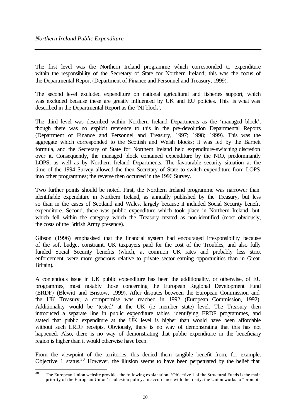The first level was the Northern Ireland programme which corresponded to expenditure within the responsibility of the Secretary of State for Northern Ireland; this was the focus of the Departmental Report (Department of Finance and Personnel and Treasury, 1999).

The second level excluded expenditure on national agricultural and fisheries support, which was excluded because these are greatly influenced by UK and EU policies. This is what was described in the Departmental Report as the 'NI block'.

The third level was described within Northern Ireland Departments as the 'managed block', though there was no explicit reference to this in the pre-devolution Departmental Reports (Department of Finance and Personnel and Treasury, 1997; 1998; 1999). This was the aggregate which corresponded to the Scottish and Welsh blocks; it was fed by the Barnett formula, and the Secretary of State for Northern Ireland held expenditure-switching discretion over it. Consequently, the managed block contained expenditure by the NIO, predominantly LOPS, as well as by Northern Ireland Departments. The favourable security situation at the time of the 1994 Survey allowed the then Secretary of State to switch expenditure from LOPS into other programmes; the reverse then occurred in the 1996 Survey.

Two further points should be noted. First, the Northern Ireland programme was narrower than identifiable expenditure in Northern Ireland, as annually published by the Treasury, but less so than in the cases of Scotland and Wales, largely because it included Social Security benefit expenditure. Second, there was public expenditure which took place in Northern Ireland, but which fell within the category which the Treasury treated as non-identified (most obviously, the costs of the British Army presence).

Gibson (1996) emphasised that the financial system had encouraged irresponsibility because of the soft budget constraint. UK taxpayers paid for the cost of the Troubles, and also fully funded Social Security benefits (which, at common UK rates and probably less strict enforcement, were more generous relative to private sector earning opportunities than in Great Britain).

A contentious issue in UK public expenditure has been the additionality, or otherwise, of EU programmes, most notably those concerning the European Regional Development Fund (ERDF) (Blewitt and Bristow, 1999). After disputes between the European Commission and the UK Treasury, a compromise was reached in 1992 (European Commission, 1992). Additionality would be 'tested' at the UK (ie member state) level. The Treasury then introduced a separate line in public expenditure tables, identifying ERDF programmes, and stated that public expenditure at the UK level is higher than would have been affordable without such ERDF receipts. Obviously, there is no way of demonstrating that this has not happened. Also, there is no way of demonstrating that public expenditure in the beneficiary region is higher than it would otherwise have been.

From the viewpoint of the territories, this denied them tangible benefit from, for example, Objective 1 status.<sup>30</sup> However, the illusion seems to have been perpetuated by the belief that

 $\overline{30}$ The European Union website provides the following explanation: 'Objective 1 of the Structural Funds is the main priority of the European Union's cohesion policy. In accordance with the treaty, the Union works to "promote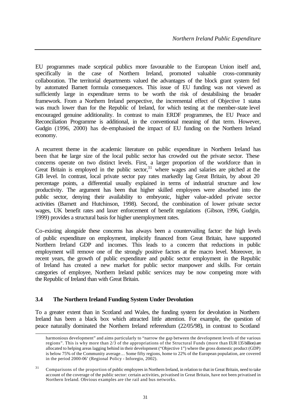EU programmes made sceptical publics more favourable to the European Union itself and, specifically in the case of Northern Ireland, promoted valuable cross-community collaboration. The territorial departments valued the advantages of the block grant system fed by automated Barnett formula consequences. This issue of EU funding was not viewed as sufficiently large in expenditure terms to be worth the risk of destabilising the broader framework. From a Northern Ireland perspective, the incremental effect of Objective 1 status was much lower than for the Republic of Ireland, for which testing at the member-state level encouraged genuine additionality. In contrast to main ERDF programmes, the EU Peace and Reconciliation Programme is additional, in the conventional meaning of that term. However, Gudgin (1996, 2000) has de-emphasised the impact of EU funding on the Northern Ireland economy.

A recurrent theme in the academic literature on public expenditure in Northern Ireland has been that the large size of the local public sector has crowded out the private sector. These concerns operate on two distinct levels. First, a larger proportion of the workforce than in Great Britain is employed in the public sector,  $31$  where wages and salaries are pitched at the GB level. In contrast, local private sector pay rates markedly lag Great Britain, by about 20 percentage points, a differential usually explained in terms of industrial structure and low productivity. The argument has been that higher skilled employees were absorbed into the public sector, denying their availability to embryonic, higher value-added private sector activities (Barnett and Hutchinson, 1998). Second, the combination of lower private sector wages, UK benefit rates and laxer enforcement of benefit regulations (Gibson, 1996, Gudgin, 1999) provides a structural basis for higher unemployment rates.

Co-existing alongside these concerns has always been a countervailing factor: the high levels of public expenditure on employment, implicitly financed from Great Britain, have supported Northern Ireland GDP and incomes. This leads to a concern that reductions in public employment will remove one of the strongly positive factors at the macro level. Moreover, in recent years, the growth of public expenditure and public sector employment in the Republic of Ireland has created a new market for public sector manpower and skills. For certain categories of employee, Northern Ireland public services may be now competing more with the Republic of Ireland than with Great Britain.

# **3.4 The Northern Ireland Funding System Under Devolution**

l

To a greater extent than in Scotland and Wales, the funding system for devolution in Northern Ireland has been a black box which attracted little attention. For example, the question of peace naturally dominated the Northern Ireland referendum (22/05/98), in contrast to Scotland

harmonious development" and aims particularly to "narrow the gap between the development levels of the various regions". This is why more than 2/3 of the appropriations of the Structural Funds (more than EUR 135 billion) are allocated to helping areas lagging behind in their development ("Objective 1") where the gross domestic product (GDP) is below 75% of the Community average… Some fifty regions, home to 22% of the European population, are covered in the period 2000-06' (Regional Policy - Inforegio, 2002).

<sup>&</sup>lt;sup>31</sup> Comparisons of the proportion of public employees in Northern Ireland, in relation to that in Great Britain, need to take account of the coverage of the public sector: certain activities, privatised in Great Britain, have not been privatised in Northern Ireland. Obvious examples are the rail and bus networks.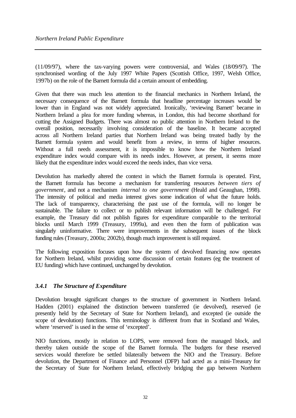(11/09/97), where the tax-varying powers were controversial, and Wales (18/09/97). The synchronised wording of the July 1997 White Papers (Scottish Office, 1997, Welsh Office, 1997b) on the role of the Barnett formula did a certain amount of embedding.

Given that there was much less attention to the financial mechanics in Northern Ireland, the necessary consequence of the Barnett formula that headline percentage increases would be lower than in England was not widely appreciated. Ironically, 'reviewing Barnett' became in Northern Ireland a plea for more funding whereas, in London, this had become shorthand for cutting the Assigned Budgets. There was almost no public attention in Northern Ireland to the overall position, necessarily involving consideration of the baseline. It became accepted across all Northern Ireland parties that Northern Ireland was being treated badly by the Barnett formula system and would benefit from a review, in terms of higher resources. Without a full needs assessment, it is impossible to know how the Northern Ireland expenditure index would compare with its needs index. However, at present, it seems more likely that the expenditure index would exceed the needs index, than vice versa.

Devolution has markedly altered the context in which the Barnett formula is operated. First, the Barnett formula has become a mechanism for transferring resources *between tiers of government*, and not a mechanism *internal to one government* (Heald and Geaughan, 1998). The intensity of political and media interest gives some indication of what the future holds. The lack of transparency, characterising the past use of the formula, will no longer be sustainable. The failure to collect or to publish relevant information will be challenged. For example, the Treasury did not publish figures for expenditure comparable to the territorial blocks until March 1999 (Treasury, 1999a), and even then the form of publication was singularly uninformative. There were improvements in the subsequent issues of the block funding rules (Treasury, 2000a; 2002b), though much improvement is still required.

The following exposition focuses upon how the system of devolved financing now operates for Northern Ireland, whilst providing some discussion of certain features (eg the treatment of EU funding) which have continued, unchanged by devolution.

# *3.4.1 The Structure of Expenditure*

Devolution brought significant changes to the structure of government in Northern Ireland. Hadden (2001) explained the distinction between transferred (ie devolved), reserved (ie presently held by the Secretary of State for Northern Ireland), and excepted (ie outside the scope of devolution) functions. This terminology is different from that in Scotland and Wales, where 'reserved' is used in the sense of 'excepted'.

NIO functions, mostly in relation to LOPS, were removed from the managed block, and thereby taken outside the scope of the Barnett formula. The budgets for these reserved services would therefore be settled bilaterally between the NIO and the Treasury. Before devolution, the Department of Finance and Personnel (DFP) had acted as a mini-Treasury for the Secretary of State for Northern Ireland, effectively bridging the gap between Northern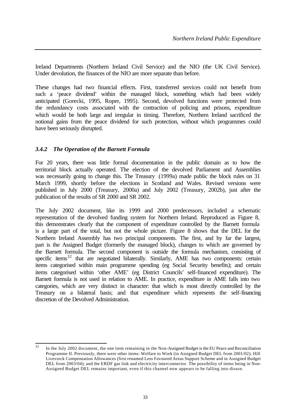Ireland Departments (Northern Ireland Civil Service) and the NIO (the UK Civil Service). Under devolution, the finances of the NIO are more separate than before.

These changes had two financial effects. First, transferred services could not benefit from such a 'peace dividend' within the managed block, something which had been widely anticipated (Gorecki, 1995, Roper, 1995). Second, devolved functions were protected from the redundancy costs associated with the contraction of policing and prisons, expenditure which would be both large and irregular in timing. Therefore, Northern Ireland sacrificed the notional gains from the peace dividend for such protection, without which programmes could have been seriously disrupted.

# *3.4.2 The Operation of the Barnett Formula*

For 20 years, there was little formal documentation in the public domain as to how the territorial block actually operated. The election of the devolved Parliament and Assemblies was necessarily going to change this. The Treasury (1999a) made public the block rules on 31 March 1999, shortly before the elections in Scotland and Wales. Revised versions were published in July 2000 (Treasury, 2000a) and July 2002 (Treasury, 2002b), just after the publication of the results of SR 2000 and SR 2002.

The July 2002 document, like its 1999 and 2000 predecessors, included a schematic representation of the devolved funding system for Northern Ireland. Reproduced as Figure 8, this demonstrates clearly that the component of expenditure controlled by the Barnett formula is a large part of the total, but not the whole picture. Figure 8 shows that the DEL for the Northern Ireland Assembly has two principal components. The first, and by far the largest, part is the Assigned Budget (formerly the managed block), changes to which are governed by the Barnett formula. The second component is outside the formula mechanism, consisting of specific items<sup>32</sup> that are negotiated bilaterally. Similarly, AME has two components: certain items categorised within main programme spending (eg Social Security benefits); and certain items categorised within 'other AME' (eg District Councils' self-financed expenditure). The Barnett formula is not used in relation to AME. In practice, expenditure in AME falls into two categories, which are very distinct in character: that which is most directly controlled by the Treasury on a bilateral basis; and that expenditure which represents the self-financing discretion of the Devolved Administration.

 $32<sub>0</sub>$ In the July 2002 document, the one item remaining in the Non-Assigned Budget is the EU Peace and Reconciliation Programme II. Previously, there were other items: Welfare to Work (in Assigned Budget DEL from 2001/02); Hill Livestock Compensation Allowances (first renamed Less Favoured Areas Support Scheme and in Assigned Budget DEL from 2003/04); and the ERDF gas link and electricity interconnector. The possibility of items being in Non-Assigned Budget DEL remains important, even if this channel now appears to be falling into disuse.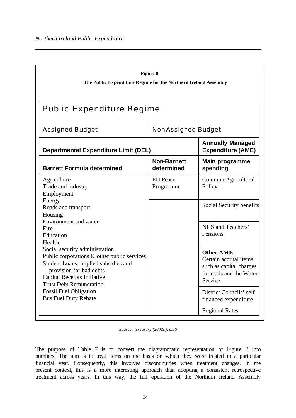| Figure 8<br>The Public Expenditure Regime for the Northern Ireland Assembly                                                                                                                                       |                                  |                                                                                                             |  |  |  |  |  |  |  |
|-------------------------------------------------------------------------------------------------------------------------------------------------------------------------------------------------------------------|----------------------------------|-------------------------------------------------------------------------------------------------------------|--|--|--|--|--|--|--|
| <b>Public Expenditure Regime</b>                                                                                                                                                                                  |                                  |                                                                                                             |  |  |  |  |  |  |  |
| <b>Assigned Budget</b>                                                                                                                                                                                            | <b>NonAssigned Budget</b>        |                                                                                                             |  |  |  |  |  |  |  |
| <b>Annually Managed</b><br><b>Expenditure (AME)</b><br><b>Departmental Expenditure Limit (DEL)</b>                                                                                                                |                                  |                                                                                                             |  |  |  |  |  |  |  |
| <b>Barnett Formula determined</b>                                                                                                                                                                                 | <b>Non-Barnett</b><br>determined | <b>Main programme</b><br>spending                                                                           |  |  |  |  |  |  |  |
| Agriculture<br>Trade and industry<br>Employment                                                                                                                                                                   | <b>EU</b> Peace<br>Programme     | Common Agricultural<br>Policy                                                                               |  |  |  |  |  |  |  |
| Energy<br>Roads and transport<br>Housing                                                                                                                                                                          |                                  | Social Security benefits                                                                                    |  |  |  |  |  |  |  |
| Environment and water<br>Fire<br>Education<br>Health                                                                                                                                                              |                                  | NHS and Teachers'<br>Pensions                                                                               |  |  |  |  |  |  |  |
| Social security administration<br>Public corporations & other public services<br>Student Loans: implied subsidies and<br>provision for bad debts<br>Capital Receipts Initiative<br><b>Trust Debt Remuneration</b> |                                  | <b>Other AME:</b><br>Certain accrual items<br>such as capital charges<br>for roads and the Water<br>Service |  |  |  |  |  |  |  |
| <b>Fossil Fuel Obligation</b><br><b>Bus Fuel Duty Rebate</b>                                                                                                                                                      |                                  | District Councils' self<br>financed expenditure                                                             |  |  |  |  |  |  |  |
|                                                                                                                                                                                                                   |                                  | <b>Regional Rates</b>                                                                                       |  |  |  |  |  |  |  |

*Source: Treasury (2002b), p.36*

The purpose of Table 7 is to convert the diagrammatic representation of Figure 8 into numbers. The aim is to treat items on the basis on which they were treated in a particular financial year. Consequently, this involves discontinuities when treatment changes. In the present context, this is a more interesting approach than adopting a consistent retrospective treatment across years. In this way, the full operation of the Northern Ireland Assembly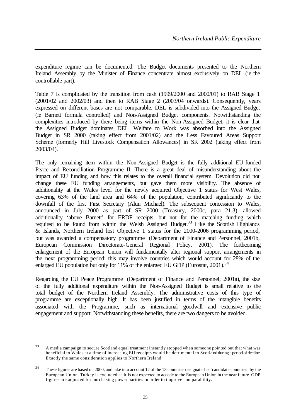expenditure regime can be documented. The Budget documents presented to the Northern Ireland Assembly by the Minister of Finance concentrate almost exclusively on DEL (ie the controllable part).

Table 7 is complicated by the transition from cash (1999/2000 and 2000/01) to RAB Stage 1 (2001/02 and 2002/03) and then to RAB Stage 2 (2003/04 onwards). Consequently, years expressed on different bases are not comparable. DEL is subdivided into the Assigned Budget (ie Barnett formula controlled) and Non-Assigned Budget components. Notwithstanding the complexities introduced by there being items within the Non-Assigned Budget, it is clear that the Assigned Budget dominates DEL. Welfare to Work was absorbed into the Assigned Budget in SR 2000 (taking effect from 2001/02) and the Less Favoured Areas Support Scheme (formerly Hill Livestock Compensation Allowances) in SR 2002 (taking effect from 2003/04).

The only remaining item within the Non-Assigned Budget is the fully additional EU-funded Peace and Reconciliation Programme II. There is a great deal of misunderstanding about the impact of EU funding and how this relates to the overall financial system. Devolution did not change these EU funding arrangements, but gave them more visibility. The absence of additionality at the Wales level for the newly acquired Objective 1 status for West Wales, covering 63% of the land area and 64% of the population, contributed significantly to the downfall of the first First Secretary (Alun Michael). The subsequent concession to Wales, announced in July 2000 as part of SR 2000 (Treasury, 2000c, para 21.3), allowed additionality 'above Barnett' for ERDF receipts, but not for the matching funding which required to be found from within the Welsh Assigned Budget.<sup>33</sup> Like the Scottish Highlands & Islands, Northern Ireland lost Objective 1 status for the 2000-2006 programming period, but was awarded a compensatory programme (Department of Finance and Personnel, 2001b, European Commission Directorate-General Regional Policy, 2001). The forthcoming enlargement of the European Union will fundamentally alter regional support arrangements in the next programming period: this may involve countries which would account for 28% of the enlarged EU population but only for 11% of the enlarged EU GDP (Eurostat, 2001).<sup>34</sup>

Regarding the EU Peace Programme (Department of Finance and Personnel, 2001a), the size of the fully additional expenditure within the Non-Assigned Budget is small relative to the total budget of the Northern Ireland Assembly. The administrative costs of this type of programme are exceptionally high. It has been justified in terms of the intangible benefits associated with the Programme, such as international goodwill and extensive public engagement and support. Notwithstanding these benefits, there are two dangers to be avoided.

 $33$ <sup>33</sup> A media campaign to secure Scotland equal treatment instantly stopped when someone pointed out that what was beneficial to Wales at a time of increasing EU receipts would be detrimental to Scotla nd during a period of decline. Exactly the same consideration applies to Northern Ireland.

<sup>&</sup>lt;sup>34</sup> These figures are based on 2000, and take into account 12 of the 13 countries designated as 'candidate countries' by the European Union. Turkey is excluded as it is not expected to accede to the European Union in the near future. GDP figures are adjusted for purchasing power parities in order to improve comparability.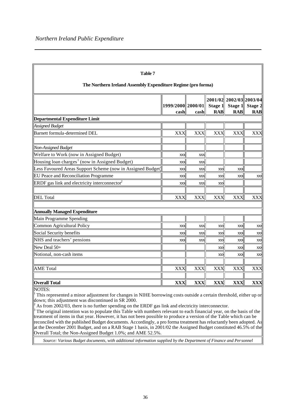| Table 7                                                                                                                     |                           |            |                       |                                                  |                       |  |  |  |  |  |
|-----------------------------------------------------------------------------------------------------------------------------|---------------------------|------------|-----------------------|--------------------------------------------------|-----------------------|--|--|--|--|--|
| The Northern Ireland Assembly Expenditure Regime (pro forma)                                                                |                           |            |                       |                                                  |                       |  |  |  |  |  |
|                                                                                                                             | 1999/2000 2000/01<br>cash | cash       | Stage 1<br><b>RAB</b> | 2001/02 2002/03 2003/04<br>Stage 1<br><b>RAB</b> | Stage 2<br><b>RAB</b> |  |  |  |  |  |
| <b>Departmental Expenditure Limit</b>                                                                                       |                           |            |                       |                                                  |                       |  |  |  |  |  |
| Assigned Budget                                                                                                             |                           |            |                       |                                                  |                       |  |  |  |  |  |
| Barnett formula-determined DEL                                                                                              | <b>XXX</b>                | <b>XXX</b> | XXX                   | <b>XXX</b>                                       | <b>XXX</b>            |  |  |  |  |  |
| Non-Assigned Budget                                                                                                         |                           |            |                       |                                                  |                       |  |  |  |  |  |
| Welfare to Work (now in Assigned Budget)                                                                                    | XXX                       | XXX        |                       |                                                  |                       |  |  |  |  |  |
| Housing loan charges <sup>1</sup> (now in Assigned Budget)                                                                  | XXX                       | XXX        |                       |                                                  |                       |  |  |  |  |  |
| Less Favoured Areas Support Scheme (now in Assigned Budget)                                                                 | XXX                       | XXX        | XXX                   | XXX                                              |                       |  |  |  |  |  |
| EU Peace and Reconciliation Programme                                                                                       | XXX                       | XXX        | XXX                   | XXX                                              | XXX                   |  |  |  |  |  |
| ERDF gas link and electricity interconnector $2$                                                                            | XXX                       | XXX        | XXX                   |                                                  |                       |  |  |  |  |  |
| DEL Total                                                                                                                   | <b>XXX</b>                | <b>XXX</b> | <b>XXX</b>            | <b>XXX</b>                                       | <b>XXX</b>            |  |  |  |  |  |
| <b>Annually Managed Expenditure</b>                                                                                         |                           |            |                       |                                                  |                       |  |  |  |  |  |
| Main Programme Spending                                                                                                     |                           |            |                       |                                                  |                       |  |  |  |  |  |
| Common Agricultural Policy                                                                                                  | XXX                       | XXX        | XXX                   | XXX                                              | XXX                   |  |  |  |  |  |
| Social Security benefits                                                                                                    | XXX                       | XXX        | XXX                   | XXX                                              | XXX                   |  |  |  |  |  |
| NHS and teachers' pensions                                                                                                  | XXX                       | XXX        | XXX                   | XXX                                              | XXX                   |  |  |  |  |  |
| New Deal 50+                                                                                                                |                           |            | XXX                   | XXX                                              | XXX                   |  |  |  |  |  |
| Notional, non-cash items                                                                                                    |                           |            | XXX                   | XXX                                              | XXX                   |  |  |  |  |  |
| <b>AME</b> Total                                                                                                            | <b>XXX</b>                | XXX        | XXX                   | XXX                                              | XXX                   |  |  |  |  |  |
| <b>Overall Total</b>                                                                                                        | <b>XXX</b>                | <b>XXX</b> | <b>XXX</b>            | <b>XXX</b>                                       | <b>XXX</b>            |  |  |  |  |  |
| NOTES:<br>This represented a minor adjustment for changes in NIHE borrowing costs outside a certain threshold, either up or |                           |            |                       |                                                  |                       |  |  |  |  |  |

down; this adjustment was discontinued in SR 2000. 2

As from 2002/03, there is no further spending on the ERDF gas link and electricity interconnector.

 $\beta$  The original intention was to populate this Table with numbers relevant to each financial year, on the basis of the treatment of items in that year. However, it has not been possible to produce a version of the Table which can be reconciled with the published Budget documents. Accordingly, a pro forma treatment has reluctantly been adopted. As at the December 2001 Budget, and on a RAB Stage 1 basis, in 2001/02 the Assigned Budget constituted 46.5% of the Overall Total; the Non-Assigned Budget 1.0%; and AME 52.5%.

*Source: Various Budget documents, with additional information supplied by the Department of Finance and Personnel*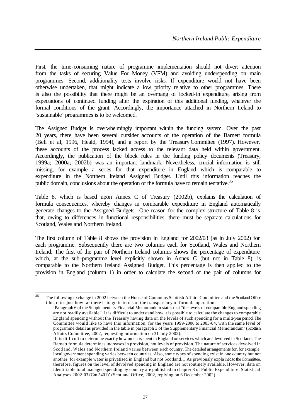First, the time-consuming nature of programme implementation should not divert attention from the tasks of securing Value For Money (VFM) and avoiding underspending on main programmes. Second, additionality tests involve risks. If expenditure would not have been otherwise undertaken, that might indicate a low priority relative to other programmes. There is also the possibility that there might be an overhang of locked-in expenditure, arising from expectations of continued funding after the expiration of this additional funding, whatever the formal conditions of the grant. Accordingly, the importance attached in Northern Ireland to 'sustainable' programmes is to be welcomed.

The Assigned Budget is overwhelmingly important within the funding system. Over the past 20 years, there have been several outsider accounts of the operation of the Barnett formula (Bell et al, 1996, Heald, 1994), and a report by the Treasury Committee (1997). However, these accounts of the process lacked access to the relevant data held within government. Accordingly, the publication of the block rules in the funding policy documents (Treasury, 1999a; 2000a; 2002b) was an important landmark. Nevertheless, crucial information is still missing, for example a series for that expenditure in England which is comparable to expenditure in the Northern Ireland Assigned Budget. Until this information reaches the public domain, conclusions about the operation of the formula have to remain tentative.<sup>35</sup>

Table 8, which is based upon Annex C of Treasury (2002b), explains the calculation of formula consequences, whereby changes in comparable expenditure in England automatically generate changes to the Assigned Budgets. One reason for the complex structure of Table 8 is that, owing to differences in functional responsibilities, there must be separate calculations for Scotland, Wales and Northern Ireland.

The first column of Table 8 shows the provision in England for 2002/03 (as in July 2002) for each programme. Subsequently there are two columns each for Scotland, Wales and Northern Ireland. The first of the pair of Northern Ireland columns shows the percentage of expenditure which, at the sub-programme level explicitly shown in Annex C (but not in Table 8), is comparable to the Northern Ireland Assigned Budget. This percentage is then applied to the provision in England (column 1) in order to calculate the second of the pair of columns for

 $\overline{35}$ <sup>35</sup> The following exchange in 2002 between the House of Commons Scottish Affairs Committee and the Scotland Office illustrates just how far there is to go in terms of the transparency of formula operation:

<sup>&#</sup>x27;Paragraph 6 of the Supplementary Financial Memorandum states that "the levels of comparable England spending are not readily available". It is difficult to understand how it is possible to calculate the changes to comparable England spending without the Treasury having data on the levels of such spending for a multi-year period. The Committee would like to have this information, for the years 1999-2000 to 2003-04, with the same level of programme detail as provided in the table in paragraph 3 of the Supplementary Financial Memorandum' (Scottish Affairs Committee, 2002, requesting information on 31 July 2002).

<sup>&#</sup>x27;It is difficult to determine exactly how much is spent in England on services which are devolved in Scotland. The Barnett formula determines increases in provision, not levels of provision. The nature of services devolved in Scotland, Wales and Northern Ireland varies between e ach country. The detailed arrangements for, for example, local government spending varies between countries. Also, some types of spending exist in one country but not another, for example water is privatised in England but not Scotland… As previously explained to the Committee, therefore, figures on the level of devolved spending in England are not routinely available. However, data on identifiable total managed spending by country are published in chapter 8 of Public Expenditure: Statistical Analyses 2002-03 (Cm 5401)' (Scotland Office, 2002, replying on 6 December 2002).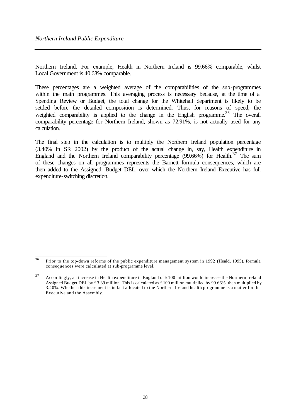Northern Ireland. For example, Health in Northern Ireland is 99.66% comparable, whilst Local Government is 40.68% comparable.

These percentages are a weighted average of the comparabilities of the sub-programmes within the main programmes. This averaging process is necessary because, at the time of a Spending Review or Budget, the total change for the Whitehall department is likely to be settled before the detailed composition is determined. Thus, for reasons of speed, the weighted comparability is applied to the change in the English programme.<sup>36</sup> The overall comparability percentage for Northern Ireland, shown as 72.91%, is not actually used for any calculation.

The final step in the calculation is to multiply the Northern Ireland population percentage (3.40% in SR 2002) by the product of the actual change in, say, Health expenditure in England and the Northern Ireland comparability percentage  $(99.66\%)$  for Health.<sup>37</sup> The sum of these changes on all programmes represents the Barnett formula consequences, which are then added to the Assigned Budget DEL, over which the Northern Ireland Executive has full expenditure-switching discretion.

 $36$ <sup>36</sup> Prior to the top-down reforms of the public expenditure management system in 1992 (Heald, 1995), formula consequences were calculated at sub-programme level.

 $37$  Accordingly, an increase in Health expenditure in England of £100 million would increase the Northern Ireland Assigned Budget DEL by £3.39 million. This is calculated as £100 million multiplied by 99.66%, then multiplied by 3.40%. Whether this increment is in fact allocated to the Northern Ireland health programme is a matter for the Executive and the Assembly.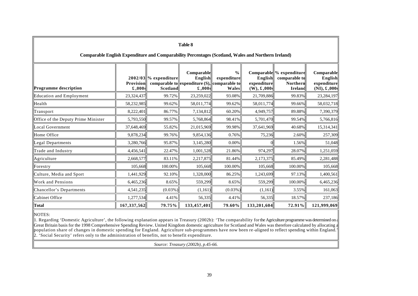| Table 8                                                                                             |                                           |                                            |                                                                                                    |                                       |                                          |                                                                         |                                                                      |  |  |  |
|-----------------------------------------------------------------------------------------------------|-------------------------------------------|--------------------------------------------|----------------------------------------------------------------------------------------------------|---------------------------------------|------------------------------------------|-------------------------------------------------------------------------|----------------------------------------------------------------------|--|--|--|
| Comparable English Expenditure and Comparability Percentages (Scotland, Wales and Northern Ireland) |                                           |                                            |                                                                                                    |                                       |                                          |                                                                         |                                                                      |  |  |  |
| Programme description                                                                               | <b>Provision</b><br>$\pmb{\mathsf{.000}}$ | $2002/03$ % expenditure<br><b>Scotland</b> | <b>Comparable</b><br>English<br>comparable to expenditure $(S)$ , comparable to<br>$\pounds$ ,000s | $\frac{0}{0}$<br>expenditure<br>Wales | English<br>expenditure<br>$(W)$ , £,000s | Comparable % expenditure<br>comparable to<br><b>Northern</b><br>Ireland | <b>Comparable</b><br>English<br>expenditure<br>$(NI), \pounds, 000s$ |  |  |  |
| Education and Employment                                                                            | 23,324,437                                | 99.72%                                     | 23,259,022                                                                                         | 93.08%                                | 21,709,886                               | 99.83%                                                                  | 23,284,197                                                           |  |  |  |
| Health                                                                                              | 58,232,985                                | 99.62%                                     | 58,011,774                                                                                         | 99.62%                                | 58,011,774                               | 99.66%                                                                  | 58,032,718                                                           |  |  |  |
| $\ $ Transport                                                                                      | 8,222,401                                 | 86.77%                                     | 7,134,812                                                                                          | 60.20%                                | 4,949,757                                | 89.88%                                                                  | 7,390,379                                                            |  |  |  |
| Office of the Deputy Prime Minister                                                                 | 5,793,550                                 | 99.57%                                     | 5,768,864                                                                                          | 98.41%                                | 5,701,470                                | 99.54%                                                                  | 5,766,816                                                            |  |  |  |
| Local Government                                                                                    | 37,648,469                                | 55.82%                                     | 21,015,969                                                                                         | 99.98%                                | 37,641,969                               | 40.68%                                                                  | 15,314,341                                                           |  |  |  |
| Home Office                                                                                         | 9,878,234                                 | 99.76%                                     | 9,854,136                                                                                          | 0.76%                                 | 75,236                                   | 2.60%                                                                   | 257,309                                                              |  |  |  |
| Legal Departments                                                                                   | 3,280,766                                 | 95.87%                                     | 3,145,280                                                                                          | 0.00%                                 |                                          | 1.56%                                                                   | 51,048                                                               |  |  |  |
| Trade and Industry                                                                                  | 4,456,541                                 | 22.47%                                     | 1,001,528                                                                                          | 21.86%                                | 974,297                                  | 28.07%                                                                  | 1,251,059                                                            |  |  |  |
| Agriculture                                                                                         | 2,668,577                                 | 83.11%                                     | 2,217,875                                                                                          | 81.44%                                | 2,173,375                                | 85.49%                                                                  | 2,281,488                                                            |  |  |  |
| $\blacksquare$ Forestry                                                                             | 105,668                                   | 100.00%                                    | 105,668                                                                                            | 100.00%                               | 105,668                                  | 100.00%                                                                 | 105,668                                                              |  |  |  |
| Culture, Media and Sport                                                                            | 1,441,929                                 | 92.10%                                     | 1,328,000                                                                                          | 86.25%                                | 1,243,699                                | 97.13%                                                                  | 1,400,561                                                            |  |  |  |
| Work and Pensions                                                                                   | 6,465,236                                 | 8.65%                                      | 559,299                                                                                            | 8.65%                                 | 559,299                                  | 100.00%                                                                 | 6,465,236                                                            |  |  |  |
| Chancellor's Departments                                                                            | 4,541,235                                 | $(0.03\%)$                                 | (1,161)                                                                                            | $(0.03\%)$                            | (1,161)                                  | 3.55%                                                                   | 161,063                                                              |  |  |  |
| Cabinet Office                                                                                      | 1,277,534                                 | 4.41%                                      | 56,335                                                                                             | 4.41%                                 | 56,335                                   | 18.57%                                                                  | 237,186                                                              |  |  |  |
| Total                                                                                               | 167, 337, 562                             | 79.75%                                     | 133,457,401                                                                                        | 79.60%                                | 133,201,604                              | 72.91%                                                                  | 121,999,069                                                          |  |  |  |

#### NOTES:

1. Regarding 'Domestic Agriculture', the following explanation appears in Treasury (2002b): 'The comparability for the Agriculture programme was determined on a Great Britain basis for the 1998 Comprehensive Spending Review. United Kingdom domestic agriculture for Scotland and Wales was therefore calculated by allocating a population share of changes in domestic spending for England. Agriculture sub-programmes have now been re -aligned to reflect spending within England.' 2. 'Social Security' refers only to the administration of benefits, not to benefit expenditure.

*Source: Treasury (2002b), p.45-66.*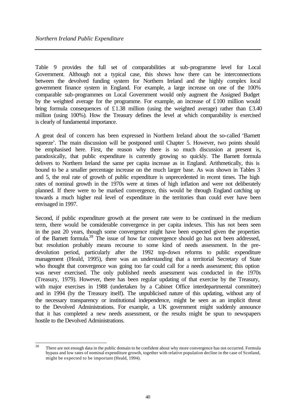Table 9 provides the full set of comparabilities at sub-programme level for Local Government. Although not a typical case, this shows how there can be interconnections between the devolved funding system for Northern Ireland and the highly complex local government finance system in England. For example, a large increase on one of the 100% comparable sub-programmes on Local Government would only augment the Assigned Budget by the weighted average for the programme. For example, an increase of £100 million would bring formula consequences of £1.38 million (using the weighted average) rather than £3.40 million (using 100%). How the Treasury defines the level at which comparability is exercised is clearly of fundamental importance.

A great deal of concern has been expressed in Northern Ireland about the so-called 'Barnett squeeze'. The main discussion will be postponed until Chapter 5. However, two points should be emphasised here. First, the reason why there is so much discussion at present is, paradoxically, that public expenditure is currently growing so quickly. The Barnett formula delivers to Northern Ireland the same per capita increase as in England. Arithmetically, this is bound to be a smaller percentage increase on the much larger base. As was shown in Tables 3 and 5, the real rate of growth of public expenditure is unprecedented in recent times. The high rates of nominal growth in the 1970s were at times of high inflation and were not deliberately planned. If there were to be marked convergence, this would be through England catching up towards a much higher real level of expenditure in the territories than could ever have been envisaged in 1997.

Second, if public expenditure growth at the present rate were to be continued in the medium term, there would be considerable convergence in per capita indexes. This has not been seen in the past 20 years, though some convergence might have been expected given the properties of the Barnett formula.<sup>38</sup> The issue of how far convergence should go has not been addressed, but resolution probably means recourse to some kind of needs assessment. In the predevolution period, particularly after the 1992 top-down reforms to public expenditure management (Heald, 1995), there was an understanding that a territorial Secretary of State who thought that convergence was going too far could call for a needs assessment; this option was never exercised. The only published needs assessment was conducted in the 1970s (Treasury, 1979). However, there has been regular updating of that exercise by the Treasury, with major exercises in 1988 (undertaken by a Cabinet Office interdepartmental committee) and in 1994 (by the Treasury itself). The unpublicised nature of this updating, without any of the necessary transparency or institutional independence, might be seen as an implicit threat to the Devolved Administrations. For example, a UK government might suddenly announce that it has completed a new needs assessment, or the results might be spun to newspapers hostile to the Devolved Administrations.

<sup>38</sup> There are not enough data in the public domain to be confident about why more convergence has not occurred. Formula bypass and low rates of nominal expenditure growth, together with relative population decline in the case of Scotland, might be expected to be important (Heald, 1994).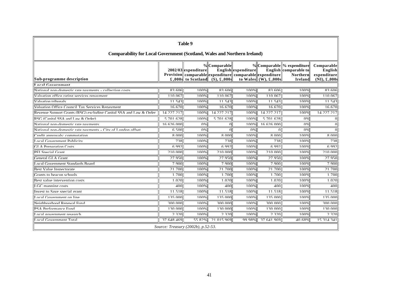| Table 9                                                                          |            |                                    |             |                     |                                                                                                                |                                                                                  |                                                               |  |  |  |
|----------------------------------------------------------------------------------|------------|------------------------------------|-------------|---------------------|----------------------------------------------------------------------------------------------------------------|----------------------------------------------------------------------------------|---------------------------------------------------------------|--|--|--|
| <b>Comparability for Local Government (Scotland, Wales and Northern Ireland)</b> |            |                                    |             |                     |                                                                                                                |                                                                                  |                                                               |  |  |  |
| Sub-programme description                                                        |            | 2002/03 expenditure                | %Comparable | English expenditure | Provision comparable expenditure comparable expenditure<br>£,000s to Scotland (S), £,000s to Wales (W), £,000s | %Comparable % expenditure<br>English comparable to<br><b>Northern</b><br>Ireland | Comparable<br>English<br>expenditure<br>$(NI), \pounds, 000s$ |  |  |  |
| ocal Covernment                                                                  |            |                                    |             |                     |                                                                                                                |                                                                                  |                                                               |  |  |  |
| National non-domestic rate nayments - collection costs                           | 83606      | $100\%$                            | 83606       | $100\%$             | 83606                                                                                                          | 100%                                                                             | 83606                                                         |  |  |  |
| Valuation office rating services renayment                                       | 110.067    | 100%                               | 110.067     | 100%                | 110.067                                                                                                        | 100%                                                                             | 110.067                                                       |  |  |  |
| Valuation tribunale                                                              | 11.543     | 100%                               | 11.543      | 100%                | 11.543                                                                                                         | 100%                                                                             | 11.543                                                        |  |  |  |
| Valuation Office Council Tax Services Renayment                                  | 16.670     | 100%                               | 16.670      | 100%                | 16.670                                                                                                         | 100%                                                                             | 16.670                                                        |  |  |  |
| Revenue Support Grants (RSG) excluding Capital SSA and Law $\&$ Order            | 14 227 217 | 100%                               | 14 227 217  | 100%                | 14 227 217                                                                                                     | 100%                                                                             | 14 227 217                                                    |  |  |  |
| $RSG$ (Canital SSA and Law & Order)                                              | 5 701 628  | 100%                               | 5 701 628   | 100%                | 5 701 628                                                                                                      | 0%                                                                               | $\Omega$                                                      |  |  |  |
| National non-domestic rate nayments                                              | 16.626.000 | $\Omega\%$                         | $\Omega$    | 100%                | 16 626 000                                                                                                     | $\Omega\%$                                                                       | $\Omega$                                                      |  |  |  |
| National non-domestic rate nayments - City of London offset                      | 6,500      | 0%                                 | $\Omega$    | 0%                  | $\Omega$                                                                                                       | 0%                                                                               |                                                               |  |  |  |
| redit annrovals: commutation'                                                    | 8 000      | 100%                               | 8 000       | 100%                | 8000                                                                                                           | 100%                                                                             | 8 000                                                         |  |  |  |
| ocal Government Publicity                                                        | 738        | 100%                               | 738         | 100%                | 738                                                                                                            | 100%                                                                             | 738                                                           |  |  |  |
| <b>H</b> A Prenaration Costs                                                     | 6997       | 100%                               | 6.992       | 100%                | 6.992                                                                                                          | 100%                                                                             | 6.992                                                         |  |  |  |
| <b>PFI Special Grant</b>                                                         | 210.000    | 100%                               | 210.000     | 100%                | 210.000                                                                                                        | 100%                                                                             | 210.000                                                       |  |  |  |
| General GLA Grant                                                                | 27.950     | 100%                               | 27.950      | 100%                | 27.950                                                                                                         | 100%                                                                             | 27.950                                                        |  |  |  |
| ocal Government Standards Roard                                                  | 7.900      | 100%                               | 7.900       | 100%                | 7.900                                                                                                          | 100%                                                                             | 7.900                                                         |  |  |  |
| Rest Value Inspectorate                                                          | 21.700     | 100%                               | 21.700      | 100%                | 21,700                                                                                                         | 100%                                                                             | 21.700                                                        |  |  |  |
| Frants to beacon schools                                                         | 1.700      | 100%                               | 1,700       | 100%                | 1,700                                                                                                          | 100%                                                                             | 1,700                                                         |  |  |  |
| Rest value intervention costs                                                    | 1.020      | 100%                               | 1.020       | 100%                | 1.020                                                                                                          | 100%                                                                             | 1.020                                                         |  |  |  |
| GC manning costs                                                                 | 400        | 100%                               | 400         | 100%                | 400                                                                                                            | 100%                                                                             | 400                                                           |  |  |  |
| nyest to Save special grant                                                      | 11 518     | 100%                               | 11 518      | 100%                | 11 518                                                                                                         | 100%                                                                             | 11 518                                                        |  |  |  |
| ocal Government on line                                                          | 135.000    | 100%                               | 135.000     | 100%                | 135.000                                                                                                        | 100%                                                                             | 135.000                                                       |  |  |  |
| Neighbourhood Renewal Fund                                                       | 300,000    | 100%                               | 300,000     | 100%                | 300,000                                                                                                        | 100%                                                                             | 300,000                                                       |  |  |  |
| PSA Performance Fund                                                             | 130.000    | 100%                               | 130.000     | 100%                | 130.000                                                                                                        | 100%                                                                             | 130.000                                                       |  |  |  |
| ocal government research                                                         | 230        | 100%                               | 2,320       | 100%                | 2,320                                                                                                          | 100%                                                                             | 230                                                           |  |  |  |
| ocal Government Total                                                            | 37 648 469 | 55 82%                             | 21.015.969  | 99 98%              | 37 641 969                                                                                                     | 40.68%                                                                           | 15 314 341                                                    |  |  |  |
|                                                                                  |            | Source: Treasury (2002b), p.52-53. |             |                     |                                                                                                                |                                                                                  |                                                               |  |  |  |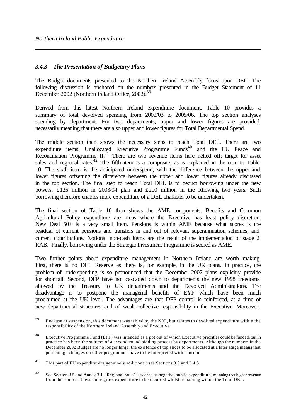# *3.4.3 The Presentation of Budgetary Plans*

The Budget documents presented to the Northern Ireland Assembly focus upon DEL. The following discussion is anchored on the numbers presented in the Budget Statement of 11 December 2002 (Northern Ireland Office, 2002).<sup>39</sup>

Derived from this latest Northern Ireland expenditure document, Table 10 provides a summary of total devolved spending from 2002/03 to 2005/06. The top section analyses spending by department. For two departments, upper and lower figures are provided, necessarily meaning that there are also upper and lower figures for Total Departmental Spend.

The middle section then shows the necessary steps to reach Total DEL. There are two expenditure items: Unallocated Executive Programme Funds<sup>40</sup> and the EU Peace and Reconciliation Programme  $II^{41}$ . There are two revenue items here netted off: target for asset sales and regional rates.<sup>42</sup> The fifth item is a composite, as is explained in the note to Table 10. The sixth item is the anticipated underspend, with the difference between the upper and lower figures offsetting the difference between the upper and lower figures already discussed in the top section. The final step to reach Total DEL is to deduct borrowing under the new powers, £125 million in 2003/04 plan and £200 million in the following two years. Such borrowing therefore enables more expenditure of a DEL character to be undertaken.

The final section of Table 10 then shows the AME components. Benefits and Common Agricultural Policy expenditure are areas where the Executive has least policy discretion. New Deal 50+ is a very small item. Pensions is within AME because what scores is the residual of current pensions and transfers in and out of relevant superannuation schemes, and current contributions. Notional non-cash items are the result of the implementation of stage 2 RAB. Finally, borrowing under the Strategic Investment Programme is scored as AME.

Two further points about expenditure management in Northern Ireland are worth making. First, there is no DEL Reserve as there is, for example, in the UK plans. In practice, the problem of underspending is so pronounced that the December 2002 plans explicitly provide for shortfall. Second, DFP have not cascaded down to departments the new 1998 freedoms allowed by the Treasury to UK departments and the Devolved Administrations. The disadvantage is to postpone the managerial benefits of EYF which have been much proclaimed at the UK level. The advantages are that DFP control is reinforced, at a time of new departmental structures and of weak collective responsibility in the Executive. Moreover,

 $39$ Because of suspension, this document was tabled by the NIO, but relates to devolved expenditure within the responsibility of the Northern Ireland Assembly and Executive.

<sup>&</sup>lt;sup>40</sup> Executive Programme Fund (EPF) was intended as a pot out of which Executive priorities could be funded, but in practice has been the subject of a second-round bidding process by departments. Although the numbers in the December 2002 Budget are no longer large, the existence of top slices to be allocated at a later stage means that percentage changes on other programmes have to be interpreted with caution.

<sup>&</sup>lt;sup>41</sup> This part of EU expenditure is genuinely additional; see Sections 3.3 and 3.4.3.

<sup>&</sup>lt;sup>42</sup> See Section 3.5 and Annex 3.1. 'Regional rates' is scored as negative public expenditure, meaning that higher revenue from this source allows more gross expenditure to be incurred whilst remaining within the Total DEL.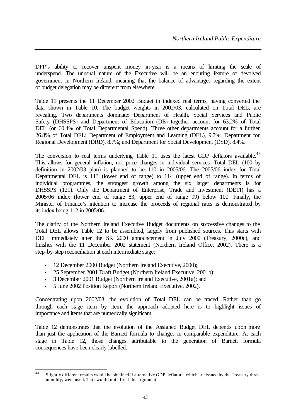DFP's ability to recover unspent money in-year is a means of limiting the scale of underspend. The unusual nature of the Executive will be an enduring feature of devolved government in Northern Ireland, meaning that the balance of advantages regarding the extent of budget delegation may be different from elsewhere.

Table 11 presents the 11 December 2002 Budget in indexed real terms, having converted the data shown in Table 10. The budget weights in 2002/03, calculated on Total DEL, are revealing. Two departments dominate: Department of Health, Social Services and Public Safety (DHSSPS) and Department of Education (DE) together account for 63.2% of Total DEL (or 60.4% of Total Departmental Spend). Three other departments account for a further 26.8% of Total DEL: Department of Employment and Learning (DEL), 9.7%; Department for Regional Development (DRD), 8.7%; and Department for Social Development (DSD), 8.4%.

The conversion to real terms underlying Table 11 uses the latest GDP deflators available. $43$ This allows for general inflation, not price changes in individual services. Total DEL (100 by definition in 2002/03 plan) is planned to be 110 in 2005/06. The 2005/06 index for Total Departmental DEL is 113 (lower end of range) to 114 (upper end of range). In terms of individual programmes, the strongest growth among the six larger departments is for DHSSPS (121). Only the Department of Enterprise, Trade and Investment (DETI) has a 2005/06 index (lower end of range 83; upper end of range 99) below 100. Finally, the Minister of Finance's intention to increase the proceeds of regional rates is demonstrated by its index being 112 in 2005/06.

The clarity of the Northern Ireland Executive Budget documents on successive changes to the Total DEL allows Table 12 to be assembled, largely from published sources. This starts with DEL immediately after the SR 2000 announcement in July 2000 (Treasury, 2000c), and finishes with the 11 December 2002 statement (Northern Ireland Office, 2002). There is a step-by-step reconciliation at each intermediate stage:

- 12 December 2000 Budget (Northern Ireland Executive, 2000);
- 25 September 2001 Draft Budget (Northern Ireland Executive, 2001b);
- 3 December 2001 Budget (Northern Ireland Executive, 2001a); and
- 5 June 2002 Position Report (Northern Ireland Executive, 2002).

Concentrating upon 2002/03, the evolution of Total DEL can be traced. Rather than go through each stage item by item, the approach adopted here is to highlight issues of importance and items that are numerically significant.

Table 12 demonstrates that the evolution of the Assigned Budget DEL depends upon more than just the application of the Barnett formula to changes in comparable expenditure. At each stage in Table 12, those changes attributable to the generation of Barnett formula consequences have been clearly labelled.

 $\overline{43}$ Slightly different results would be obtained if alternative GDP deflators, which are issued by the Treasury threemonthly, were used. This would not affect the argument.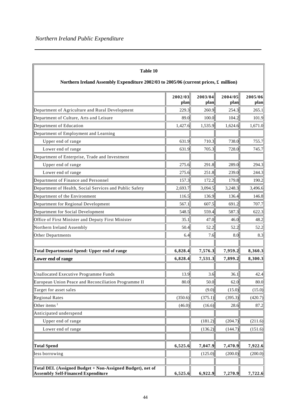| Table 10<br>Northern Ireland Assembly Expenditure 2002/03 to 2005/06 (current prices, £ million)              |         |         |         |         |
|---------------------------------------------------------------------------------------------------------------|---------|---------|---------|---------|
|                                                                                                               | 2002/03 | 2003/04 | 2004/05 | 2005/06 |
|                                                                                                               | plan    | plan    | plan    | plan    |
| Department of Agriculture and Rural Development                                                               | 229.3   | 260.9   | 254.3   | 265.1   |
| Department of Culture, Arts and Leisure                                                                       | 89.0    | 100.0   | 104.2   | 101.9   |
| Department of Education                                                                                       | 1,427.6 | 1,535.9 | 1,624.6 | 1,671.0 |
| Department of Employment and Learning                                                                         |         |         |         |         |
| Upper end of range                                                                                            | 631.9   | 710.3   | 738.0   | 755.7   |
| Lower end of range                                                                                            | 631.9   | 705.3   | 728.0   | 745.7   |
| Department of Enterprise, Trade and Investment                                                                |         |         |         |         |
| Upper end of range                                                                                            | 275.6   | 291.8   | 289.0   | 294.3   |
| Lower end of range                                                                                            | 275.6   | 251.8   | 239.0   | 244.3   |
| Department of Finance and Personnel                                                                           | 157.3   | 172.2   | 179.8   | 190.2   |
| Department of Health, Social Services and Public Safety                                                       | 2,693.7 | 3,094.5 | 3,248.3 | 3,496.6 |
| Department of the Environment                                                                                 | 116.5   | 136.9   | 136.4   | 146.8   |
| Department for Regional Development                                                                           | 567.1   | 607.5   | 691.2   | 707.7   |
| Department for Social Development                                                                             | 548.5   | 559.4   | 587.3   | 622.3   |
| Office of First Minister and Deputy First Minister                                                            | 35.1    | 47.0    | 46.0    | 48.2    |
| Northern Ireland Assembly                                                                                     | 50.4    | 52.2    | 52.2    | 52.2    |
| Other Departments                                                                                             | 6.4     | 7.6     | 8.0     | 8.3     |
|                                                                                                               |         |         |         |         |
| <b>Total Departmental Spend: Upper end of range</b>                                                           | 6,828.4 | 7,576.3 | 7,959.2 | 8,360.3 |
| Lower end of range                                                                                            | 6,828.4 | 7,531.3 | 7,899.2 | 8,300.3 |
|                                                                                                               |         |         |         |         |
| Unallocated Executive Programme Funds                                                                         | 13.9    | 3.6     | 36.1    | 42.4    |
| European Union Peace and Reconciliation Programme II                                                          | 80.0    | 50.0    | 62.0    | 80.0    |
| Target for asset sales                                                                                        |         | (9.0)   | (15.0)  | (15.0)  |
| <b>Regional Rates</b>                                                                                         | (350.6) | (375.1) | (395.3) | (420.7) |
| Other items $1$                                                                                               | (46.0)  | (16.6)  | 28.6    | 87.2    |
| Anticipated underspend                                                                                        |         |         |         |         |
| Upper end of range                                                                                            |         | (181.2) | (204.7) | (211.6) |
| Lower end of range                                                                                            |         | (136.2) | (144.7) | (151.6) |
|                                                                                                               |         |         |         |         |
| <b>Total Spend</b>                                                                                            | 6,525.6 | 7,047.9 | 7,470.9 | 7,922.6 |
| less borrowing                                                                                                |         | (125.0) | (200.0) | (200.0) |
|                                                                                                               |         |         |         |         |
| <b>Total DEL (Assigned Budget + Non-Assigned Budget), net of</b><br><b>Assembly Self-Financed Expenditure</b> | 6,525.6 | 6,922.9 | 7,270.9 | 7,722.6 |

#### **Table 10**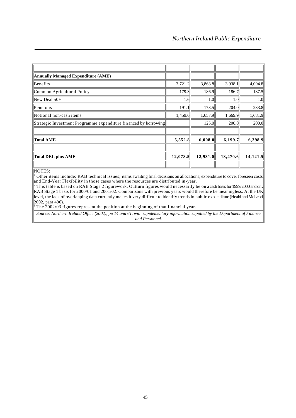| <b>Annually Managed Expenditure (AME)</b>                        |          |          |          |          |
|------------------------------------------------------------------|----------|----------|----------|----------|
| Benefits                                                         | 3,721.2  | 3,863.8  | 3,938.1  | 4,094.8  |
| Common Agricultural Policy                                       | 179.3    | 186.9    | 186.7    | 187.5    |
| New Deal $50+$                                                   | 1.6      | 1.0      | 1.0      | 1.0      |
| Pensions                                                         | 191.1    | 173.5    | 204.0    | 233.8    |
| Notional non-cash items                                          | 1,459.6  | 1,657.9  | 1,669.9  | 1,681.9  |
| Strategic Investment Programme expenditure financed by borrowing |          | 125.0    | 200.0    | 200.0    |
|                                                                  |          |          |          |          |
| Total AME                                                        | 5,552.8  | 6,008.0  | 6,199.7  | 6,398.9  |
|                                                                  |          |          |          |          |
| <b>Total DEL plus AME</b>                                        | 12,078.5 | 12,931.0 | 13,470.6 | 14,121.5 |
|                                                                  |          |          |          |          |

#### NOTES:

1 Other items include: RAB technical issues; items awaiting final decisions on allocations; expenditure to cover foreseen costs; and End-Year Flexibility in those cases where the resources are distributed in-year.<br><sup>2</sup> This table is based on RAB Stage 2 figurework. Outturn figures would necessarily be on a cash basis for 1999/2000 and on a

RAB Stage 1 basis for 2000/01 and 2001/02. Comparisons with previous years would therefore be meaningless. At the UK level, the lack of overlapping data currently makes it very difficult to identify trends in public exp enditure (Heald and McLeod, 2002, para 496).

 $3$  The 2002/03 figures represent the position at the beginning of that financial year.

*Source: Northern Ireland Office (2002), pp 14 and 61, with supplementary information supplied by the Department of Finance and Personnel.*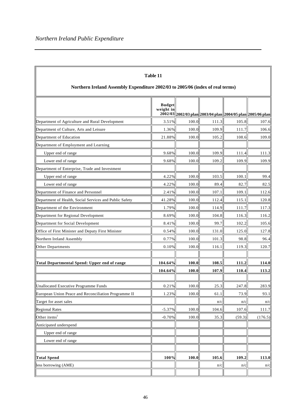'n

| Table 11<br>Northern Ireland Assembly Expenditure 2002/03 to 2005/06 (index of real terms) |                            |       |                                                             |        |         |  |  |  |
|--------------------------------------------------------------------------------------------|----------------------------|-------|-------------------------------------------------------------|--------|---------|--|--|--|
|                                                                                            | <b>Budget</b><br>weight in |       | 2002/03 2002/03 plan 2003/04 plan 2004/05 plan 2005/06 plan |        |         |  |  |  |
| Department of Agriculture and Rural Development                                            | 3.51%                      | 100.0 | 111.3                                                       | 105.8  | 107.6   |  |  |  |
| Department of Culture, Arts and Leisure                                                    | 1.36%                      | 100.0 | 109.9                                                       | 111.7  | 106.6   |  |  |  |
| Department of Education                                                                    | 21.88%                     | 100.0 | 105.2                                                       | 108.6  | 109.0   |  |  |  |
| Department of Employment and Learning                                                      |                            |       |                                                             |        |         |  |  |  |
| Upper end of range                                                                         | 9.68%                      | 100.0 | 109.9                                                       | 111.4  | 111.3   |  |  |  |
| Lower end of range                                                                         | 9.68%                      | 100.0 | 109.2                                                       | 109.9  | 109.9   |  |  |  |
| Department of Enterprise, Trade and Investment                                             |                            |       |                                                             |        |         |  |  |  |
| Upper end of range                                                                         | 4.22%                      | 100.0 | 103.5                                                       | 100.1  | 99.4    |  |  |  |
| Lower end of range                                                                         | 4.22%                      | 100.0 | 89.4                                                        | 82.7   | 82.5    |  |  |  |
| Department of Finance and Personnel                                                        | 2.41%                      | 100.0 | 107.1                                                       | 109.1  | 112.6   |  |  |  |
| Department of Health, Social Services and Public Safety                                    | 41.28%                     | 100.0 | 112.4                                                       | 115.1  | 120.8   |  |  |  |
| Department of the Environment                                                              | 1.79%                      | 100.0 | 114.9                                                       | 111.7  | 117.3   |  |  |  |
| Department for Regional Development                                                        | 8.69%                      | 100.0 | 104.8                                                       | 116.3  | 116.2   |  |  |  |
| Department for Social Development                                                          | 8.41%                      | 100.0 | 99.7                                                        | 102.2  | 105.6   |  |  |  |
| Office of First Minister and Deputy First Minister                                         | 0.54%                      | 100.0 | 131.0                                                       | 125.0  | 127.8   |  |  |  |
| Northern Ireland Assembly                                                                  | 0.77%                      | 100.0 | 101.3                                                       | 98.8   | 96.4    |  |  |  |
| Other Departments                                                                          | 0.10%                      | 100.0 | 116.1                                                       | 119.3  | 120.7   |  |  |  |
| <b>Total Departmental Spend: Upper end of range</b>                                        | 104.64%                    | 100.0 | 108.5                                                       | 111.2  | 114.0   |  |  |  |
|                                                                                            | 104.64%                    | 100.0 | 107.9                                                       | 110.4  | 113.2   |  |  |  |
| Unallocated Executive Programme Funds                                                      | 0.21%                      | 100.0 | 25.3                                                        | 247.8  | 283.9   |  |  |  |
| European Union Peace and Reconciliation Programme II                                       | $1.23\%$                   | 100.0 | 61.1                                                        | 73.9   | 93.1    |  |  |  |
| Target for asset sales                                                                     |                            |       | n/c                                                         | n/c    | n/c     |  |  |  |
| Regional Rates                                                                             | $-5.37%$                   | 100.0 | 104.6                                                       | 107.6  | 111.7   |  |  |  |
| Other items <sup>1</sup>                                                                   | $-0.70%$                   | 100.0 | 35.3                                                        | (59.3) | (176.5) |  |  |  |
| Anticipated underspend                                                                     |                            |       |                                                             |        |         |  |  |  |
| Upper end of range                                                                         |                            |       |                                                             |        |         |  |  |  |
| Lower end of range                                                                         |                            |       |                                                             |        |         |  |  |  |
| <b>Total Spend</b>                                                                         | 100%                       | 100.0 | 105.6                                                       | 109.2  | 113.0   |  |  |  |
| less borrowing (AME)                                                                       |                            |       | n/c                                                         | n/c    | n/c     |  |  |  |
|                                                                                            |                            |       |                                                             |        |         |  |  |  |

Ŧ.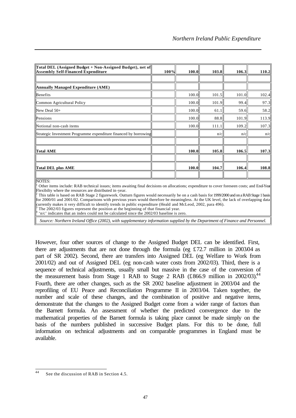| Total DEL (Assigned Budget + Non-Assigned Budget), net of<br><b>Assembly Self-Financed Expenditure</b> | $100\%$ | 100.0 | 103.8 | 106.3 | 110.2 |
|--------------------------------------------------------------------------------------------------------|---------|-------|-------|-------|-------|
|                                                                                                        |         |       |       |       |       |
| Annually Managed Expenditure (AME)                                                                     |         |       |       |       |       |
| Benefits                                                                                               |         | 100.0 | 101.5 | 101.0 | 102.4 |
| Common Agricultural Policy                                                                             |         | 100.0 | 101.9 | 99.4  | 97.3  |
| $\mathbb{N}$ ew Deal 50+                                                                               |         | 100.0 | 61.1  | 59.6  | 58.2  |
| Pensions                                                                                               |         | 100.0 | 88.8  | 101.9 | 113.9 |
| Notional non-cash items                                                                                |         | 100.0 | 111.1 | 109.2 | 107.3 |
| Strategic Investment Programme expenditure financed by borrowing                                       |         |       | n/c   | n/c   | n/c   |
|                                                                                                        |         |       |       |       |       |
| Total AME                                                                                              |         | 100.0 | 105.8 | 106.5 | 107.3 |
|                                                                                                        |         |       |       |       |       |
| Total DEL plus AME                                                                                     |         | 100.0 | 104.7 | 106.4 | 108.8 |
| $\sqrt{2}$                                                                                             |         |       |       |       |       |

NOTES:

1 Other items include: RAB technical issues; items awaiting final decisions on allocations; expenditure to cover foreseen costs; and End-Year Flexibilty where the resources are distributed in-year.

 This table is based on RAB Stage 2 figurework. Outturn figures would necessarily be on a cash basis for 1999/2000 and on a RAB Stage 1 basis for 2000/01 and 2001/02. Comparisons with previous years would therefore be meaningless. At the UK level, the lack of overlapping data currently makes it very difficult to identify trends in public expenditure (Heald and McLeod, 2002, para 496). 3 The 2002/03 figures represent the position at the beginning of that financial year.

4 'n/c' indicates that an index could not be calculated since the 2002/03 baseline is zero.

*Source: Northern Ireland Office (2002), with supplementary information supplied by the Department of Finance and Personnel.*

However, four other sources of change to the Assigned Budget DEL can be identified. First, there are adjustments that are not done through the formula (eg £72.7 million in 2003.04 as part of SR 2002). Second, there are transfers into Assigned DEL (eg Welfare to Work from 2001/02) and out of Assigned DEL (eg non-cash water costs from 2002/03). Third, there is a sequence of technical adjustments, usually small but massive in the case of the conversion of the measurement basis from Stage 1 RAB to Stage 2 RAB (£866.9 million in 2002/03).<sup>44</sup> Fourth, there are other changes, such as the SR 2002 baseline adjustment in 2003/04 and the reprofiling of EU Peace and Reconciliation Programme II in 2003/04. Taken together, the number and scale of these changes, and the combination of positive and negative items, demonstrate that the changes to the Assigned Budget come from a wider range of factors than the Barnett formula. An assessment of whether the predicted convergence due to the mathematical properties of the Barnett formula is taking place cannot be made simply on the basis of the numbers published in successive Budget plans. For this to be done, full information on technical adjustments and on comparable programmes in England must be available.

 $44$ See the discussion of RAB in Section 4.5.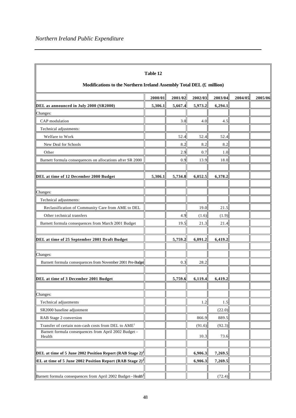| Table 12<br>Modifications to the Northern Ireland Assembly Total DEL (£ million) |         |         |         |         |         |         |  |  |  |
|----------------------------------------------------------------------------------|---------|---------|---------|---------|---------|---------|--|--|--|
|                                                                                  | 2000/01 | 2001/02 | 2002/03 | 2003/04 | 2004/05 | 2005/06 |  |  |  |
| DEL as announced in July 2000 (SR2000)                                           | 5,306.1 | 5,667.4 | 5,973.2 | 6,294.1 |         |         |  |  |  |
| Changes:                                                                         |         |         |         |         |         |         |  |  |  |
| CAP modulation                                                                   |         | 3.0     | 4.0     | 4.5     |         |         |  |  |  |
| Technical adjustments:                                                           |         |         |         |         |         |         |  |  |  |
| Welfare to Work                                                                  |         | 52.4    | 52.4    | 52.4    |         |         |  |  |  |
| New Deal for Schools                                                             |         | 8.2     | 8.2     | 8.2     |         |         |  |  |  |
| Other                                                                            |         | 2.9     | 0.7     | 1.0     |         |         |  |  |  |
| Barnett formula consequences on allocations after SR 2000                        |         | 0.9     | 13.9    | 18.0    |         |         |  |  |  |
| DEL at time of 12 December 2000 Budget                                           | 5,306.1 | 5,734.8 | 6,052.5 | 6,378.2 |         |         |  |  |  |
| Changes:                                                                         |         |         |         |         |         |         |  |  |  |
| Technical adjustments:                                                           |         |         |         |         |         |         |  |  |  |
| Reclassification of Community Care from AME to DEL                               |         |         | 19.0    | 21.5    |         |         |  |  |  |
| Other technical transfers                                                        |         | 4.9     | (1.6)   | (1.9)   |         |         |  |  |  |
| Barnett formula consequences from March 2001 Budget                              |         | 19.5    | 21.3    | 21.4    |         |         |  |  |  |
|                                                                                  |         |         |         |         |         |         |  |  |  |
| DEL at time of 25 September 2001 Draft Budget                                    |         | 5,759.2 | 6,091.2 | 6,419.2 |         |         |  |  |  |
|                                                                                  |         |         |         |         |         |         |  |  |  |
| Changes:                                                                         |         |         |         |         |         |         |  |  |  |
| Barnett formula consequences from November 2001 Pre-Budget                       |         | 0.3     | 28.2    |         |         |         |  |  |  |
| DEL at time of 3 December 2001 Budget                                            |         | 5,759.6 | 6,119.4 | 6,419.2 |         |         |  |  |  |
| Changes:                                                                         |         |         |         |         |         |         |  |  |  |
| Technical adjustments                                                            |         |         | 1.2     | 1.5     |         |         |  |  |  |
| SR2000 baseline adjustment                                                       |         |         |         | (22.0)  |         |         |  |  |  |
| RAB Stage 2 conversion                                                           |         |         | 866.9   | 889.5   |         |         |  |  |  |
| Transfer of certain non-cash costs from DEL to AME <sup>1</sup>                  |         |         | (91.6)  | (92.3)  |         |         |  |  |  |
| Barnett formula consequences from April 2002 Budget-<br>Health                   |         |         | 10.3    | 73.6    |         |         |  |  |  |
|                                                                                  |         |         |         |         |         |         |  |  |  |
| DEL at time of 5 June 2002 Position Report (RAB Stage 2) <sup>2</sup>            |         |         | 6,906.3 | 7,269.5 |         |         |  |  |  |
| <b>EL</b> at time of 5 June 2002 Position Report (RAB Stage 2) <sup>2</sup>      |         |         | 6,906.3 | 7,269.5 |         |         |  |  |  |
| Barnett formula consequences from April 2002 Budget-Health <sup>3</sup>          |         |         |         | (72.4)  |         |         |  |  |  |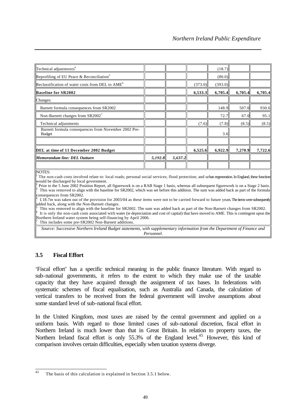| Technical adjustments <sup>4</sup>                                    |         |         |         | (18.7)  |         |         |
|-----------------------------------------------------------------------|---------|---------|---------|---------|---------|---------|
| Reprofiling of EU Peace & Reconciliation <sup>5</sup>                 |         |         |         | (80.0)  |         |         |
| Reclassification of water costs from DEL to AME <sup>6</sup>          |         |         | (373.0) | (393.0) |         |         |
| <b>Baseline for SR2002</b>                                            |         |         | 6,533.3 | 6,705.4 | 6,705.4 | 6,705.4 |
| Changes:                                                              |         |         |         |         |         |         |
| Barnett formula consequences from SR2002                              |         |         |         | 148.9   | 507.0   | 930.6   |
| Non-Barnett changes from SR2002 <sup>7</sup>                          |         |         |         | 72.7    | 67.0    | 95.1    |
| Technical adjustments                                                 |         |         | (7.6)   | (7.8)   | (8.5)   | (8.5)   |
| Barnett formula consequences from November 2002 Pre-<br><b>Budget</b> |         |         |         | 3.6     |         |         |
|                                                                       |         |         |         |         |         |         |
| DEL at time of 11 December 2002 Budget                                |         |         | 6,525.6 | 6,922.9 | 7,270.9 | 7,722.6 |
| Memorandum line: DEL Outturn                                          | 5,192.8 | 5,637.2 |         |         |         |         |
|                                                                       |         |         |         |         |         |         |

#### NOTES:

1 The non-cash costs involved relate to: local roads; personal social services; flood protection; and urban regeneration. In England, these functions would be discharged by local government.

2 Prior to the 5 June 2002 Position Report, all figurework is on a RAB Stage 1 basis, whereas all subsequent figurework is on a Stage 2 basis. 3 This was removed to align with the baseline for SR2002, which was set before this addition. The sum was added back as part of the formula consequences from SR2002.

4  $£18.7m$  was taken out of the provision for 2003/04 as these items were not to be carried forward to future years. The items were subsequently added back, along with the Non-Barnett changes. 5

 This was removed to align with the baseline for SR2002. The sum was added back as part of the Non-Barnett changes from SR2002. 6 It is only the non-cash costs associated with water (ie depreciation and cost of capital) that have moved to AME. This is contingent upon the Northern Ireland water system being self-financing by April 2006. 7

This includes some pre-SR2002 Non-Barnett additions.

*Source: Successive Northern Ireland Budget statements, with supplementary information from the Department of Finance and Personnel.*

# **3.5 Fiscal Effort**

'Fiscal effort' has a specific technical meaning in the public finance literature. With regard to sub-national governments, it refers to the extent to which they make use of the taxable capacity that they have acquired through the assignment of tax bases. In federations with systematic schemes of fiscal equalisation, such as Australia and Canada, the calculation of vertical transfers to be received from the federal government will involve assumptions about some standard level of sub-national fiscal effort.

In the United Kingdom, most taxes are raised by the central government and applied on a uniform basis. With regard to those limited cases of sub-national discretion, fiscal effort in Northern Ireland is much lower than that in Great Britain. In relation to property taxes, the Northern Ireland fiscal effort is only 55.3% of the England level.<sup>45</sup> However, this kind of comparison involves certain difficulties, especially when taxation systems diverge.

 $45$ The basis of this calculation is explained in Section 3.5.1 below.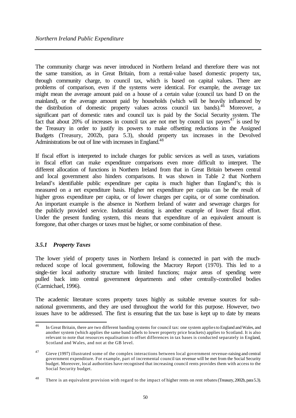The community charge was never introduced in Northern Ireland and therefore there was not the same transition, as in Great Britain, from a rental-value based domestic property tax, through community charge, to council tax, which is based on capital values. There are problems of comparison, even if the systems were identical. For example, the average tax might mean the average amount paid on a house of a certain value (council tax band D on the mainland), or the average amount paid by households (which will be heavily influenced by the distribution of domestic property values across council tax bands).<sup>46</sup> Moreover, a significant part of domestic rates and council tax is paid by the Social Security system. The fact that about 20% of increases in council tax are not met by council tax payers<sup>47</sup> is used by the Treasury in order to justify its powers to make offsetting reductions in the Assigned Budgets (Treasury, 2002b, para 5.3), should property tax increases in the Devolved Administrations be out of line with increases in England.<sup>48</sup>

If fiscal effort is interpreted to include charges for public services as well as taxes, variations in fiscal effort can make expenditure comparisons even more difficult to interpret. The different allocation of functions in Northern Ireland from that in Great Britain between central and local government also hinders comparisons. It was shown in Table 2 that Northern Ireland's identifiable public expenditure per capita is much higher than England's; this is measured on a net expenditure basis. Higher net expenditure per capita can be the result of higher gross expenditure per capita, or of lower charges per capita, or of some combination. An important example is the absence in Northern Ireland of water and sewerage charges for the publicly provided service. Industrial derating is another example of lower fiscal effort. Under the present funding system, this means that expenditure of an equivalent amount is foregone, that other charges or taxes must be higher, or some combination of these.

# *3.5.1 Property Taxes*

The lower yield of property taxes in Northern Ireland is connected in part with the muchreduced scope of local government, following the Macrory Report (1970). This led to a single-tier local authority structure with limited functions; major areas of spending were pulled back into central government departments and other centrally-controlled bodies (Carmichael, 1996).

The academic literature scores property taxes highly as suitable revenue sources for subnational governments, and they are used throughout the world for this purpose. However, two issues have to be addressed. The first is ensuring that the tax base is kept up to date by means

 $\overline{46}$ In Great Britain, there are two different banding systems for council tax: one system applies to England and Wales, and another system (which applies the same band labels to lower property price brackets) applies to Scotland. It is also relevant to note that resources equalisation to offset differences in tax bases is conducted separately in England, Scotland and Wales, and not at the GB level.

<sup>&</sup>lt;sup>47</sup> Gieve (1997) illustrated some of the complex interactions between local government revenue-raising and central government expenditure. For example, part of incremental council tax revenue will be met from the Social Security budget. Moreover, local authorities have recognised that increasing council rents provides them with access to the Social Security budget.

<sup>&</sup>lt;sup>48</sup> There is an equivalent provision with regard to the impact of higher rents on rent rebates (Treasury, 2002b, para 5.3).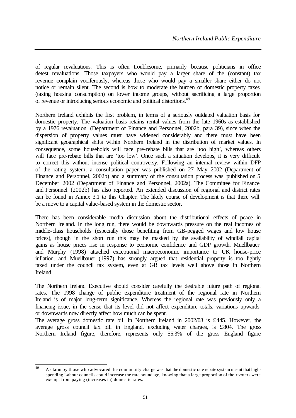of regular revaluations. This is often troublesome, primarily because politicians in office detest revaluations. Those taxpayers who would pay a larger share of the (constant) tax revenue complain vociferously, whereas those who would pay a smaller share either do not notice or remain silent. The second is how to moderate the burden of domestic property taxes (taxing housing consumption) on lower income groups, without sacrificing a large proportion of revenue or introducing serious economic and political distortions.<sup>49</sup>

Northern Ireland exhibits the first problem, in terms of a seriously outdated valuation basis for domestic property. The valuation basis retains rental values from the late 1960s as established by a 1976 revaluation (Department of Finance and Personnel, 2002b, para 39), since when the dispersion of property values must have widened considerably and there must have been significant geographical shifts within Northern Ireland in the distribution of market values. In consequence, some households will face pre-rebate bills that are 'too high', whereas others will face pre-rebate bills that are 'too low'. Once such a situation develops, it is very difficult to correct this without intense political controversy. Following an internal review within DFP of the rating system, a consultation paper was published on 27 May 2002 (Department of Finance and Personnel, 2002b) and a summary of the consultation process was published on 5 December 2002 (Department of Finance and Personnel, 2002a). The Committee for Finance and Personnel (2002b) has also reported. An extended discussion of regional and district rates can be found in Annex 3.1 to this Chapter. The likely course of development is that there will be a move to a capital value-based system in the domestic sector.

There has been considerable media discussion about the distributional effects of peace in Northern Ireland. In the long run, there would be downwards pressure on the real incomes of middle-class households (especially those benefiting from GB-pegged wages and low house prices), though in the short run this may be masked by the availability of windfall capital gains as house prices rise in response to economic confidence and GDP growth. Muellbauer and Murphy (1998) attached exceptional macroeconomic importance to UK house-price inflation, and Muellbauer (1997) has strongly argued that residential property is too lightly taxed under the council tax system, even at GB tax levels well above those in Northern Ireland.

The Northern Ireland Executive should consider carefully the desirable future path of regional rates. The 1998 change of public expenditure treatment of the regional rate in Northern Ireland is of major long-term significance. Whereas the regional rate was previously only a financing issue, in the sense that its level did not affect expenditure totals, variations upwards or downwards now directly affect how much can be spent.

The average gross domestic rate bill in Northern Ireland in 2002/03 is £445. However, the average gross council tax bill in England, excluding water charges, is £804. The gross Northern Ireland figure, therefore, represents only 55.3% of the gross England figure

 $\overline{49}$ A claim by those who advocated the community charge was that the domestic rate rebate system meant that highspending Labour councils could increase the rate poundage, knowing that a large proportion of their voters were exempt from paying (increases in) domestic rates.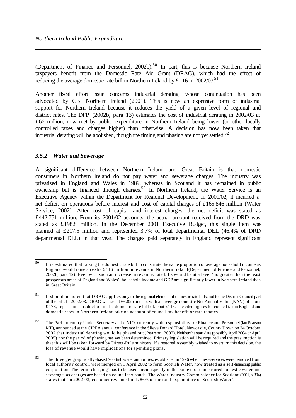(Department of Finance and Personnel, 2002b). <sup>50</sup> In part, this is because Northern Ireland taxpayers benefit from the Domestic Rate Aid Grant (DRAG), which had the effect of reducing the average domestic rate bill in Northern Ireland by £116 in 2002/03.<sup>51</sup>

Another fiscal effort issue concerns industrial derating, whose continuation has been advocated by CBI Northern Ireland (2001). This is now an expensive form of industrial support for Northern Ireland because it reduces the yield of a given level of regional and district rates. The DFP (2002b, para 13) estimates the cost of industrial derating in 2002/03 at £66 million, now met by public expenditure in Northern Ireland being lower (or other locally controlled taxes and charges higher) than otherwise. A decision has now been taken that industrial derating will be abolished, though the timing and phasing are not yet settled.<sup>52</sup>

# *3.5.2 Water and Sewerage*

A significant difference between Northern Ireland and Great Britain is that domestic consumers in Northern Ireland do not pay water and sewerage charges. The industry was privatised in England and Wales in 1989, whereas in Scotland it has remained in public ownership but is financed through charges.<sup>53</sup> In Northern Ireland, the Water Service is an Executive Agency within the Department for Regional Development. In 2001/02, it incurred a net deficit on operations before interest and cost of capital charges of £165.846 million (Water Service, 2002). After cost of capital and interest charges, the net deficit was stated as £442.751 million. From its 2001/02 accounts, the actual amount received from the DRD was stated as £198.8 million. In the December 2001 Executive Budget, this single item was planned at £217.5 million and represented 3.7% of total departmental DEL (46.4% of DRD departmental DEL) in that year. The charges paid separately in England represent significant

 $50^{\circ}$ It is estimated that raising the domestic rate bill to constitute the same proportion of average household income as England would raise an extra £116 million in revenue in Northern Ireland (Department of Finance and Personnel, 2002b, para 12). Even with such an increase in revenue, rate bills would be at a level 'no greater than the least prosperous areas of England and Wales'; household income and GDP are significantly lower in Northern Ireland than in Great Britain.

<sup>&</sup>lt;sup>51</sup> It should be noted that DRAG applies only to the regional element of domestic rate bills, not to the District Council part of the bill. In 2002/03, DRAG was set at 66.82p and so, with an average domestic Net Annual Value (NAV) of about  $£173$ , represents a reduction in the domestic rate bill of about £116. The cited figures for council tax in England and domestic rates in Northern Ireland take no account of council tax benefit or rate rebates.

<sup>52</sup> The Parliamentary Under-Secretary at the NIO, currently with responsibility for Finance and Personnel (Ian Pearson MP), announced at the CIPFA annual conference in the Slieve Donard Hotel, Newcastle, County Down on 24 October 2002 that industrial derating would be phased out (Pearson, 2002). Neither the start date (possibly April 2004 or April 2005) nor the period of phasing has yet been determined. Primary legislation will be required and the presumption is that this will be taken forward by Direct-Rule ministers. If a restored Assembly wished to overturn this decision, the loss of revenue would have implications for spending plans.

<sup>&</sup>lt;sup>53</sup> The three geographically-based Scottish water authorities, established in 1996 when these services were removed from local authority control, were merged on 1 April 2002 to form Scottish Water, now treated as a self-financing public corporation. The term 'charging' has to be used circumspectly in the context of unmeasured domestic water and sewerage, as charges are based on council tax bands. The Water Industry Commissioner for Scotland (2001, p. 304) states that 'in 2002-03, customer revenue funds 86% of the total expenditure of Scottish Water'.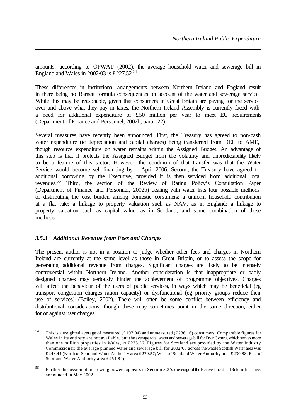amounts: according to OFWAT (2002), the average household water and sewerage bill in England and Wales in 2002/03 is  $£227.52^{54}$ 

These differences in institutional arrangements between Northern Ireland and England result in there being no Barnett formula consequences on account of the water and sewerage service. While this may be reasonable, given that consumers in Great Britain are paying for the service over and above what they pay in taxes, the Northern Ireland Assembly is currently faced with a need for additional expenditure of £50 million per year to meet EU requirements (Department of Finance and Personnel, 2002b, para 122).

Several measures have recently been announced. First, the Treasury has agreed to non-cash water expenditure (ie depreciation and capital charges) being transferred from DEL to AME, though resource expenditure on water remains within the Assigned Budget. An advantage of this step is that it protects the Assigned Budget from the volatility and unpredictability likely to be a feature of this sector. However, the condition of that transfer was that the Water Service would become self-financing by 1 April 2006. Second, the Treasury have agreed to additional borrowing by the Executive, provided it is then serviced from additional local revenues.<sup>55</sup> Third, the section of the Review of Rating Policy's Consultation Paper (Department of Finance and Personnel, 2002b) dealing with water lists four possible methods of distributing the cost burden among domestic consumers: a uniform household contribution at a flat rate; a linkage to property valuation such as NAV, as in England; a linkage to property valuation such as capital value, as in Scotland; and some combination of these methods.

#### *3.5.3 Additional Revenue from Fees and Charges*

The present author is not in a position to judge whether other fees and charges in Northern Ireland are currently at the same level as those in Great Britain, or to assess the scope for generating additional revenue from charges. Significant charges are likely to be intensely controversial within Northern Ireland. Another consideration is that inappropriate or badly designed charges may seriously hinder the achievement of programme objectives. Charges will affect the behaviour of the users of public services, in ways which may be beneficial (eg transport congestion charges ration capacity) or dysfunctional (eg priority groups reduce their use of services) (Bailey, 2002). There will often be some conflict between efficiency and distributional considerations, though these may sometimes point in the same direction, either for or against user charges.

 $\overline{54}$ This is a weighted average of measured (£197.94) and unmeasured (£236.16) consumers. Comparable figures for Wales in its entirety are not available, but the average total water and sewerage bill for Dwr Cymru, which serves more than one million properties in Wales, is £275.56. Figures for Scotland are provided by the Water Industry Commissioner: the average planned water and sewerage bill for 2002/03 across the whole Scottish Water area was £248.44 (North of Scotland Water Authority area £279.57; West of Scotland Water Authority area £230.88; East of Scotland Water Authority area £254.84).

<sup>55</sup> Further discussion of borrowing powers appears in Section 5.3's c overage of the Reinvestment and Reform Initiative, announced in May 2002.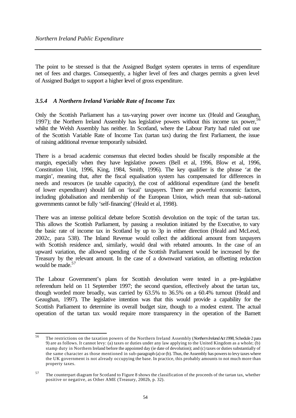The point to be stressed is that the Assigned Budget system operates in terms of expenditure net of fees and charges. Consequently, a higher level of fees and charges permits a given level of Assigned Budget to support a higher level of gross expenditure.

# *3.5.4 A Northern Ireland Variable Rate of Income Tax*

Only the Scottish Parliament has a tax-varying power over income tax (Heald and Geaughan, 1997); the Northern Ireland Assembly has legislative powers without this income tax power,  $56$ whilst the Welsh Assembly has neither. In Scotland, where the Labour Party had ruled out use of the Scottish Variable Rate of Income Tax (tartan tax) during the first Parliament, the issue of raising additional revenue temporarily subsided.

There is a broad academic consensus that elected bodies should be fiscally responsible at the margin, especially when they have legislative powers (Bell et al, 1996, Blow et al, 1996, Constitution Unit, 1996, King, 1984, Smith, 1996). The key qualifier is the phrase 'at the margin', meaning that, after the fiscal equalisation system has compensated for differences in needs and resources (ie taxable capacity), the cost of additional expenditure (and the benefit of lower expenditure) should fall on 'local' taxpayers. There are powerful economic factors, including globalisation and membership of the European Union, which mean that sub-national governments cannot be fully 'self-financing' (Heald et al, 1998).

There was an intense political debate before Scottish devolution on the topic of the tartan tax. This allows the Scottish Parliament, by passing a resolution initiated by the Executive, to vary the basic rate of income tax in Scotland by up to 3p in either direction (Heald and McLeod, 2002c, para 538). The Inland Revenue would collect the additional amount from taxpayers with Scottish residence and, similarly, would deal with rebated amounts. In the case of an upward variation, the allowed spending of the Scottish Parliament would be increased by the Treasury by the relevant amount. In the case of a downward variation, an offsetting reduction would be made.<sup>57</sup>

The Labour Government's plans for Scottish devolution were tested in a pre-legislative referendum held on 11 September 1997; the second question, effectively about the tartan tax, though worded more broadly, was carried by 63.5% to 36.5% on a 60.4% turnout (Heald and Geaughan, 1997). The legislative intention was that this would provide a capability for the Scottish Parliament to determine its overall budget size, though to a modest extent. The actual operation of the tartan tax would require more transparency in the operation of the Barnett

<sup>56</sup> <sup>56</sup> The restrictions on the taxation powers of the Northern Ireland Assembly (*Northern Ireland Act 1998*, Schedule 2 para 9) are as follows. It cannot levy: (a) taxes or duties under any law applying to the United Kingdom as a whole; (b) stamp duty in Northern Ireland before the appointed day (ie date of devolution); and (c) taxes or duties substantially of the same character as those mentioned in sub-paragraph (a) or (b). Thus, the Assembly has powers to levy taxes where the UK government is not already occupying the base. In practice, this probably amounts to not much more than property taxes.

 $57$  The counterpart diagram for Scotland to Figure 8 shows the classification of the proceeds of the tartan tax, whether positive or negative, as Other AME (Treasury, 2002b, p. 32).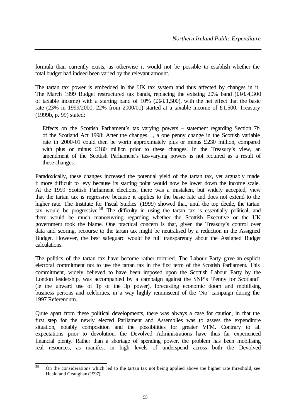formula than currently exists, as otherwise it would not be possible to establish whether the total budget had indeed been varied by the relevant amount.

The tartan tax power is embedded in the UK tax system and thus affected by changes in it. The March 1999 Budget restructured tax bands, replacing the existing 20% band  $(\text{\textsterling}\,0\text{\textsterling}4,300)$ of taxable income) with a starting band of 10%  $(\text{\pounds}0 \text{\pounds}1,500)$ , with the net effect that the basic rate (23% in 1999/2000, 22% from 2000/01) started at a taxable income of £1,500. Treasury (1999b, p. 99) stated:

Effects on the Scottish Parliament's tax varying powers – statement regarding Section 7b of the Scotland Act 1998: After the changes…, a one penny change in the Scottish variable rate in 2000-01 could then be worth approximately plus or minus £230 million, compared with plus or minus £180 million prior to these changes. In the Treasury's view, an amendment of the Scottish Parliament's tax-varying powers is not required as a result of these changes.

Paradoxically, these changes increased the potential yield of the tartan tax, yet arguably made it more difficult to levy because its starting point would now be lower down the income scale. At the 1999 Scottish Parliament elections, there was a mistaken, but widely accepted, view that the tartan tax is regressive because it applies to the basic rate and does not extend to the higher rate. The Institute for Fiscal Studies (1999) showed that, until the top decile, the tartan tax would be progressive.<sup>58</sup> The difficulty in using the tartan tax is essentially political, and there would be much manoeuvring regarding whether the Scottish Executive or the UK government took the blame. One practical concern is that, given the Treasury's control over data and scoring, recourse to the tartan tax might be neutralised by a reduction in the Assigned Budget. However, the best safeguard would be full transparency about the Assigned Budget calculations.

The politics of the tartan tax have become rather tortured. The Labour Party gave an explicit electoral commitment not to use the tartan tax in the first term of the Scottish Parliament. This commitment, widely believed to have been imposed upon the Scottish Labour Party by the London leadership, was accompanied by a campaign against the SNP's 'Penny for Scotland' (ie the upward use of 1p of the 3p power), forecasting economic doom and mobilising business persons and celebrities, in a way highly reminiscent of the 'No' campaign during the 1997 Referendum.

Quite apart from these political developments, there was always a case for caution, in that the first step for the newly elected Parliament and Assemblies was to assess the expenditure situation, notably composition and the possibilities for greater VFM. Contrary to all expectations prior to devolution, the Devolved Administrations have thus far experienced financial plenty. Rather than a shortage of spending power, the problem has been mobilising real resources, as manifest in high levels of underspend across both the Devolved

<sup>58</sup> On the considerations which led to the tartan tax not being applied above the higher rate threshold, see Heald and Geaughan (1997).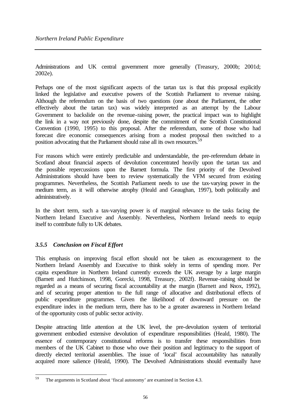Administrations and UK central government more generally (Treasury, 2000b; 2001d; 2002e).

Perhaps one of the most significant aspects of the tartan tax is that this proposal explicitly linked the legislative and executive powers of the Scottish Parliament to revenue raising. Although the referendum on the basis of two questions (one about the Parliament, the other effectively about the tartan tax) was widely interpreted as an attempt by the Labour Government to backslide on the revenue-raising power, the practical impact was to highlight the link in a way not previously done, despite the commitment of the Scottish Constitutional Convention (1990, 1995) to this proposal. After the referendum, some of those who had forecast dire economic consequences arising from a modest proposal then switched to a position advocating that the Parliament should raise all its own resources.<sup>59</sup>

For reasons which were entirely predictable and understandable, the pre-referendum debate in Scotland about financial aspects of devolution concentrated heavily upon the tartan tax and the possible repercussions upon the Barnett formula. The first priority of the Devolved Administrations should have been to review systematically the VFM secured from existing programmes. Nevertheless, the Scottish Parliament needs to use the tax-varying power in the medium term, as it will otherwise atrophy (Heald and Geaughan, 1997), both politically and administratively.

In the short term, such a tax-varying power is of marginal relevance to the tasks facing the Northern Ireland Executive and Assembly. Nevertheless, Northern Ireland needs to equip itself to contribute fully to UK debates.

## *3.5.5 Conclusion on Fiscal Effort*

This emphasis on improving fiscal effort should not be taken as encouragement to the Northern Ireland Assembly and Executive to think solely in terms of spending more. Per capita expenditure in Northern Ireland currently exceeds the UK average by a large margin (Barnett and Hutchinson, 1998, Gorecki, 1998, Treasury, 2002f). Revenue-raising should be regarded as a means of securing fiscal accountability at the margin (Barnett and Knox, 1992), and of securing proper attention to the full range of allocative and distributional effects of public expenditure programmes. Given the likelihood of downward pressure on the expenditure index in the medium term, there has to be a greater awareness in Northern Ireland of the opportunity costs of public sector activity.

Despite attracting little attention at the UK level, the pre-devolution system of territorial government embodied extensive devolution of expenditure responsibilities (Heald, 1980). The essence of contemporary constitutional reforms is to transfer these responsibilities from members of the UK Cabinet to those who owe their position and legitimacy to the support of directly elected territorial assemblies. The issue of 'local' fiscal accountability has naturally acquired more salience (Heald, 1990). The Devolved Administrations should eventually have

<sup>59</sup> The arguments in Scotland about 'fiscal autonomy' are examined in Section 4.3.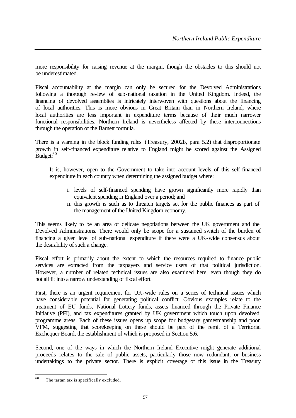more responsibility for raising revenue at the margin, though the obstacles to this should not be underestimated.

Fiscal accountability at the margin can only be secured for the Devolved Administrations following a thorough review of sub-national taxation in the United Kingdom. Indeed, the financing of devolved assemblies is intricately interwoven with questions about the financing of local authorities. This is more obvious in Great Britain than in Northern Ireland, where local authorities are less important in expenditure terms because of their much narrower functional responsibilities. Northern Ireland is nevertheless affected by these interconnections through the operation of the Barnett formula.

There is a warning in the block funding rules (Treasury, 2002b, para 5.2) that disproportionate growth in self-financed expenditure relative to England might be scored against the Assigned Budget:<sup>60</sup>

It is, however, open to the Government to take into account levels of this self-financed expenditure in each country when determining the assigned budget where:

- i. levels of self-financed spending have grown significantly more rapidly than equivalent spending in England over a period; and
- ii. this growth is such as to threaten targets set for the public finances as part of the management of the United Kingdom economy.

This seems likely to be an area of delicate negotiations between the UK government and the Devolved Administrations. There would only be scope for a sustained switch of the burden of financing a given level of sub-national expenditure if there were a UK-wide consensus about the desirability of such a change.

Fiscal effort is primarily about the extent to which the resources required to finance public services are extracted from the taxpayers and service users of that political jurisdiction. However, a number of related technical issues are also examined here, even though they do not all fit into a narrow understanding of fiscal effort.

First, there is an urgent requirement for UK-wide rules on a series of technical issues which have considerable potential for generating political conflict. Obvious examples relate to the treatment of EU funds, National Lottery funds, assets financed through the Private Finance Initiative (PFI), and tax expenditures granted by UK government which touch upon devolved programme areas. Each of these issues opens up scope for budgetary gamesmanship and poor VFM, suggesting that scorekeeping on these should be part of the remit of a Territorial Exchequer Board, the establishment of which is proposed in Section 5.6.

Second, one of the ways in which the Northern Ireland Executive might generate additional proceeds relates to the sale of public assets, particularly those now redundant, or business undertakings to the private sector. There is explicit coverage of this issue in the Treasury

<sup>60</sup> The tartan tax is specifically excluded.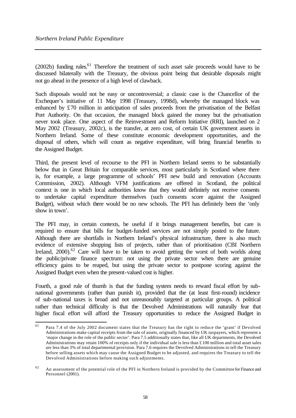(2002b) funding rules.<sup>61</sup> Therefore the treatment of such asset sale proceeds would have to be discussed bilaterally with the Treasury, the obvious point being that desirable disposals might not go ahead in the presence of a high level of clawback.

Such disposals would not be easy or uncontroversial; a classic case is the Chancellor of the Exchequer's initiative of 11 May 1998 (Treasury, 1998d), whereby the managed block was enhanced by £70 million in anticipation of sales proceeds from the privatisation of the Belfast Port Authority. On that occasion, the managed block gained the money but the privatisation never took place. One aspect of the Reinvestment and Reform Initiative (RRI), launched on 2 May 2002 (Treasury, 2002c), is the transfer, at zero cost, of certain UK government assets in Northern Ireland. Some of these constitute economic development opportunities, and the disposal of others, which will count as negative expenditure, will bring financial benefits to the Assigned Budget.

Third, the present level of recourse to the PFI in Northern Ireland seems to be substantially below that in Great Britain for comparable services, most particularly in Scotland where there is, for example, a large programme of schools' PFI new build and renovation (Accounts Commission, 2002). Although VFM justifications are offered in Scotland, the political context is one in which local authorities know that they would definitely not receive consents to undertake capital expenditure themselves (such consents score against the Assigned Budget), without which there would be no new schools. The PFI has definitely been the 'only show in town'.

The PFI may, in certain contexts, be useful if it brings management benefits, but care is required to ensure that bills for budget-funded services are not simply posted to the future. Although there are shortfalls in Northern Ireland's physical infrastructure, there is also much evidence of extensive shopping lists of projects, rather than of prioritisation (CBI Northern Ireland, 2000).<sup>62</sup> Care will have to be taken to avoid getting the worst of both worlds along the public/private finance spectrum: not using the private sector when there are genuine efficiency gains to be reaped, but using the private sector to postpone scoring against the Assigned Budget even when the present-valued cost is higher.

Fourth, a good rule of thumb is that the funding system needs to reward fiscal effort by subnational governments (rather than punish it), provided that the (at least first-round) incidence of sub-national taxes is broad and not unreasonably targeted at particular groups. A political rather than technical difficulty is that the Devolved Administrations will naturally fear that higher fiscal effort will afford the Treasury opportunities to reduce the Assigned Budget in

<sup>61</sup> <sup>61</sup> Para 7.4 of the July 2002 document states that the Treasury has the right to reduce the 'grant' if Devolved Administrations make capital receipts from the sale of assets, originally financed by UK taxpayers, which represent a 'major change in the role of the public sector'. Para 7.5 additionally states that, like all UK departments, the Devolved Administrations may retain 100% of receipts only if the individual sale is less than £100 million and total asset sales are less than 3% of total departmental provision. Para 7.6 requires the Devolved Administrations to tell the Treasury before selling assets which may cause the Assigned Budget to be adjusted, and requires the Treasury to tell the Devolved Administrations before making such adjustments.

 $62$  An assessment of the potential role of the PFI in Northern Ireland is provided by the Committee for Finance and Personnel (2001).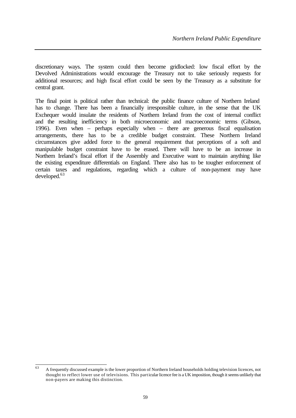discretionary ways. The system could then become gridlocked: low fiscal effort by the Devolved Administrations would encourage the Treasury not to take seriously requests for additional resources; and high fiscal effort could be seen by the Treasury as a substitute for central grant.

The final point is political rather than technical: the public finance culture of Northern Ireland has to change. There has been a financially irresponsible culture, in the sense that the UK Exchequer would insulate the residents of Northern Ireland from the cost of internal conflict and the resulting inefficiency in both microeconomic and macroeconomic terms (Gibson, 1996). Even when – perhaps especially when – there are generous fiscal equalisation arrangements, there has to be a credible budget constraint. These Northern Ireland circumstances give added force to the general requirement that perceptions of a soft and manipulable budget constraint have to be erased. There will have to be an increase in Northern Ireland's fiscal effort if the Assembly and Executive want to maintain anything like the existing expenditure differentials on England. There also has to be tougher enforcement of certain taxes and regulations, regarding which a culture of non-payment may have  $developed.<sup>63</sup>$ 

<sup>63</sup> <sup>63</sup> A frequently discussed example is the lower proportion of Northern Ireland households holding television licences, not thought to reflect lower use of televisions. This particular licence fee is a UK imposition, though it seems unlikely that non-payers are making this distinction.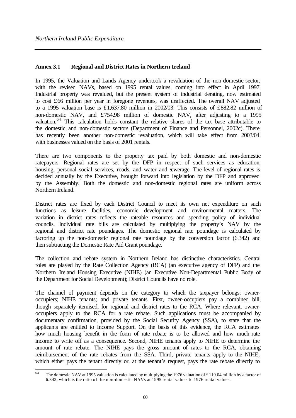# **Annex 3.1 Regional and District Rates in Northern Ireland**

In 1995, the Valuation and Lands Agency undertook a revaluation of the non-domestic sector, with the revised NAVs, based on 1995 rental values, coming into effect in April 1997. Industrial property was revalued, but the present system of industrial derating, now estimated to cost £66 million per year in foregone revenues, was unaffected. The overall NAV adjusted to a 1995 valuation base is £1,637.80 million in 2002/03. This consists of £882.82 million of non-domestic NAV, and £754.98 million of domestic NAV, after adjusting to a 1995 valuation.<sup>64</sup> This calculation holds constant the relative shares of the tax base attributable to the domestic and non-domestic sectors (Department of Finance and Personnel, 2002c). There has recently been another non-domestic revaluation, which will take effect from 2003/04, with businesses valued on the basis of 2001 rentals.

There are two components to the property tax paid by both domestic and non-domestic ratepayers. Regional rates are set by the DFP in respect of such services as education, housing, personal social services, roads, and water and gewerage. The level of regional rates is decided annually by the Executive, brought forward into legislation by the DFP and approved by the Assembly. Both the domestic and non-domestic regional rates are uniform across Northern Ireland.

District rates are fixed by each District Council to meet its own net expenditure on such functions as leisure facilities, economic development and environmental matters. The variation in district rates reflects the rateable resources and spending policy of individual councils. Individual rate bills are calculated by multiplying the property's NAV by the regional and district rate poundages. The domestic regional rate poundage is calculated by factoring up the non-domestic regional rate poundage by the conversion factor (6.342) and then subtracting the Domestic Rate Aid Grant poundage.

The collection and rebate system in Northern Ireland has distinctive characteristics. Central roles are played by the Rate Collection Agency (RCA) (an executive agency of DFP) and the Northern Ireland Housing Executive (NIHE) (an Executive Non-Departmental Public Body of the Department for Social Development); District Councils have no role.

The channel of payment depends on the category to which the taxpayer belongs: owneroccupiers; NIHE tenants; and private tenants. First, owner-occupiers pay a combined bill, though separately itemised, for regional and district rates to the RCA. Where relevant, owneroccupiers apply to the RCA for a rate rebate. Such applications must be accompanied by documentary confirmation, provided by the Social Security Agency (SSA), to state that the applicants are entitled to Income Support. On the basis of this evidence, the RCA estimates how much housing benefit in the form of rate rebate is to be allowed and how much rate income to write off as a consequence. Second, NIHE tenants apply to NIHE to determine the amount of rate rebate. The NIHE pays the gross amount of rates to the RCA, obtaining reimbursement of the rate rebates from the SSA. Third, private tenants apply to the NIHE, which either pays the tenant directly or, at the tenant's request, pays the rate rebate directly to

 $\overline{64}$ The domestic NAV at 1995 valuation is calculated by multiplying the 1976 valuation of £119.04 million by a factor of 6.342, which is the ratio of the non-domestic NAVs at  $1995$  rental values to 1976 rental values.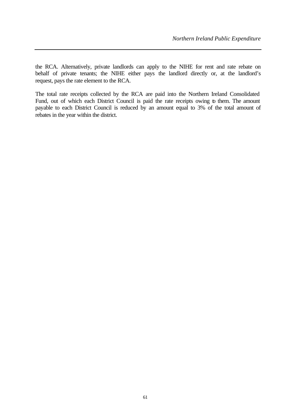the RCA. Alternatively, private landlords can apply to the NIHE for rent and rate rebate on behalf of private tenants; the NIHE either pays the landlord directly or, at the landlord's request, pays the rate element to the RCA.

The total rate receipts collected by the RCA are paid into the Northern Ireland Consolidated Fund, out of which each District Council is paid the rate receipts owing to them. The amount payable to each District Council is reduced by an amount equal to 3% of the total amount of rebates in the year within the district.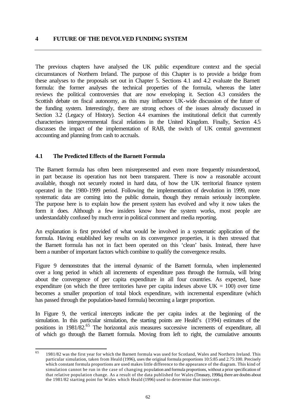#### **4 FUTURE OF THE DEVOLVED FUNDING SYSTEM**

The previous chapters have analysed the UK public expenditure context and the special circumstances of Northern Ireland. The purpose of this Chapter is to provide a bridge from these analyses to the proposals set out in Chapter 5. Sections 4.1 and 4.2 evaluate the Barnett formula: the former analyses the technical properties of the formula, whereas the latter reviews the political controversies that are now enveloping it. Section 4.3 considers the Scottish debate on fiscal autonomy, as this may influence UK-wide discussion of the future of the funding system. Interestingly, there are strong echoes of the issues already discussed in Section 3.2 (Legacy of History). Section 4.4 examines the institutional deficit that currently characterises intergovernmental fiscal relations in the United Kingdom. Finally, Section 4.5 discusses the impact of the implementation of RAB, the switch of UK central government accounting and planning from cash to accruals.

#### **4.1 The Predicted Effects of the Barnett Formula**

The Barnett formula has often been misrepresented and even more frequently misunderstood, in part because its operation has not been transparent. There is now a reasonable account available, though not securely rooted in hard data, of how the UK territorial finance system operated in the 1980-1999 period. Following the implementation of devolution in 1999, more systematic data are coming into the public domain, though they remain seriously incomplete. The purpose here is to explain how the present system has evolved and why it now takes the form it does. Although a few insiders know how the system works, most people are understandably confused by much error in political comment and media reporting.

An explanation is first provided of what would be involved in a systematic application of the formula. Having established key results on its convergence properties, it is then stressed that the Barnett formula has not in fact been operated on this 'clean' basis. Instead, there have been a number of important factors which combine to qualify the convergence results.

Figure 9 demonstrates that the internal dynamic of the Barnett formula, when implemented over a long period in which all increments of expenditure pass through the formula, will bring about the convergence of per capita expenditure in all four countries. As expected, base expenditure (on which the three territories have per capita indexes above  $UK = 100$ ) over time becomes a smaller proportion of total block expenditure, with incremental expenditure (which has passed through the population-based formula) becoming a larger proportion.

In Figure 9, the vertical intercepts indicate the per capita index at the beginning of the simulation. In this particular simulation, the starting points are Heald's (1994) estimates of the positions in 1981/82.<sup>65</sup> The horizontal axis measures successive increments of expenditure, all of which go through the Barnett formula. Moving from left to right, the cumulative amounts

<sup>65</sup> 1981/82 was the first year for which the Barnett formula was used for Scotland, Wales and Northern Ireland. This particular simulation, taken from Heald (1996), uses the original formula proportions 10:5:85 and 2.75:100. Precisely which constant formula proportions are used makes little difference to the appearance of the diagram. This kind of simulation cannot be run in the case of changing population and formula proportions, without a prior specification of that relative population change. As a result of the data published for Wales (Treasury, 1998a), there are doubts about the 1981/82 starting point for Wales which Heald (1996) used to determine that intercept.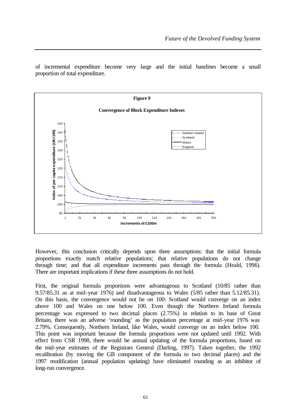of incremental expenditure become very large and the initial baselines become a small proportion of total expenditure.



However, this conclusion critically depends upon three assumptions: that the initial formula proportions exactly match relative populations; that relative populations do not change through time; and that all expenditure increments pass through the formula (Heald, 1996). There are important implications if these three assumptions do not hold.

First, the original formula proportions were advantageous to Scotland (10/85 rather than 9.57/85.31 as at mid-year 1976) and disadvantageous to Wales (5/85 rather than 5.12/85.31). On this basis, the convergence would not be on 100: Scotland would converge on an index above 100 and Wales on one below 100. Even though the Northern Ireland formula percentage was expressed to two decimal places (2.75%) in relation to its base of Great Britain, there was an adverse 'rounding' as the population percentage at mid-year 1976 was 2.79%. Consequently, Northern Ireland, like Wales, would converge on an index below 100. This point was important because the formula proportions were not updated until 1992. With effect from CSR 1998, there would be annual updating of the formula proportions, based on the mid-year estimates of the Registrars General (Darling, 1997). Taken together, the 1992 recalibration (by moving the GB component of the formula to two decimal places) and the 1997 modification (annual population updating) have eliminated rounding as an inhibitor of long-run convergence.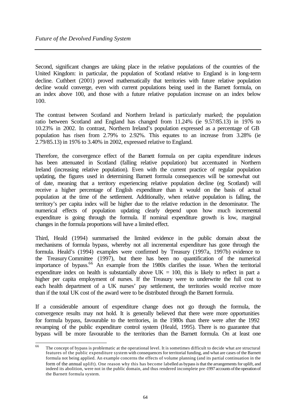Second, significant changes are taking place in the relative populations of the countries of the United Kingdom: in particular, the population of Scotland relative to England is in long-term decline. Cuthbert (2001) proved mathematically that territories with future relative population decline would converge, even with current populations being used in the Barnett formula, on an index above 100, and those with a future relative population increase on an index below 100.

The contrast between Scotland and Northern Ireland is particularly marked; the population ratio between Scotland and England has changed from 11.24% (ie 9.57/85.13) in 1976 to 10.23% in 2002. In contrast, Northern Ireland's population expressed as a percentage of GB population has risen from 2.79% to 2.92%. This equates to an increase from 3.28% (ie 2.79/85.13) in 1976 to 3.40% in 2002, expressed relative to England.

Therefore, the convergence effect of the Barnett formula on per capita expenditure indexes has been attenuated in Scotland (falling relative population) but accentuated in Northern Ireland (increasing relative population). Even with the current practice of regular population updating, the figures used in determining Barnett formula consequences will be somewhat out of date, meaning that a territory experiencing relative population decline (eg Scotland) will receive a higher percentage of English expenditure than it would on the basis of actual population at the time of the settlement. Additionally, when relative population is falling, the territory's per capita index will be higher due to the relative reduction in the denominator. The numerical effects of population updating clearly depend upon how much incremental expenditure is going through the formula. If nominal expenditure growth is low, marginal changes in the formula proportions will have a limited effect.

Third, Heald (1994) summarised the limited evidence in the public domain about the mechanisms of formula bypass, whereby not all incremental expenditure has gone through the formula. Heald's (1994) examples were confirmed by Treasury (1997a, 1997b) evidence to the TreasuryCommittee (1997), but there has been no quantification of the numerical importance of bypass.<sup>66</sup> An example from the 1980s clarifies the issue. When the territorial expenditure index on health is substantially above  $UK = 100$ , this is likely to reflect in part a higher per capita employment of nurses. If the Treasury were to underwrite the full cost to each health department of a UK nurses' pay settlement, the territories would receive more than if the total UK cost of the award were to be distributed through the Barnett formula.

If a considerable amount of expenditure change does not go through the formula, the convergence results may not hold. It is generally believed that there were more opportunities for formula bypass, favourable to the territories, in the 1980s than there were after the 1992 revamping of the public expenditure control system (Heald, 1995). There is no guarantee that bypass will be more favourable to the territories than the Barnett formula. On at least one

<sup>66</sup> The concept of bypass is problematic at the operational level. It is sometimes difficult to decide what are structural features of the public expenditure system with consequences for territorial funding, and what are cases of the Barnett formula not being applied. An example concerns the effects of volume planning (and its partial continuation in the form of the annual uplift). One reason why this has become labelled as bypass is that the arrangements for uplift, and indeed its abolition, were not in the public domain, and thus rendered incomplete pre-1997 accounts of the operation of the Barnett formula system.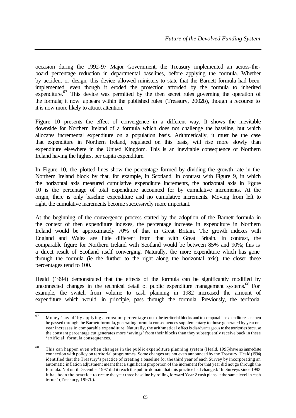occasion during the 1992-97 Major Government, the Treasury implemented an across-theboard percentage reduction in departmental baselines, before applying the formula. Whether by accident or design, this device allowed ministers to state that the Barnett formula had been implemented, even though it eroded the protection afforded by the formula to inherited expenditure.<sup>67</sup> This device was permitted by the then secret rules governing the operation of the formula; it now appears within the published rules (Treasury, 2002b), though a recourse to it is now more likely to attract attention.

Figure 10 presents the effect of convergence in a different way. It shows the inevitable downside for Northern Ireland of a formula which does not challenge the baseline, but which allocates incremental expenditure on a population basis. Arithmetically, it must be the case that expenditure in Northern Ireland, regulated on this basis, will rise more slowly than expenditure elsewhere in the United Kingdom. This is an inevitable consequence of Northern Ireland having the highest per capita expenditure.

In Figure 10, the plotted lines show the percentage formed by dividing the growth rate in the Northern Ireland block by that, for example, in Scotland. In contrast with Figure 9, in which the horizontal axis measured cumulative expenditure increments, the horizontal axis in Figure 10 is the percentage of total expenditure accounted for by cumulative increments. At the origin, there is only baseline expenditure and no cumulative increments. Moving from left to right, the cumulative increments become successively more important.

At the beginning of the convergence process started by the adoption of the Barnett formula in the context of then expenditure indexes, the percentage increase in expenditure in Northern Ireland would be approximately 70% of that in Great Britain. The growth indexes with England and Wales are little different from that with Great Britain. In contrast, the comparable figure for Northern Ireland with Scotland would be between 85% and 90%; this is a direct result of Scotland itself converging. Naturally, the more expenditure which has gone through the formula (ie the further to the right along the horizontal axis), the closer these percentages tend to 100.

Heald (1994) demonstrated that the effects of the formula can be significantly modified by unconnected changes in the technical detail of public expenditure management systems.<sup>68</sup> For example, the switch from volume to cash planning in 1982 increased the amount of expenditure which would, in principle, pass through the formula. Previously, the territorial

<sup>67</sup> Money 'saved' by applying a constant percentage cut to the territorial blocks and to comparable expenditure can then be passed through the Barnett formula, generating formula consequences supplementary to those generated by year-onyear increases in comparable expenditure. Naturally, the arithmetical e ffect is disadvantageous to the territories because the constant percentage cut generates more 'savings' from their blocks than they subsequently receive back in these 'artificial' formula consequences.

<sup>&</sup>lt;sup>68</sup> This can happen even when changes in the public expenditure planning system (Heald, 1995) have no immediate connection with policy on territorial programmes. Some changes are not even announced by the Treasury. Heald (1994) identified that the Treasury's practice of creating a baseline for the third year of each Survey by incorporating an automatic inflation adjustment meant that a significant proportion of the increment for that year did not go through the formula. Not until December 1997 did it reach the public domain that this practice had changed: 'In Surveys since 1993 it has been the practice to create the year three baseline by rolling forward Year 2 cash plans at the same level in cash terms' (Treasury, 1997b).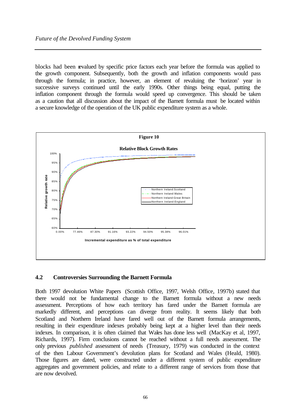blocks had been revalued by specific price factors each year before the formula was applied to the growth component. Subsequently, both the growth and inflation components would pass through the formula; in practice, however, an element of revaluing the 'horizon' year in successive surveys continued until the early 1990s. Other things being equal, putting the inflation component through the formula would speed up convergence. This should be taken as a caution that all discussion about the impact of the Barnett formula must be located within a secure knowledge of the operation of the UK public expenditure system as a whole.



#### **4.2 Controversies Surrounding the Barnett Formula**

Both 1997 devolution White Papers (Scottish Office, 1997, Welsh Office, 1997b) stated that there would not be fundamental change to the Barnett formula without a new needs assessment. Perceptions of how each territory has fared under the Barnett formula are markedly different, and perceptions can diverge from reality. It seems likely that both Scotland and Northern Ireland have fared well out of the Barnett formula arrangements, resulting in their expenditure indexes probably being kept at a higher level than their needs indexes. In comparison, it is often claimed that Wales has done less well (MacKay et al, 1997, Richards, 1997). Firm conclusions cannot be reached without a full needs assessment. The only previous *published* assessment of needs (Treasury, 1979) was conducted in the context of the then Labour Government's devolution plans for Scotland and Wales (Heald, 1980). Those figures are dated, were constructed under a different system of public expenditure aggregates and government policies, and relate to a different range of services from those that are now devolved.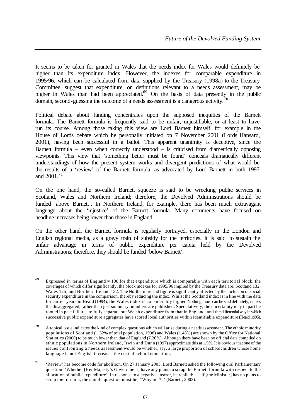It seems to be taken for granted in Wales that the needs index for Wales would definitely be higher than its expenditure index. However, the indexes for comparable expenditure in 1995/96, which can be calculated from data supplied by the Treasury (1998a) to the Treasury Committee, suggest that expenditure, on definitions relevant to a needs assessment, may be higher in Wales than had been appreciated.<sup>69</sup> On the basis of data presently in the public domain, second-guessing the outcome of a needs assessment is a dangerous activity.<sup>70</sup>

Political debate about funding concentrates upon the supposed inequities of the Barnett formula. The Barnett formula is frequently said to be unfair, unjustifiable, or at least to have run its course. Among those taking this view are Lord Barnett himself, for example in the House of Lords debate which he personally initiated on 7 November 2001 (Lords Hansard, 2001), having been successful in a ballot. This apparent unanimity is deceptive, since the Barnett formula – even when correctly understood – is criticised from diametrically opposing viewpoints. This view that 'something better must be found' conceals dramatically different understandings of how the present system works and divergent predictions of what would be the results of a 'review' of the Barnett formula, as advocated by Lord Barnett in both 1997 and  $2001$ <sup>71</sup>

On the one hand, the so-called Barnett squeeze is said to be wrecking public services in Scotland, Wales and Northern Ireland; therefore, the Devolved Administrations should be funded 'above Barnett'. In Northern Ireland, for example, there has been much extravagant language about the 'injustice' of the Barnett formula. Many comments have focused on headline increases being lower than those in England.

On the other hand, the Barnett formula is regularly portrayed, especially in the London and English regional media, as a gravy train of subsidy for the territories. It is said to sustain the unfair advantage in terms of public expenditure per capita held by the Devolved Administrations; therefore, they should be funded 'below Barnett'.

<sup>69</sup> Expressed in terms of England  $= 100$  for that expenditure which is comparable with each territorial block, the coverages of which differ significantly, the block indexes for 1995/96 implied by the Treasury data are: Scotland 132; Wales 125; and Northern Ireland 132. The Northern Ireland figure is significantly affected by the inclusion of social security expenditure in the comparison, thereby reducing the index. Whilst the Scotland index is in line with the data for earlier years in Heald (1994), the Wales index is considerably higher. Nothing more can be said definitely, unless the disaggregated, rather than just summary, numbers are published. Speculatively, the uncertainty may in part be rooted in past failures to fully separate out Welsh expenditure from that in England, and the differential way in which successive public expenditure aggregates have scored local authorities within identifiable expenditure (Heald, 1995).

 $70$  A topical issue indicates the kind of complex questions which will arise during a needs assessment. The ethnic minority populations of Scotland (1.52% of total population, 1998) and Wales (1.48%) are shown by the Office for National Statistics (2000) to be much lower than that of England (7.26%). Although there have been no official data compiled on ethnic populations in Northern Ireland, Irwin and Dunn (1997) approximate this at 1.5%. It is obvious that one of the issues confronting a needs assessment would be whether, say, a large proportion of schoolchildren whose home language is not English increases the cost of school education.

<sup>71</sup> 'Review' has become code for abolition. On 27 January 2003, Lord Barnett asked the following oral Parliamentary question: 'Whether [Her Majesty's Government] have any plans to scrap the Barnett formula with respect to the allocation of public expenditure'. In response to a negative answer, he replied: '… if [the Minister] has no plans to scrap the formula, the simple question must be, "Why not?" (Barnett, 2003).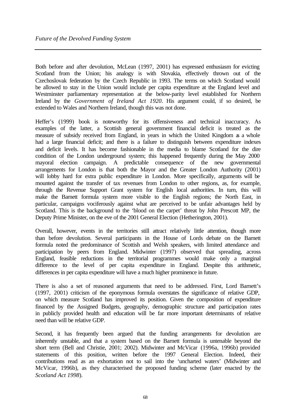Both before and after devolution, McLean (1997, 2001) has expressed enthusiasm for evicting Scotland from the Union; his analogy is with Slovakia, effectively thrown out of the Czechoslovak federation by the Czech Republic in 1993. The terms on which Scotland would be allowed to stay in the Union would include per capita expenditure at the England level and Westminster parliamentary representation at the below-parity level established for Northern Ireland by the *Government of Ireland Act 1920*. His argument could, if so desired, be extended to Wales and Northern Ireland, though this was not done.

Heffer's (1999) book is noteworthy for its offensiveness and technical inaccuracy. As examples of the latter, a Scottish general government financial deficit is treated as the measure of subsidy received from England, in years in which the United Kingdom as a whole had a large financial deficit; and there is a failure to distinguish between expenditure indexes and deficit levels. It has become fashionable in the media to blame Scotland for the dire condition of the London underground system; this happened frequently during the May 2000 mayoral election campaign. A predictable consequence of the new governmental arrangements for London is that both the Mayor and the Greater London Authority (2001) will lobby hard for extra public expenditure in London. More specifically, arguments will be mounted against the transfer of tax revenues from London to other regions, as, for example, through the Revenue Support Grant system for English local authorities. In turn, this will make the Barnett formula system more visible to the English regions; the North East, in particular, campaigns vociferously against what are perceived to be unfair advantages held by Scotland. This is the background to the 'blood on the carpet' threat by John Prescott MP, the Deputy Prime Minister, on the eve of the 2001 General Election (Hetherington, 2001).

Overall, however, events in the territories still attract relatively little attention, though more than before devolution. Several participants in the House of Lords debate on the Barnett formula noted the predominance of Scottish and Welsh speakers, with limited attendance and participation by peers from England. Midwinter (1997) observed that spreading, across England, feasible reductions in the territorial programmes would make only a marginal difference to the level of per capita expenditure in England. Despite this arithmetic, differences in per capita expenditure will have a much higher prominence in future.

There is also a set of reasoned arguments that need to be addressed. First, Lord Barnett's (1997, 2001) criticism of the eponymous formula overstates the significance of relative GDP, on which measure Scotland has improved its position. Given the composition of expenditure financed by the Assigned Budgets, geography, demographic structure and participation rates in publicly provided health and education will be far more important determinants of relative need than will be relative GDP.

Second, it has frequently been argued that the funding arrangements for devolution are inherently unstable, and that a system based on the Barnett formula is untenable beyond the short term (Bell and Christie, 2001; 2002). Midwinter and McVicar (1996a, 1996b) provided statements of this position, written before the 1997 General Election. Indeed, their contributions read as an exhortation not to sail into the 'uncharted waters' (Midwinter and McVicar, 1996b), as they characterised the proposed funding scheme (later enacted by the *Scotland Act 1998*).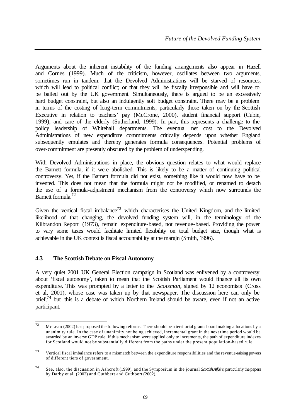Arguments about the inherent instability of the funding arrangements also appear in Hazell and Cornes (1999). Much of the criticism, however, oscillates between two arguments, sometimes run in tandem: that the Devolved Administrations will be starved of resources, which will lead to political conflict; or that they will be fiscally irresponsible and will have to be bailed out by the UK government. Simultaneously, there is argued to be an excessively hard budget constraint, but also an indulgently soft budget constraint. There may be a problem in terms of the costing of long-term commitments, particularly those taken on by the Scottish Executive in relation to teachers' pay (McCrone, 2000), student financial support (Cubie, 1999), and care of the elderly (Sutherland, 1999). In part, this represents a challenge to the policy leadership of Whitehall departments. The eventual net cost to the Devolved Administrations of new expenditure commitments critically depends upon whether England subsequently emulates and thereby generates formula consequences. Potential problems of over-commitment are presently obscured by the problem of underspending.

With Devolved Administrations in place, the obvious question relates to what would replace the Barnett formula, if it were abolished. This is likely to be a matter of continuing political controversy. Yet, if the Barnett formula did not exist, something like it would now have to be invented. This does not mean that the formula might not be modified, or renamed to detach the use of a formula-adjustment mechanism from the controversy which now surrounds the Barnett formula.<sup>72</sup>

Given the vertical fiscal imbalance<sup>73</sup> which characterises the United Kingdom, and the limited likelihood of that changing, the devolved funding system will, in the terminology of the Kilbrandon Report (1973), remain expenditure-based, not revenue-based. Providing the power to vary some taxes would facilitate limited flexibility on total budget size, though what is achievable in the UK context is fiscal accountability at the margin (Smith, 1996).

## **4.3 The Scottish Debate on Fiscal Autonomy**

A very quiet 2001 UK General Election campaign in Scotland was enlivened by a controversy about 'fiscal autonomy', taken to mean that the Scottish Parliament would finance all its own expenditure. This was prompted by a letter to the *Scotsman*, signed by 12 economists (Cross et al, 2001), whose case was taken up by that newspaper. The discussion here can only be brief,<sup>74</sup> but this is a debate of which Northern Ireland should be aware, even if not an active participant.

 $72$ McLean (2002) has proposed the following reforms. There should be a territorial grants board making allocations by a unanimity rule. In the case of unanimity not being achieved, incremental grant in the next time period would be awarded by an inverse GDP rule. If this mechanism were applied only to increments, the path of expenditure indexes for Scotland would not be substantially different from the paths under the present population-based rule.

 $73$  Vertical fiscal imbalance refers to a mismatch between the expenditure responsibilities and the revenue-raising powers of different tiers of government.

<sup>74</sup> See, also, the discussion in Ashcroft (1999), and the Symposium in the journal *Scottish Affairs*, particularly the papers by Darby et al. (2002) and Cuthbert and Cuthbert (2002).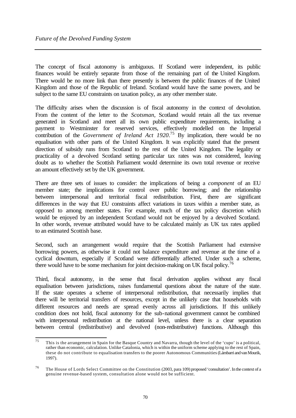The concept of fiscal autonomy is ambiguous. If Scotland were independent, its public finances would be entirely separate from those of the remaining part of the United Kingdom. There would be no more link than there presently is between the public finances of the United Kingdom and those of the Republic of Ireland. Scotland would have the same powers, and be subject to the same EU constraints on taxation policy, as any other member state.

The difficulty arises when the discussion is of fiscal autonomy in the context of devolution. From the content of the letter to the *Scotsman*, Scotland would retain all the tax revenue generated in Scotland and meet all its own public expenditure requirements, including a payment to Westminster for reserved services, effectively modelled on the Imperial contribution of the *Government of Ireland Act 1920*. <sup>75</sup> By implication, there would be no equalisation with other parts of the United Kingdom. It was explicitly stated that the present direction of subsidy runs from Scotland to the rest of the United Kingdom. The legality or practicality of a devolved Scotland setting particular tax rates was not considered, leaving doubt as to whether the Scottish Parliament would determine its own total revenue or receive an amount effectively set by the UK government.

There are three sets of issues to consider: the implications of being a *component* of an EU member state; the implications for control over public borrowing; and the relationship between interpersonal and territorial fiscal redistribution. First, there are significant differences in the way that EU constraints affect variations in taxes within a member state, as opposed to among member states. For example, much of the tax policy discretion which would be enjoyed by an independent Scotland would not be enjoyed by a devolved Scotland. In other words, revenue attributed would have to be calculated mainly as UK tax rates applied to an estimated Scottish base.

Second, such an arrangement would require that the Scottish Parliament had extensive borrowing powers, as otherwise it could not balance expenditure and revenue at the time of a cyclical downturn, especially if Scotland were differentially affected. Under such a scheme, there would have to be some mechanism for joint decision-making on UK fiscal policy.<sup>76</sup>

Third, fiscal autonomy, in the sense that fiscal derivation applies without any fiscal equalisation between jurisdictions, raises fundamental questions about the nature of the state. If the state operates a scheme of interpersonal redistribution, that necessarily implies that there will be territorial transfers of resources, except in the unlikely case that households with different resources and needs are spread evenly across all jurisdictions. If this unlikely condition does not hold, fiscal autonomy for the sub-national government cannot be combined with interpersonal redistribution at the national level, unless there is a clear separation between central (redistributive) and devolved (non-redistributive) functions. Although this

 $\overline{75}$ This is the arrangement in Spain for the Basque Country and Navarra, though the level of the 'cupo' is a political, rather than economic, calculation. Unlike Catalonia, which is within the uniform scheme applying to the rest of Spain, these do not contribute to equalisation transfers to the poorer Autonomous Communities (Lámbarri and van Mourik, 1997).

<sup>76</sup> The House of Lords Select Committee on the Constitution (2003, para 109) proposed 'consultation'. In the context of a genuine revenue-based system, consultation alone would not be sufficient.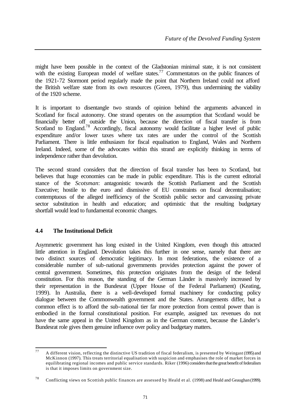might have been possible in the context of the Gladstonian minimal state, it is not consistent with the existing European model of welfare states.<sup>77</sup> Commentators on the public finances of the 1921-72 Stormont period regularly made the point that Northern Ireland could not afford the British welfare state from its own resources (Green, 1979), thus undermining the viability of the 1920 scheme.

It is important to disentangle two strands of opinion behind the arguments advanced in Scotland for fiscal autonomy. One strand operates on the assumption that Scotland would be financially better off outside the Union, because the direction of fiscal transfer is from Scotland to England.<sup>78</sup> Accordingly, fiscal autonomy would facilitate a higher level of public expenditure and/or lower taxes where tax rates are under the control of the Scottish Parliament. There is little enthusiasm for fiscal equalisation to England, Wales and Northern Ireland. Indeed, some of the advocates within this strand are explicitly thinking in terms of independence rather than devolution.

The second strand considers that the direction of fiscal transfer has been to Scotland, but believes that huge economies can be made in public expenditure. This is the current editorial stance of the *Scotsman*: antagonistic towards the Scottish Parliament and the Scottish Executive; hostile to the euro and dismissive of EU constraints on fiscal decentralisation; contemptuous of the alleged inefficiency of the Scottish public sector and canvassing private sector substitution in health and education; and optimistic that the resulting budgetary shortfall would lead to fundamental economic changes.

## **4.4 The Institutional Deficit**

Asymmetric government has long existed in the United Kingdom, even though this attracted little attention in England. Devolution takes this further in one sense, namely that there are two distinct sources of democratic legitimacy. In most federations, the existence of a considerable number of sub-national governments provides protection against the power of central government. Sometimes, this protection originates from the design of the federal constitution. For this reason, the standing of the German Länder is massively increased by their representation in the Bundesrat (Upper House of the Federal Parliament) (Keating, 1999). In Australia, there is a well-developed formal machinery for conducting policy dialogue between the Commonwealth government and the States. Arrangements differ, but a common effect is to afford the sub-national tier far more protection from central power than is embodied in the formal constitutional position. For example, assigned tax revenues do not have the same appeal in the United Kingdom as in the German context, because the Länder's Bundesrat role gives them genuine influence over policy and budgetary matters.

 $77$ <sup>77</sup> A different vision, reflecting the distinctive US tradition of fiscal federalism, is presented by Weingast (1995) and McKinnon (1997). This treats territorial equalisation with suspicion and emphasises the role of market forces in equilibrating regional incomes and public service standards. Riker (1996) considers that the great benefit of federalism is that it imposes limits on government size.

<sup>78</sup> Conflicting views on Scottish public finances are assessed by Heald et al. (1998) and Heald and Geaughan (1999).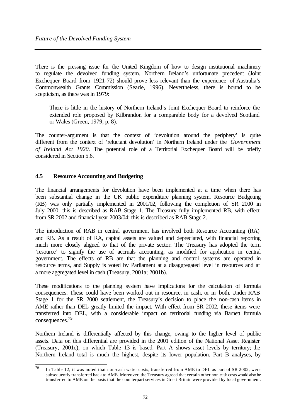There is the pressing issue for the United Kingdom of how to design institutional machinery to regulate the devolved funding system. Northern Ireland's unfortunate precedent (Joint Exchequer Board from 1921-72) should prove less relevant than the experience of Australia's Commonwealth Grants Commission (Searle, 1996). Nevertheless, there is bound to be scepticism, as there was in 1979:

There is little in the history of Northern Ireland's Joint Exchequer Board to reinforce the extended role proposed by Kilbrandon for a comparable body for a devolved Scotland or Wales (Green, 1979, p. 8).

The counter-argument is that the context of 'devolution around the periphery' is quite different from the context of 'reluctant devolution' in Northern Ireland under the *Government of Ireland Act 1920*. The potential role of a Territorial Exchequer Board will be briefly considered in Section 5.6.

## **4.5 Resource Accounting and Budgeting**

The financial arrangements for devolution have been implemented at a time when there has been substantial change in the UK public expenditure planning system. Resource Budgeting (RB) was only partially implemented in 2001/02, following the completion of SR 2000 in July 2000; this is described as RAB Stage 1. The Treasury fully implemented RB, with effect from SR 2002 and financial year 2003/04; this is described as RAB Stage 2.

The introduction of RAB in central government has involved both Resource Accounting (RA) and RB. As a result of RA, capital assets are valued and depreciated, with financial reporting much more closely aligned to that of the private sector. The Treasury has adopted the term 'resource' to signify the use of accruals accounting, as modified for application in central government. The effects of RB are that the planning and control systems are operated in resource terms, and Supply is voted by Parliament at a disaggregated level in resources and at a more aggregated level in cash (Treasury, 2001a; 2001b).

These modifications to the planning system have implications for the calculation of formula consequences. These could have been worked out in resource, in cash, or in both. Under RAB Stage 1 for the SR 2000 settlement, the Treasury's decision to place the non-cash items in AME rather than DEL greatly limited the impact. With effect from SR 2002, these items were transferred into DEL, with a considerable impact on territorial funding via Barnett formula consequences.<sup>79</sup>

Northern Ireland is differentially affected by this change, owing to the higher level of public assets. Data on this differential are provided in the 2001 edition of the National Asset Register (Treasury, 2001c), on which Table 13 is based. Part A shows asset levels by territory; the Northern Ireland total is much the highest, despite its lower population. Part B analyses, by

 $\overline{79}$ In Table 12, it was noted that non-cash water costs, transferred from AME to DEL as part of SR 2002, were subsequently transferred back to AME. Moreover, the Treasury agreed that certain other non-cash costs would also be transferred to AME on the basis that the counterpart services in Great Britain were provided by local government.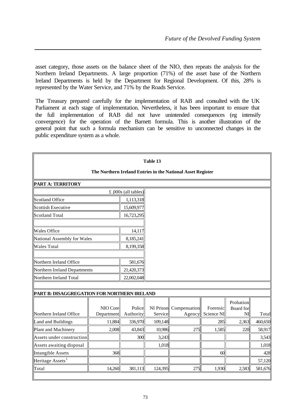asset category, those assets on the balance sheet of the NIO, then repeats the analysis for the Northern Ireland Departments. A large proportion (71%) of the asset base of the Northern Ireland Departments is held by the Department for Regional Development. Of this, 28% is represented by the Water Service, and 71% by the Roads Service.

The Treasury prepared carefully for the implementation of RAB and consulted with the UK Parliament at each stage of implementation. Nevertheless, it has been important to ensure that the full implementation of RAB did not have unintended consequences (eg intensify convergence) for the operation of the Barnett formula. This is another illustration of the general point that such a formula mechanism can be sensitive to unconnected changes in the public expenditure system as a whole.

|                                             |                        |                       | Table 13             |                                                             |                        |                              |         |
|---------------------------------------------|------------------------|-----------------------|----------------------|-------------------------------------------------------------|------------------------|------------------------------|---------|
|                                             |                        |                       |                      | The Northern Ireland Entries in the National Asset Register |                        |                              |         |
| <b>PART A: TERRITORY</b>                    |                        |                       |                      |                                                             |                        |                              |         |
|                                             |                        | £ $000s$ (all tables) |                      |                                                             |                        |                              |         |
| Scotland Office                             |                        | 1,113,318             |                      |                                                             |                        |                              |         |
| Scottish Executive                          |                        | 15,609,977            |                      |                                                             |                        |                              |         |
| Scotland Total                              |                        | 16,723,295            |                      |                                                             |                        |                              |         |
| <b>Wales Office</b>                         |                        | 14,117                |                      |                                                             |                        |                              |         |
| National Assembly for Wales                 |                        | 8,185,241             |                      |                                                             |                        |                              |         |
| Wales Total                                 |                        | 8,199,358             |                      |                                                             |                        |                              |         |
|                                             |                        |                       |                      |                                                             |                        |                              |         |
| Northern Ireland Office                     |                        | 581,676               |                      |                                                             |                        |                              |         |
| Northern Ireland Departments                |                        | 21,420,373            |                      |                                                             |                        |                              |         |
| Northern Ireland Total                      |                        | 22,002,048            |                      |                                                             |                        |                              |         |
|                                             |                        |                       |                      |                                                             |                        |                              |         |
| PART B: DISAGGREGATION FOR NORTHERN IRELAND |                        |                       |                      |                                                             |                        |                              |         |
| Northern Ireland Office                     | NIO Core<br>Department | Police<br>Authority   | NI Prison<br>Service | Compensation<br>Agency                                      | Forensic<br>Science NI | Probation<br>Board for<br>NI | Total   |
| Land and Buildings                          | 11,884                 | 336,970               | 109,148              |                                                             | 285                    | 2,363                        | 460,650 |
| Plant and Machinery                         | 2,008                  | 43,843                | 10,986               | 275                                                         | 1,585                  | 220                          | 58,917  |
| Assets under construction                   |                        | 300                   | 3,243                |                                                             |                        |                              | 3,543   |
| Assets awaiting disposal                    |                        |                       | 1,018                |                                                             |                        |                              | 1,018   |
| Intangible Assets                           | 368                    |                       |                      |                                                             | 60                     |                              | 428     |
| Heritage Assets <sup>1</sup>                |                        |                       |                      |                                                             |                        |                              | 57,120  |
| Total                                       | 14,260                 | 381,113               | 124,395              | 275                                                         | 1,930                  | 2,583                        | 581,676 |
|                                             |                        |                       |                      |                                                             |                        |                              |         |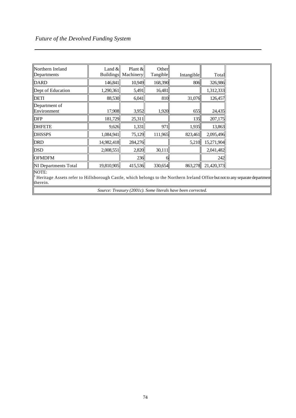I

| Northern Ireland<br>Departments                                                                                                                   | Land $&$<br><b>Buildings</b> | Plant $\&$<br>Machinery | Other<br>Tangible | Intangible | Total      |  |  |  |
|---------------------------------------------------------------------------------------------------------------------------------------------------|------------------------------|-------------------------|-------------------|------------|------------|--|--|--|
| <b>DARD</b>                                                                                                                                       | 146,841                      | 10,949                  | 168,390           | 806        | 326,986    |  |  |  |
| Dept of Education                                                                                                                                 | 1,290,361                    | 5,491                   | 16,481            |            | 1,312,333  |  |  |  |
| DETI                                                                                                                                              | 88,530                       | 6,041                   | 810               | 31,076     | 126,457    |  |  |  |
| Department of<br>Environment                                                                                                                      | 17,908                       | 3,952                   | 1,920             | 655        | 24,435     |  |  |  |
| <b>DFP</b>                                                                                                                                        | 181,729                      | 25,311                  |                   | 135        | 207,175    |  |  |  |
| <b>DHFETE</b>                                                                                                                                     | 9,626                        | 1,331                   | 971               | 1,935      | 13,863     |  |  |  |
| <b>DHSSPS</b>                                                                                                                                     | 1,084,941                    | 75,129                  | 111,965           | 823,461    | 2,095,496  |  |  |  |
| DRD                                                                                                                                               | 14,982,418                   | 284,276                 |                   | 5,210      | 15,271,904 |  |  |  |
| <b>DSD</b>                                                                                                                                        | 2,008,551                    | 2,820                   | 30,111            |            | 2,041,482  |  |  |  |
| <b>OFMDFM</b>                                                                                                                                     |                              | 236                     |                   |            | 242        |  |  |  |
| NI Departments Total                                                                                                                              | 19,810,905                   | 415,536                 | 330,654           | 863,278    | 21,420,373 |  |  |  |
| NOTE:<br>Heritage Assets refer to Hillsborough Castle, which belongs to the Northern Ireland Office but not to any separate departmen<br>therein. |                              |                         |                   |            |            |  |  |  |

*Source: Treasury (2001c). Some literals have been corrected.*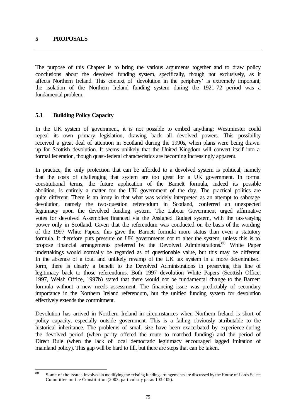The purpose of this Chapter is to bring the various arguments together and to draw policy conclusions about the devolved funding system, specifically, though not exclusively, as it affects Northern Ireland. This context of 'devolution in the periphery' is extremely important; the isolation of the Northern Ireland funding system during the 1921-72 period was a fundamental problem.

#### **5.1 Building Policy Capacity**

In the UK system of government, it is not possible to embed anything: Westminster could repeal its own primary legislation, drawing back all devolved powers. This possibility received a great deal of attention in Scotland during the 1990s, when plans were being drawn up for Scottish devolution. It seems unlikely that the United Kingdom will convert itself into a formal federation, though quasi-federal characteristics are becoming increasingly apparent.

In practice, the only protection that can be afforded to a devolved system is political, namely that the costs of challenging that system are too great for a UK government. In formal constitutional terms, the future application of the Barnett formula, indeed its possible abolition, is entirely a matter for the UK government of the day. The practical politics are quite different. There is an irony in that what was widely interpreted as an attempt to sabotage devolution, namely the two-question referendum in Scotland, conferred an unexpected legitimacy upon the devolved funding system. The Labour Government urged affirmative votes for devolved Assemblies financed via the Assigned Budget system, with the tax-varying power only in Scotland. Given that the referendum was conducted on the basis of the wording of the 1997 White Papers, this gave the Barnett formula more status than even a statutory formula. It therefore puts pressure on UK governments not to alter the system, unless this is to propose financial arrangements preferred by the Devolved Administrations.<sup>80</sup> White Paper undertakings would normally be regarded as of questionable value, but this may be different. In the absence of a total and unlikely revamp of the UK tax system in a more decentralised form, there is clearly a benefit to the Devolved Administrations in preserving this line of legitimacy back to those referendums. Both 1997 devolution White Papers (Scottish Office, 1997, Welsh Office, 1997b) stated that there would not be fundamental change to the Barnett formula without a new needs assessment. The financing issue was predictably of secondary importance in the Northern Ireland referendum, but the unified funding system for devolution effectively extends the commitment.

Devolution has arrived in Northern Ireland in circumstances when Northern Ireland is short of policy capacity, especially outside government. This is a failing obviously attributable to the historical inheritance. The problems of small size have been exacerbated by experience during the devolved period (when parity offered the route to matched funding) and the period of Direct Rule (when the lack of local democratic legitimacy encouraged lagged imitation of mainland policy). This gap will be hard to fill, but there are steps that can be taken.

 $\overline{80}$ Some of the issues involved in modifying the existing funding arrangements are discussed by the House of Lords Select Committee on the Constitution (2003, particularly paras 103-109).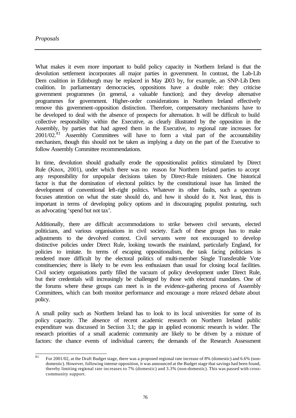What makes it even more important to build policy capacity in Northern Ireland is that the devolution settlement incorporates all major parties in government. In contrast, the Lab-Lib Dem coalition in Edinburgh may be replaced in May 2003 by, for example, an SNP-Lib Dem coalition. In parliamentary democracies, oppositions have a double role: they criticise government programmes (in general, a valuable function); and they develop alternative programmes for government. Higher-order considerations in Northern Ireland effectively remove this government-opposition distinction. Therefore, compensatory mechanisms have to be developed to deal with the absence of prospects for alternation. It will be difficult to build collective responsibility within the Executive, as clearly illustrated by the opposition in the Assembly, by parties that had agreed them in the Executive, to regional rate increases for  $2001/02$ <sup>81</sup> Assembly Committees will have to form a vital part of the accountability mechanism, though this should not be taken as implying a duty on the part of the Executive to follow Assembly Committee recommendations.

In time, devolution should gradually erode the oppositionalist politics stimulated by Direct Rule (Knox, 2001), under which there was no reason for Northern Ireland parties to accept any responsibility for unpopular decisions taken by Direct-Rule ministers. One historical factor is that the domination of electoral politics by the constitutional issue has limited the development of conventional left-right politics. Whatever its other faults, such a spectrum focuses attention on what the state should do, and how it should do it. Not least, this is important in terms of developing policy options and in discouraging populist posturing, such as advocating 'spend but not tax'.

Additionally, there are difficult accommodations to strike between civil servants, elected politicians, and various organisations in civil society. Each of these groups has to make adjustments to the devolved context. Civil servants were not encouraged to develop distinctive policies under Direct Rule, looking towards the mainland, particularly England, for policies to imitate. In terms of escaping oppositionalism, the task facing politicians is rendered more difficult by the electoral politics of multi-member Single Transferable Vote constituencies; there is likely to be even less enthusiasm than usual for closing local facilities. Civil society organisations partly filled the vacuum of policy development under Direct Rule, but their credentials will increasingly be challenged by those with electoral mandates. One of the forums where these groups can meet is in the evidence-gathering process of Assembly Committees, which can both monitor performance and encourage a more relaxed debate about policy.

A small polity such as Northern Ireland has to look to its local universities for some of its policy capacity. The absence of recent academic research on Northern Ireland public expenditure was discussed in Section 3.1; the gap in applied economic research is wider. The research priorities of a small academic community are likely to be driven by a mixture of factors: the chance events of individual careers; the demands of the Research Assessment

 $81$ <sup>81</sup> For 2001/02, at the Draft Budget stage, there was a proposed regional rate increase of 8% (domestic) and 6.6% (nondomestic). However, following intense opposition, it was announced at the Budget stage that savings had been found, thereby limiting regional rate increases to 7% (domestic) and 3.3% (non-domestic). This was passed with crosscommunity support.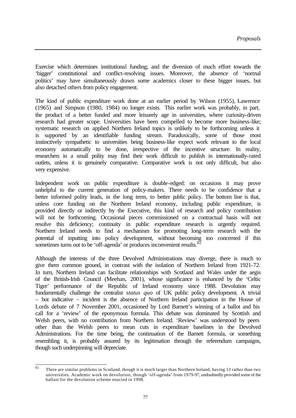Exercise which determines institutional funding; and the diversion of much effort towards the 'bigger' constitutional and conflict-resolving issues. Moreover, the absence of 'normal politics' may have simultaneously drawn some academics closer to these bigger issues, but also detached others from policy engagement.

The kind of public expenditure work done at an earlier period by Wilson (1955), Lawrence (1965) and Simpson (1980, 1984) no longer exists. This earlier work was probably, in part, the product of a better funded and more leisurely age in universities, where curiosity-driven research had greater scope. Universities have been compelled to become more business-like; systematic research on applied Northern Ireland topics is unlikely to be forthcoming unless it is supported by an identifiable funding stream. Paradoxically, some of those most instinctively sympathetic to universities being business-like expect work relevant to the local economy automatically to be done, irrespective of the incentive structure. In reality, researchers in a small polity may find their work difficult to publish in internationally-rated outlets, unless it is genuinely comparative. Comparative work is not only difficult, but also very expensive.

Independent work on public expenditure is double-edged: on occasions it may prove unhelpful to the current generation of policy-makers. There needs to be confidence that a better informed polity leads, in the long term, to better public policy. The bottom line is that, unless core funding on the Northern Ireland economy, including public expenditure, is provided directly or indirectly by the Executive, this kind of research and policy contribution will not be forthcoming. Occasional pieces commissioned on a contractual basis will not resolve this deficiency; continuity in public expenditure research is urgently required. Northern Ireland needs to find a mechanism for promoting long-term research with the potential of inputting into policy development, without becoming too concerned if this sometimes turns out to be 'off-agenda' or produces inconvenient results.<sup>82</sup>

Although the interests of the three Devolved Administrations may diverge, there is much to give them common ground, in contrast with the isolation of Northern Ireland from 1921-72. In turn, Northern Ireland can facilitate relationships with Scotland and Wales under the aegis of the British-Irish Council (Meehan, 2001), whose significance is enhanced by the 'Celtic Tiger' performance of the Republic of Ireland economy since 1988. Devolution may fundamentally challenge the centralist *status quo* of UK public policy development. A trivial – but indicative – incident is the absence of Northern Ireland participation in the House of Lords debate of 7 November 2001, occasioned by Lord Barnett's winning of a ballot and his call for a 'review' of the eponymous formula. This debate was dominated by Scottish and Welsh peers, with no contribution from Northern Ireland. 'Review' was understood by peers other than the Welsh peers to mean cuts in expenditure baselines in the Devolved Administrations. For the time being, the continuation of the Barnett formula, or something resembling it, is probably assured by its legitimation through the referendum campaigns, though such underpinning will depreciate.

 $82$ There are similar problems in Scotland, though it is much larger than Northern Ireland, having 13 rather than two universities. Academic work on devolution, though 'off-agenda' from 1979-97, undoubtedly provided some of the ballast for the devolution scheme enacted in 1998.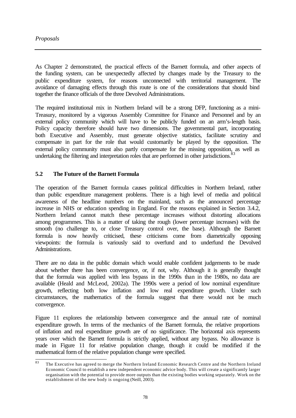As Chapter 2 demonstrated, the practical effects of the Barnett formula, and other aspects of the funding system, can be unexpectedly affected by changes made by the Treasury to the public expenditure system, for reasons unconnected with territorial management. The avoidance of damaging effects through this route is one of the considerations that should bind together the finance officials of the three Devolved Administrations.

The required institutional mix in Northern Ireland will be a strong DFP, functioning as a mini-Treasury, monitored by a vigorous Assembly Committee for Finance and Personnel and by an external policy community which will have to be publicly funded on an arm's-length basis. Policy capacity therefore should have two dimensions. The governmental part, incorporating both Executive and Assembly, must generate objective statistics, facilitate scrutiny and compensate in part for the role that would customarily be played by the opposition. The external policy community must also partly compensate for the missing opposition, as well as undertaking the filtering and interpretation roles that are performed in other jurisdictions.<sup>83</sup>

#### **5.2 The Future of the Barnett Formula**

The operation of the Barnett formula causes political difficulties in Northern Ireland, rather than public expenditure management problems. There is a high level of media and political awareness of the headline numbers on the mainland, such as the announced percentage increase in NHS or education spending in England. For the reasons explained in Section 3.4.2, Northern Ireland cannot match these percentage increases without distorting allocations among programmes. This is a matter of taking the rough (lower percentage increases) with the smooth (no challenge to, or close Treasury control over, the base). Although the Barnett formula is now heavily criticised, these criticisms come from diametrically opposing viewpoints: the formula is variously said to overfund and to underfund the Devolved Administrations.

There are no data in the public domain which would enable confident judgements to be made about whether there has been convergence, or, if not, why. Although it is generally thought that the formula was applied with less bypass in the 1990s than in the 1980s, no data are available (Heald and McLeod, 2002a). The 1990s were a period of low nominal expenditure growth, reflecting both low inflation and low real expenditure growth. Under such circumstances, the mathematics of the formula suggest that there would not be much convergence.

Figure 11 explores the relationship between convergence and the annual rate of nominal expenditure growth. In terms of the mechanics of the Barnett formula, the relative proportions of inflation and real expenditure growth are of no significance. The horizontal axis represents years over which the Barnett formula is strictly applied, without any bypass. No allowance is made in Figure 11 for relative population change, though it could be modified if the mathematical formof the relative population change were specified.

<sup>83</sup> The Executive has agreed to merge the Northern Ireland Economic Research Centre and the Northern Ireland Economic Council to establish a new independent economic advice body. This will create a significantly larger organisation with the potential to provide more outputs than the existing bodies working separately. Work on the establishment of the new body is ongoing (Neill, 2003).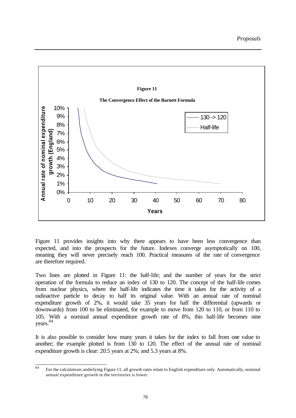

Figure 11 provides insights into why there appears to have been less convergence than expected, and into the prospects for the future. Indexes converge asymptotically on 100, meaning they will never precisely reach 100. Practical measures of the rate of convergence are therefore required.

Two lines are plotted in Figure 11: the half-life; and the number of years for the strict operation of the formula to reduce an index of 130 to 120. The concept of the half-life comes from nuclear physics, where the half-life indicates the time it takes for the activity of a radioactive particle to decay to half its original value. With an annual rate of nominal expenditure growth of 2%, it would take 35 years for half the differential (upwards or downwards) from 100 to be eliminated, for example to move from 120 to 110, or from 110 to 105. With a nominal annual expenditure growth rate of 8%, this half-life becomes nine years.<sup>84</sup>

It is also possible to consider how many years it takes for the index to fall from one value to another; the example plotted is from 130 to 120. The effect of the annual rate of nominal expenditure growth is clear: 20.5 years at 2%; and 5.3 years at 8%.

 $\overline{84}$ <sup>84</sup> For the calculations underlying Figure 11, all growth rates relate to English expenditure only. Automatically, nominal annual expenditure growth in the territories is lower.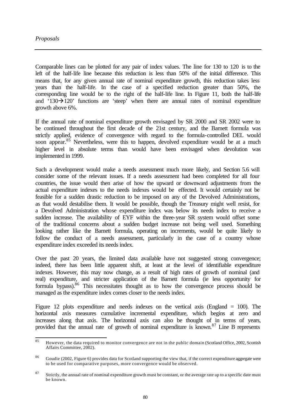Comparable lines can be plotted for any pair of index values. The line for 130 to 120 is to the left of the half-life line because this reduction is less than 50% of the initial difference. This means that, for any given annual rate of nominal expenditure growth, this reduction takes less years than the half-life. In the case of a specified reduction greater than 50%, the corresponding line would be to the right of the half-life line. In Figure 11, both the half-life and '130 $\rightarrow$ 120' functions are 'steep' when there are annual rates of nominal expenditure growth above 6%.

If the annual rate of nominal expenditure growth envisaged by SR 2000 and SR 2002 were to be continued throughout the first decade of the 21st century, and the Barnett formula was strictly applied, evidence of convergence with regard to the formula-controlled DEL would soon appear.<sup>85</sup> Nevertheless, were this to happen, devolved expenditure would be at a much higher level in absolute terms than would have been envisaged when devolution was implemented in 1999.

Such a development would make a needs assessment much more likely, and Section 5.6 will consider some of the relevant issues. If a needs assessment had been completed for all four countries, the issue would then arise of how the upward or downward adjustments from the actual expenditure indexes to the needs indexes would be effected. It would certainly not be feasible for a sudden drastic reduction to be imposed on any of the Devolved Administrations, as that would destabilise them. It would be possible, though the Treasury might well resist, for a Devolved Administration whose expenditure index was below its needs index to receive a sudden increase. The availability of EYF within the three-year SR system would offset some of the traditional concerns about a sudden budget increase not being well used. Something looking rather like the Barnett formula, operating on increments, would be quite likely to follow the conduct of a needs assessment, particularly in the case of a country whose expenditure index exceeded its needs index.

Over the past 20 years, the limited data available have not suggested strong convergence; indeed, there has been little apparent shift, at least at the level of identifiable expenditure indexes. However, this may now change, as a result of high rates of growth of nominal (and real) expenditure, and stricter application of the Barnett formula (ie less opportunity for formula bypass).<sup>86</sup> This necessitates thought as to how the convergence process should be managed as the expenditure index comes closer to the needs index.

Figure 12 plots expenditure and needs indexes on the vertical axis (England = 100). The horizontal axis measures cumulative incremental expenditure, which begins at zero and increases along that axis. The horizontal axis can also be thought of in terms of years, provided that the annual rate of growth of nominal expenditure is known.<sup>87</sup> Line B represents

 $85$ <sup>85</sup> However, the data required to monitor convergence are not in the public domain (Scotland Office, 2002, Scottish Affairs Committee, 2002).

<sup>&</sup>lt;sup>86</sup> Goudie (2002, Figure 6) provides data for Scotland supporting the view that, if the correct expenditure aggregate were to be used for comparative purposes, more convergence would be observed.

<sup>&</sup>lt;sup>87</sup> Strictly, the annual rate of nominal expenditure growth must be constant, or the average rate up to a specific date must be known.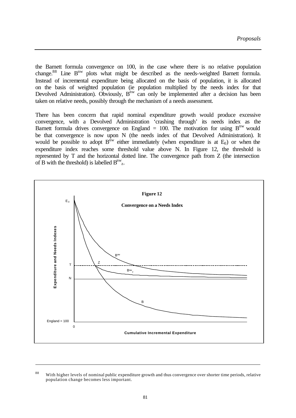the Barnett formula convergence on 100, in the case where there is no relative population change.<sup>88</sup> Line B<sup>nw</sup> plots what might be described as the needs-weighted Barnett formula. Instead of incremental expenditure being allocated on the basis of population, it is allocated on the basis of weighted population (ie population multiplied by the needs index for that Devolved Administration). Obviously,  $B^{nw}$  can only be implemented after a decision has been taken on relative needs, possibly through the mechanism of a needs assessment.

There has been concern that rapid nominal expenditure growth would produce excessive convergence, with a Devolved Administration 'crashing through' its needs index as the Barnett formula drives convergence on England = 100. The motivation for using  $B^{nw}$  would be that convergence is now upon N (the needs index of that Devolved Administration). It would be possible to adopt  $B^{nw}$  either immediately (when expenditure is at  $E_0$ ) or when the expenditure index reaches some threshold value above N. In Figure 12, the threshold is represented by T and the horizontal dotted line. The convergence path from Z (the intersection of B with the threshold) is labelled  $B^{nw}$ <sub>z</sub>.



<sup>&</sup>lt;sup>88</sup> With higher levels of nominal public expenditure growth and thus convergence over shorter time periods, relative population change becomes less important.

l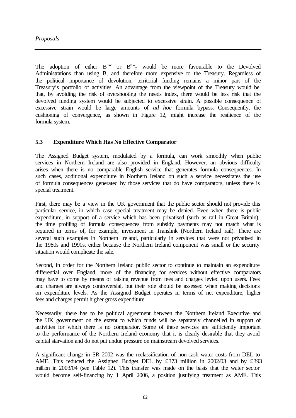The adoption of either  $B^{nw}$  or  $B^{nw}$ <sub>z</sub> would be more favourable to the Devolved Administrations than using B, and therefore more expensive to the Treasury. Regardless of the political importance of devolution, territorial funding remains a minor part of the Treasury's portfolio of activities. An advantage from the viewpoint of the Treasury would be that, by avoiding the risk of overshooting the needs index, there would be less risk that the devolved funding system would be subjected to excessive strain. A possible consequence of excessive strain would be large amounts of *ad hoc* formula bypass. Consequently, the cushioning of convergence, as shown in Figure 12, might increase the resilience of the formula system.

## **5.3 Expenditure Which Has No Effective Comparator**

The Assigned Budget system, modulated by a formula, can work smoothly when public services in Northern Ireland are also provided in England. However, an obvious difficulty arises when there is no comparable English service that generates formula consequences. In such cases, additional expenditure in Northern Ireland on such a service necessitates the use of formula consequences generated by those services that do have comparators, unless there is special treatment.

First, there may be a view in the UK government that the public sector should not provide this particular service, in which case special treatment may be denied. Even when there is public expenditure, in support of a service which has been privatised (such as rail in Great Britain), the time profiling of formula consequences from subsidy payments may not match what is required in terms of, for example, investment in Translink (Northern Ireland rail). There are several such examples in Northern Ireland, particularly in services that were not privatised in the 1980s and 1990s, either because the Northern Ireland component was small or the security situation would complicate the sale.

Second, in order for the Northern Ireland public sector to continue to maintain an expenditure differential over England, more of the financing for services without effective comparators may have to come by means of raising revenue from fees and charges levied upon users. Fees and charges are always controversial, but their role should be assessed when making decisions on expenditure levels. As the Assigned Budget operates in terms of net expenditure, higher fees and charges permit higher gross expenditure.

Necessarily, there has to be political agreement between the Northern Ireland Executive and the UK government on the extent to which funds will be separately channelled in support of activities for which there is no comparator. Some of these services are sufficiently important to the performance of the Northern Ireland economy that it is clearly desirable that they avoid capital starvation and do not put undue pressure on mainstream devolved services.

A significant change in SR 2002 was the reclassification of non-cash water costs from DEL to AME. This reduced the Assigned Budget DEL by £373 million in 2002/03 and by £393 million in 2003/04 (see Table 12). This transfer was made on the basis that the water sector would become self-financing by 1 April 2006, a position justifying treatment as AME. This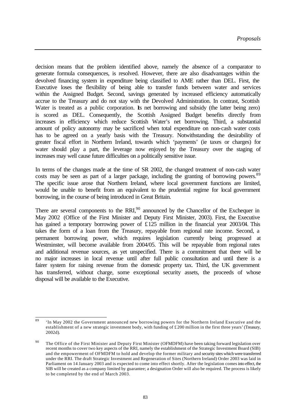decision means that the problem identified above, namely the absence of a comparator to generate formula consequences, is resolved. However, there are also disadvantages within the devolved financing system in expenditure being classified to AME rather than DEL. First, the Executive loses the flexibility of being able to transfer funds between water and services within the Assigned Budget. Second, savings generated by increased efficiency automatically accrue to the Treasury and do not stay with the Devolved Administration. In contrast, Scottish Water is treated as a public corporation. Its net borrowing and subsidy (the latter being zero) is scored as DEL. Consequently, the Scottish Assigned Budget benefits directly from increases in efficiency which reduce Scottish Water's net borrowing. Third, a substantial amount of policy autonomy may be sacrificed when total expenditure on non-cash water costs has to be agreed on a yearly basis with the Treasury. Notwithstanding the desirability of greater fiscal effort in Northern Ireland, towards which 'payments' (ie taxes or charges) for water should play a part, the leverage now enjoyed by the Treasury over the staging of increases may well cause future difficulties on a politically sensitive issue.

In terms of the changes made at the time of SR 2002, the changed treatment of non-cash water costs may be seen as part of a larger package, including the granting of borrowing powers.<sup>89</sup> The specific issue arose that Northern Ireland, where local government functions are limited, would be unable to benefit from an equivalent to the prudential regime for local government borrowing, in the course of being introduced in Great Britain.

There are several components to the  $RRI$ , announced by the Chancellor of the Exchequer in May 2002 (Office of the First Minister and Deputy First Minister, 2003). First, the Executive has gained a temporary borrowing power of £125 million in the financial year 2003/04. This takes the form of a loan from the Treasury, repayable from regional rate income. Second, a permanent borrowing power, which requires legislation currently being progressed at Westminster, will become available from 2004/05. This will be repayable from regional rates and additional revenue sources, as yet unspecified. There is a commitment that there will be no major increases in local revenue until after full public consultation and until there is a fairer system for raising revenue from the domestic property tax. Third, the UK government has transferred, without charge, some exceptional security assets, the proceeds of whose disposal will be available to the Executive.

 $\overline{89}$ <sup>89</sup> 'In May 2002 the Government announced new borrowing powers for the Northern Ireland Executive and the establishment of a new strategic investment body, with funding of £200 million in the first three years' (Treasury, 2002d).

<sup>&</sup>lt;sup>90</sup> The Office of the First Minister and Deputy First Minister (OFMDFM) have been taking forward legislation over recent months to cover two key aspects of the RRI, namely the establishment of the Strategic Investment Board (SIB) and the empowerment of OFMDFM to hold and develop the former military and security sites which were transferred under the RRI. The draft Strategic Investment and Regeneration of Sites (Northern Ireland) Order 2003 was laid in Parliament on 14 January 2003 and is expected to come into effect shortly. After the legislation comes into effect, the SIB will be created as a company limited by guarantee; a designation Order will also be required. The process is likely to be completed by the end of March 2003.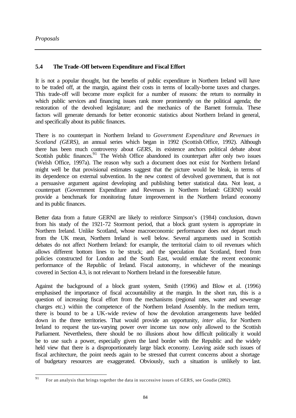# **5.4 The Trade-Off between Expenditure and Fiscal Effort**

It is not a popular thought, but the benefits of public expenditure in Northern Ireland will have to be traded off, at the margin, against their costs in terms of locally-borne taxes and charges. This trade-off will become more explicit for a number of reasons: the return to normality in which public services and financing issues rank more prominently on the political agenda; the restoration of the devolved legislature; and the mechanics of the Barnett formula. These factors will generate demands for better economic statistics about Northern Ireland in general, and specifically about its public finances.

There is no counterpart in Northern Ireland to *Government Expenditure and Revenues in Scotland (GERS)*, an annual series which began in 1992 (Scottish Office, 1992). Although there has been much controversy about *GERS*, its existence anchors political debate about Scottish public finances.<sup>91</sup> The Welsh Office abandoned its counterpart after only two issues (Welsh Office, 1997a). The reason why such a document does not exist for Northern Ireland might well be that provisional estimates suggest that the picture would be bleak, in terms of its dependence on external subvention. In the new context of devolved government, that is not a persuasive argument against developing and publishing better statistical data. Not least, a counterpart (Government Expenditure and Revenues in Northern Ireland: GERNI) would provide a benchmark for monitoring future improvement in the Northern Ireland economy and its public finances.

Better data from a future GERNI are likely to reinforce Simpson's (1984) conclusion, drawn from his study of the 1921-72 Stormont period, that a block grant system is appropriate in Northern Ireland. Unlike Scotland, whose macroeconomic performance does not depart much from the UK mean, Northern Ireland is well below. Several arguments used in Scottish debates do not affect Northern Ireland: for example, the territorial claim to oil revenues which allows different bottom lines to be struck; and the speculation that Scotland, freed from policies constructed for London and the South East, would emulate the recent economic performance of the Republic of Ireland. Fiscal autonomy, in whichever of the meanings covered in Section 4.3, is not relevant to Northern Ireland in the foreseeable future.

Against the background of a block grant system, Smith (1996) and Blow et al. (1996) emphasised the importance of fiscal accountability at the margin. In the short run, this is a question of increasing fiscal effort from the mechanisms (regional rates, water and sewerage charges etc.) within the competence of the Northern Ireland Assembly. In the medium term, there is bound to be a UK-wide review of how the devolution arrangements have bedded down in the three territories. That would provide an opportunity, *inter alia*, for Northern Ireland to request the tax-varying power over income tax now only allowed to the Scottish Parliament. Nevertheless, there should be no illusions about how difficult politically it would be to use such a power, especially given the land border with the Republic and the widely held view that there is a disproportionately large black economy. Leaving aside such issues of fiscal architecture, the point needs again to be stressed that current concerns about a shortage of budgetary resources are exaggerated. Obviously, such a situation is unlikely to last.

<sup>91</sup> For an analysis that brings together the data in successive issues of GERS, see Goudie (2002).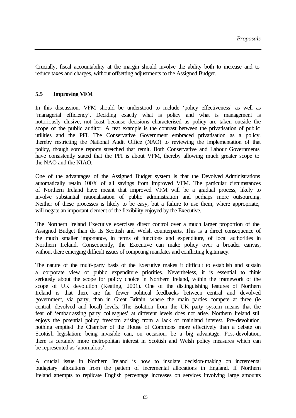Crucially, fiscal accountability at the margin should involve the ability both to increase and to reduce taxes and charges, without offsetting adjustments to the Assigned Budget.

#### **5.5 Improving VFM**

In this discussion, VFM should be understood to include 'policy effectiveness' as well as 'managerial efficiency'. Deciding exactly what is policy and what is management is notoriously elusive, not least because decisions characterised as policy are taken outside the scope of the public auditor. A neat example is the contrast between the privatisation of public utilities and the PFI. The Conservative Government embraced privatisation as a policy, thereby restricting the National Audit Office (NAO) to reviewing the implementation of that policy, though some reports stretched that remit. Both Conservative and Labour Governments have consistently stated that the PFI is about VFM, thereby allowing much greater scope to the NAO and the NIAO.

One of the advantages of the Assigned Budget system is that the Devolved Administrations automatically retain 100% of all savings from improved VFM. The particular circumstances of Northern Ireland have meant that improved VFM will be a gradual process, likely to involve substantial rationalisation of public administration and perhaps more outsourcing. Neither of these processes is likely to be easy, but a failure to use them, where appropriate, will negate an important element of the flexibility enjoyed by the Executive.

The Northern Ireland Executive exercises direct control over a much larger proportion of the Assigned Budget than do its Scottish and Welsh counterparts. This is a direct consequence of the much smaller importance, in terms of functions and expenditure, of local authorities in Northern Ireland. Consequently, the Executive can make policy over a broader canvas, without there emerging difficult issues of competing mandates and conflicting legitimacy.

The nature of the multi-party basis of the Executive makes it difficult to establish and sustain a corporate view of public expenditure priorities. Nevertheless, it is essential to think seriously about the scope for policy choice in Northern Ireland, within the framework of the scope of UK devolution (Keating, 2001). One of the distinguishing features of Northern Ireland is that there are far fewer political feedbacks between central and devolved government, via party, than in Great Britain, where the main parties compete at three (ie central, devolved and local) levels. The isolation from the UK party system means that the fear of 'embarrassing party colleagues' at different levels does not arise. Northern Ireland still enjoys the potential policy freedom arising from a lack of mainland interest. Pre-devolution, nothing emptied the Chamber of the House of Commons more effectively than a debate on Scottish legislation; being invisible can, on occasion, be a big advantage. Post-devolution, there is certainly more metropolitan interest in Scottish and Welsh policy measures which can be represented as 'anomalous'.

A crucial issue in Northern Ireland is how to insulate decision-making on incremental budgetary allocations from the pattern of incremental allocations in England. If Northern Ireland attempts to replicate English percentage increases on services involving large amounts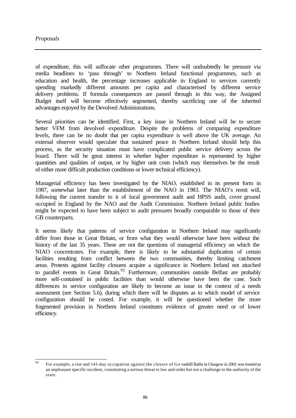of expenditure, this will suffocate other programmes. There will undoubtedly be pressure via media headlines to 'pass through' to Northern Ireland functional programmes, such as education and health, the percentage increases applicable in England to services currently spending markedly different amounts per capita and characterised by different service delivery problems. If formula consequences are passed through in this way, the Assigned Budget itself will become effectively segmented, thereby sacrificing one of the inherited advantages enjoyed by the Devolved Administrations.

Several priorities can be identified. First, a key issue in Northern Ireland will be to secure better VFM from devolved expenditure. Despite the problems of comparing expenditure levels, there can be no doubt that per capita expenditure is well above the UK average. An external observer would speculate that sustained peace in Northern Ireland should help this process, as the security situation must have complicated public service delivery across the board. There will be great interest in whether higher expenditure is represented by higher quantities and qualities of output, or by higher unit costs (which may themselves be the result of either more difficult production conditions or lower technical efficiency).

Managerial efficiency has been investigated by the NIAO, established in its present form in 1987, somewhat later than the establishment of the NAO in 1983. The NIAO's remit will, following the current transfer to it of local government audit and HPSS audit, cover ground occupied in England by the NAO and the Audit Commission. Northern Ireland public bodies might be expected to have been subject to audit pressures broadly comparable to those of their GB counterparts.

It seems likely that patterns of service configuration in Northern Ireland may significantly differ from those in Great Britain, or from what they would otherwise have been without the history of the last 35 years. These are not the questions of managerial efficiency on which the NIAO concentrates. For example, there is likely to be substantial duplication of certain facilities resulting from conflict between the two communities, thereby limiting catchment areas. Protests against facility closures acquire a significance in Northern Ireland not attached to parallel events in Great Britain.<sup>92</sup> Furthermore, communities outside Belfast are probably more self-contained in public facilities than would otherwise have been the case. Such differences in service configuration are likely to become an issue in the context of a needs assessment (see Section 5.6), during which there will be disputes as to which model of service configuration should be costed. For example, it will be questioned whether the more fragmented provision in Northern Ireland constitutes evidence of greater need or of lower efficiency.

 $92$ <sup>92</sup> For example, a riot and 141-day occupation against the closure of Go vanhill Baths in Glasgow in 2001 was treated as an unpleasant specific incident, constituting a serious threat to law and order but not a challenge to the authority of the state.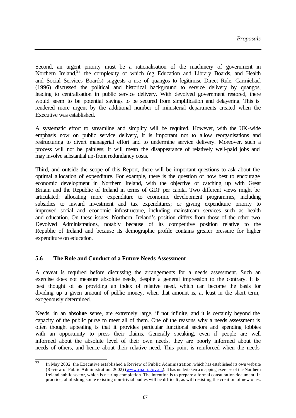Second, an urgent priority must be a rationalisation of the machinery of government in Northern Ireland,<sup>93</sup> the complexity of which (eg Education and Library Boards, and Health and Social Services Boards) suggests a use of quangos to legitimise Direct Rule. Carmichael (1996) discussed the political and historical background to service delivery by quangos, leading to centralisation in public service delivery. With devolved government restored, there would seem to be potential savings to be secured from simplification and delayering. This is rendered more urgent by the additional number of ministerial departments created when the Executive was established.

A systematic effort to streamline and simplify will be required. However, with the UK-wide emphasis now on public service delivery, it is important not to allow reorganisations and restructuring to divert managerial effort and to undermine service delivery. Moreover, such a process will not be painless; it will mean the disappearance of relatively well-paid jobs and may involve substantial up-front redundancy costs.

Third, and outside the scope of this Report, there will be important questions to ask about the optimal allocation of expenditure. For example, there is the question of how best to encourage economic development in Northern Ireland, with the objective of catching up with Great Britain and the Republic of Ireland in terms of GDP per capita. Two different views might be articulated: allocating more expenditure to economic development programmes, including subsidies to inward investment and tax expenditures; or giving expenditure priority to improved social and economic infrastructure, including mainstream services such as health and education. On these issues, Northern Ireland's position differs from those of the other two Devolved Administrations, notably because of its competitive position relative to the Republic of Ireland and because its demographic profile contains greater pressure for higher expenditure on education.

## **5.6 The Role and Conduct of a Future Needs Assessment**

A caveat is required before discussing the arrangements for a needs assessment. Such an exercise does not measure absolute needs, despite a general impression to the contrary. It is best thought of as providing an index of relative need, which can become the basis for dividing up a given amount of public money, when that amount is, at least in the short term, exogenously determined.

Needs, in an absolute sense, are extremely large, if not infinite, and it is certainly beyond the capacity of the public purse to meet all of them. One of the reasons why a needs assessment is often thought appealing is that it provides particular functional sectors and spending lobbies with an opportunity to press their claims. Generally speaking, even if people are well informed about the absolute level of their own needs, they are poorly informed about the needs of others, and hence about their relative need. This point is reinforced when the needs

<sup>93</sup> In May 2002, the Executive established a Review of Public Administration, which has established its own website (Review of Public Administration, 2002) (www.rpani.gov.uk). It has undertaken a mapping exercise of the Northern Ireland public sector, which is nearing completion. The intention is to prepare a formal consultation document. In practice, abolishing some existing non-trivial bodies will be difficult, as will resisting the creation of new ones.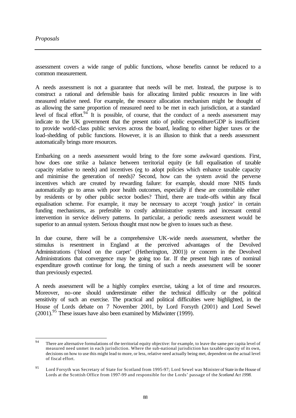assessment covers a wide range of public functions, whose benefits cannot be reduced to a common measurement.

A needs assessment is not a guarantee that needs will be met. Instead, the purpose is to construct a rational and defensible basis for allocating limited public resources in line with measured relative need. For example, the resource allocation mechanism might be thought of as allowing the same proportion of measured need to be met in each jurisdiction, at a standard level of fiscal effort. <sup>94</sup> It is possible, of course, that the conduct of a needs assessment may indicate to the UK government that the present ratio of public expenditure/GDP is insufficient to provide world-class public services across the board, leading to either higher taxes or the load-shedding of public functions. However, it is an illusion to think that a needs assessment automatically brings more resources.

Embarking on a needs assessment would bring to the fore some awkward questions. First, how does one strike a balance between territorial equity (ie full equalisation of taxable capacity relative to needs) and incentives (eg to adopt policies which enhance taxable capacity and minimise the generation of needs)? Second, how can the system avoid the perverse incentives which are created by rewarding failure: for example, should more NHS funds automatically go to areas with poor health outcomes, especially if these are controllable either by residents or by other public sector bodies? Third, there are trade-offs within any fiscal equalisation scheme. For example, it may be necessary to accept 'rough justice' in certain funding mechanisms, as preferable to costly administrative systems and incessant central intervention in service delivery patterns. In particular, a periodic needs assessment would be superior to an annual system. Serious thought must now be given to issues such as these.

In due course, there will be a comprehensive UK-wide needs assessment, whether the stimulus is resentment in England at the perceived advantages of the Devolved Administrations ('blood on the carpet' (Hetherington, 2001)) or concern in the Devolved Administrations that convergence may be going too far. If the present high rates of nominal expenditure growth continue for long, the timing of such a needs assessment will be sooner than previously expected.

A needs assessment will be a highly complex exercise, taking a lot of time and resources. Moreover, no-one should underestimate either the technical difficulty or the political sensitivity of such an exercise. The practical and political difficulties were highlighted, in the House of Lords debate on 7 November 2001, by Lord Forsyth (2001) and Lord Sewel  $(2001)$ .<sup>95</sup> These issues have also been examined by Midwinter (1999).

 $94$ There are alternative formulations of the territorial equity objective: for example, to leave the same per capita level of measured need unmet in each jurisdiction. Where the sub-national jurisdiction has taxable capacity of its own, decisions on how to use this might lead to more, or less, relative need actually being met, dependent on the actual level of fiscal effort.

<sup>95</sup> Lord Forsyth was Secretary of State for Scotland from 1995-97; Lord Sewel was Minister of State in the House of Lords at the Scottish Office from 1997-99 and responsible for the Lords' passage of the *Scotland Act 1998*.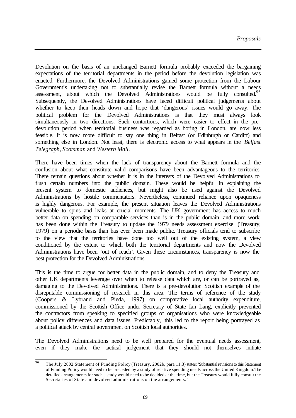Devolution on the basis of an unchanged Barnett formula probably exceeded the bargaining expectations of the territorial departments in the period before the devolution legislation was enacted. Furthermore, the Devolved Administrations gained some protection from the Labour Government's undertaking not to substantially revise the Barnett formula without a needs assessment, about which the Devolved Administrations would be fully consulted.<sup>96</sup> Subsequently, the Devolved Administrations have faced difficult political judgements about whether to keep their heads down and hope that 'dangerous' issues would go away. The political problem for the Devolved Administrations is that they must always look simultaneously in two directions. Such contortions, which were easier to effect in the predevolution period when territorial business was regarded as boring in London, are now less feasible. It is now more difficult to say one thing in Belfast (or Edinburgh or Cardiff) and something else in London. Not least, there is electronic access to what appears in the *Belfast Telegraph*, *Scotsman* and *Western Mail*.

There have been times when the lack of transparency about the Barnett formula and the confusion about what constitute valid comparisons have been advantageous to the territories. There remain questions about whether it is in the interests of the Devolved Administrations to flush certain numbers into the public domain. These would be helpful in explaining the present system to domestic audiences, but might also be used against the Devolved Administrations by hostile commentators. Nevertheless, continued reliance upon opaqueness is highly dangerous. For example, the present situation leaves the Devolved Administrations vulnerable to spins and leaks at crucial moments. The UK government has access to much better data on spending on comparable services than is in the public domain, and more work has been done within the Treasury to update the 1979 needs assessment exercise (Treasury, 1979) on a periodic basis than has ever been made public. Treasury officials tend to subscribe to the view that the territories have done too well out of the existing system, a view conditioned by the extent to which both the territorial departments and now the Devolved Administrations have been 'out of reach'. Given these circumstances, transparency is now the best protection for the Devolved Administrations.

This is the time to argue for better data in the public domain, and to deny the Treasury and other UK departments leverage over when to release data which are, or can be portrayed as, damaging to the Devolved Administrations. There is a pre-devolution Scottish example of the disreputable commissioning of research in this area. The terms of reference of the study (Coopers & Lybrand and Pieda, 1997) on comparative local authority expenditure, commissioned by the Scottish Office under Secretary of State Ian Lang, explicitly prevented the contractors from speaking to specified groups of organisations who were knowledgeable about policy differences and data issues. Predictably, this led to the report being portrayed as a political attack by central government on Scottish local authorities.

The Devolved Administrations need to be well prepared for the eventual needs assessment, even if they make the tactical judgement that they should not themselves initiate

<sup>96</sup> <sup>96</sup> The July 2002 Statement of Funding Policy (Treasury, 2002b, para 11.3) states: 'Substantial revisions to this Statement of Funding Policy would need to be preceded by a study of relative spending needs across the United Kingdom. The detailed arrangements for such a study would need to be decided at the time, but the Treasury would fully consult the Secretaries of State and devolved administrations on the arrangements.'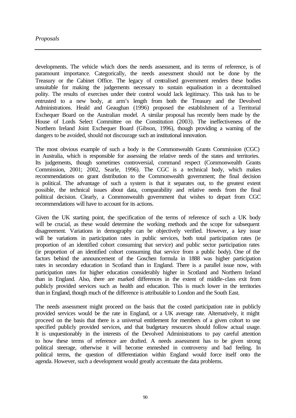developments. The vehicle which does the needs assessment, and its terms of reference, is of paramount importance. Categorically, the needs assessment should not be done by the Treasury or the Cabinet Office. The legacy of centralised government renders these bodies unsuitable for making the judgements necessary to sustain equalisation in a decentralised polity. The results of exercises under their control would lack legitimacy. This task has to be entrusted to a new body, at arm's length from both the Treasury and the Devolved Administrations. Heald and Geaughan (1996) proposed the establishment of a Territorial Exchequer Board on the Australian model. A similar proposal has recently been made by the House of Lords Select Committee on the Constitution (2003). The ineffectiveness of the Northern Ireland Joint Exchequer Board (Gibson, 1996), though providing a warning of the dangers to be avoided, should not discourage such an institutional innovation.

The most obvious example of such a body is the Commonwealth Grants Commission (CGC) in Australia, which is responsible for assessing the relative needs of the states and territories. Its judgements, though sometimes controversial, command respect (Commonwealth Grants Commission, 2001; 2002, Searle, 1996). The CGC is a technical body, which makes recommendations on grant distribution to the Commonwealth government; the final decision is political. The advantage of such a system is that it separates out, to the greatest extent possible, the technical issues about data, comparability and relative needs from the final political decision. Clearly, a Commonwealth government that wishes to depart from CGC recommendations will have to account for its actions.

Given the UK starting point, the specification of the terms of reference of such a UK body will be crucial, as these would determine the working methods and the scope for subsequent disagreement. Variations in demography can be objectively verified. However, a key issue will be variations in participation rates in public services, both total participation rates (ie proportion of an identified cohort consuming that service) and public sector participation rates (ie proportion of an identified cohort consuming that service from a public body). One of the factors behind the announcement of the Goschen formula in 1888 was higher participation rates in secondary education in Scotland than in England. There is a parallel issue now, with participation rates for higher education considerably higher in Scotland and Northern Ireland than in England. Also, there are marked differences in the extent of middle-class exit from publicly provided services such as health and education. This is much lower in the territories than in England, though much of the difference is attributable to London and the South East.

The needs assessment might proceed on the basis that the costed participation rate in publicly provided services would be the rate in England, or a UK average rate. Alternatively, it might proceed on the basis that there is a universal entitlement for members of a given cohort to use specified publicly provided services, and that budgetary resources should follow actual usage. It is unquestionably in the interests of the Devolved Administrations to pay careful attention to how these terms of reference are drafted. A needs assessment has to be given strong political steerage, otherwise it will become enmeshed in controversy and bad feeling. In political terms, the question of differentiation within England would force itself onto the agenda. However, such a development would greatly accentuate the data problems.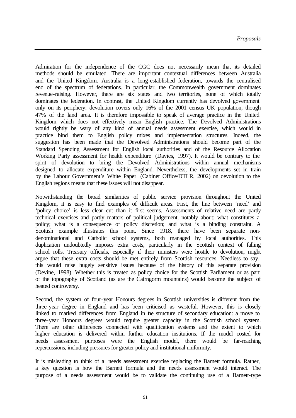Admiration for the independence of the CGC does not necessarily mean that its detailed methods should be emulated. There are important contextual differences between Australia and the United Kingdom. Australia is a long-established federation, towards the centralised end of the spectrum of federations. In particular, the Commonwealth government dominates revenue-raising. However, there are six states and two territories, none of which totally dominates the federation. In contrast, the United Kingdom currently has devolved government only on its periphery: devolution covers only 16% of the 2001 census UK population, though 47% of the land area. It is therefore impossible to speak of average practice in the United Kingdom which does not effectively mean English practice. The Devolved Administrations would rightly be wary of any kind of annual needs assessment exercise, which would in practice bind them to English policy mixes and implementation structures. Indeed, the suggestion has been made that the Devolved Administrations should become part of the Standard Spending Assessment for English local authorities and of the Resource Allocation Working Party assessment for health expenditure (Davies, 1997). It would be contrary to the spirit of devolution to bring the Devolved Administrations within annual mechanisms designed to allocate expenditure within England. Nevertheless, the developments set in train by the Labour Government's White Paper (Cabinet Office/DTLR, 2002) on devolution to the English regions means that these issues will not disappear.

Notwithstanding the broad similarities of public service provision throughout the United Kingdom, it is easy to find examples of difficult areas. First, the line between 'need' and 'policy choice' is less clear cut than it first seems. Assessments of relative need are partly technical exercises and partly matters of political judgement, notably about: what constitutes a policy; what is a consequence of policy discretion; and what is a binding constraint. A Scottish example illustrates this point. Since 1918, there have been separate nondenominational and Catholic school systems, both managed by local authorities. This duplication undoubtedly imposes extra costs, particularly in the Scottish context of falling school rolls. Treasury officials, especially if their ministers were hostile to devolution, might argue that these extra costs should be met entirely from Scottish resources. Needless to say, this would raise hugely sensitive issues because of the history of this separate provision (Devine, 1998). Whether this is treated as policy choice for the Scottish Parliament or as part of the topography of Scotland (as are the Cairngorm mountains) would become the subject of heated controversy.

Second, the system of four-year Honours degrees in Scottish universities is different from the three-year degree in England and has been criticised as wasteful. However, this is closely linked to marked differences from England in the structure of secondary education: a move to three-year Honours degrees would require greater capacity in the Scottish school system. There are other differences connected with qualification systems and the extent to which higher education is delivered within further education institutions. If the model costed for needs assessment purposes were the English model, there would be far-reaching repercussions, including pressures for greater policy and institutional uniformity.

It is misleading to think of a needs assessment exercise replacing the Barnett formula. Rather, a key question is how the Barnett formula and the needs assessment would interact. The purpose of a needs assessment would be to validate the continuing use of a Barnett-type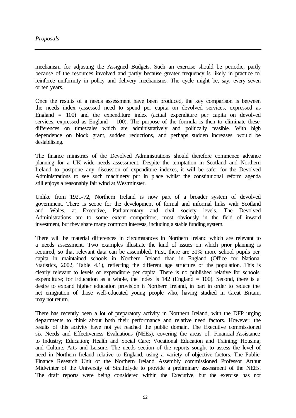mechanism for adjusting the Assigned Budgets. Such an exercise should be periodic, partly because of the resources involved and partly because greater frequency is likely in practice to reinforce uniformity in policy and delivery mechanisms. The cycle might be, say, every seven or ten years.

Once the results of a needs assessment have been produced, the key comparison is between the needs index (assessed need to spend per capita on devolved services, expressed as England = 100) and the expenditure index (actual expenditure per capita on devolved services, expressed as England  $= 100$ ). The purpose of the formula is then to eliminate these differences on timescales which are administratively and politically feasible. With high dependence on block grant, sudden reductions, and perhaps sudden increases, would be destabilising.

The finance ministries of the Devolved Administrations should therefore commence advance planning for a UK-wide needs assessment. Despite the temptation in Scotland and Northern Ireland to postpone any discussion of expenditure indexes, it will be safer for the Devolved Administrations to see such machinery put in place whilst the constitutional reform agenda still enjoys a reasonably fair wind at Westminster.

Unlike from 1921-72, Northern Ireland is now part of a broader system of devolved government. There is scope for the development of formal and informal links with Scotland and Wales, at Executive, Parliamentary and civil society levels. The Devolved Administrations are to some extent competitors, most obviously in the field of inward investment, but they share many common interests, including a stable funding system.

There will be material differences in circumstances in Northern Ireland which are relevant to a needs assessment. Two examples illustrate the kind of issues on which prior planning is required, so that relevant data can be assembled. First, there are 31% more school pupils per capita in maintained schools in Northern Ireland than in England (Office for National Statistics, 2002, Table 4.1), reflecting the different age structure of the population. This is clearly relevant to levels of expenditure per capita. There is no published relative for schools expenditure; for Education as a whole, the index is  $142$  (England  $= 100$ ). Second, there is a desire to expand higher education provision in Northern Ireland, in part in order to reduce the net emigration of those well-educated young people who, having studied in Great Britain, may not return.

There has recently been a lot of preparatory activity in Northern Ireland, with the DFP urging departments to think about both their performance and relative need factors. However, the results of this activity have not yet reached the public domain. The Executive commissioned six Needs and Effectiveness Evaluations (NEEs), covering the areas of: Financial Assistance to Industry; Education; Health and Social Care; Vocational Education and Training; Housing; and Culture, Arts and Leisure. The needs section of the reports sought to assess the level of need in Northern Ireland relative to England, using a variety of objective factors. The Public Finance Research Unit of the Northern Ireland Assembly commissioned Professor Arthur Midwinter of the University of Strathclyde to provide a preliminary assessment of the NEEs. The draft reports were being considered within the Executive, but the exercise has not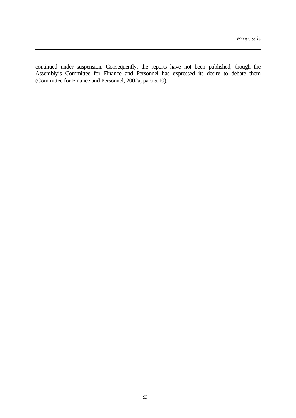continued under suspension. Consequently, the reports have not been published, though the Assembly's Committee for Finance and Personnel has expressed its desire to debate them (Committee for Finance and Personnel, 2002a, para 5.10).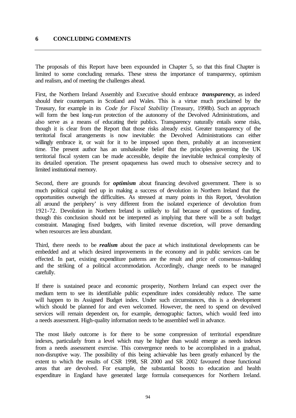# **6 CONCLUDING COMMENTS**

The proposals of this Report have been expounded in Chapter 5, so that this final Chapter is limited to some concluding remarks. These stress the importance of transparency, optimism and realism, and of meeting the challenges ahead.

First, the Northern Ireland Assembly and Executive should embrace *transparency*, as indeed should their counterparts in Scotland and Wales. This is a virtue much proclaimed by the Treasury, for example in its *Code for Fiscal Stability* (Treasury, 1998b). Such an approach will form the best long-run protection of the autonomy of the Devolved Administrations, and also serve as a means of educating their publics. Transparency naturally entails some risks, though it is clear from the Report that those risks already exist. Greater transparency of the territorial fiscal arrangements is now inevitable: the Devolved Administrations can either willingly embrace it, or wait for it to be imposed upon them, probably at an inconvenient time. The present author has an unshakeable belief that the principles governing the UK territorial fiscal system can be made accessible, despite the inevitable technical complexity of its detailed operation. The present opaqueness has owed much to obsessive secrecy and to limited institutional memory.

Second, there are grounds for *optimism* about financing devolved government. There is so much political capital tied up in making a success of devolution in Northern Ireland that the opportunities outweigh the difficulties. As stressed at many points in this Report, 'devolution all around the periphery' is very different from the isolated experience of devolution from 1921-72. Devolution in Northern Ireland is unlikely to fail because of questions of funding, though this conclusion should not be interpreted as implying that there will be a soft budget constraint. Managing fixed budgets, with limited revenue discretion, will prove demanding when resources are less abundant.

Third, there needs to be *realism* about the pace at which institutional developments can be embedded and at which desired improvements in the economy and in public services can be effected. In part, existing expenditure patterns are the result and price of consensus-building and the striking of a political accommodation. Accordingly, change needs to be managed carefully.

If there is sustained peace and economic prosperity, Northern Ireland can expect over the medium term to see its identifiable public expenditure index considerably reduce. The same will happen to its Assigned Budget index. Under such circumstances, this is a development which should be planned for and even welcomed. However, the need to spend on devolved services will remain dependent on, for example, demographic factors, which would feed into a needs assessment. High-quality information needs to be assembled well in advance.

The most likely outcome is for there to be some compression of territorial expenditure indexes, particularly from a level which may be higher than would emerge as needs indexes from a needs assessment exercise. This convergence needs to be accomplished in a gradual, non-disruptive way. The possibility of this being achievable has been greatly enhanced by the extent to which the results of CSR 1998, SR 2000 and SR 2002 favoured those functional areas that are devolved. For example, the substantial boosts to education and health expenditure in England have generated large formula consequences for Northern Ireland.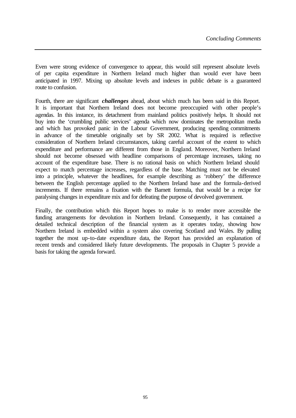Even were strong evidence of convergence to appear, this would still represent absolute levels of per capita expenditure in Northern Ireland much higher than would ever have been anticipated in 1997. Mixing up absolute levels and indexes in public debate is a guaranteed route to confusion.

Fourth, there are significant *challenges* ahead, about which much has been said in this Report. It is important that Northern Ireland does not become preoccupied with other people's agendas. In this instance, its detachment from mainland politics positively helps. It should not buy into the 'crumbling public services' agenda which now dominates the metropolitan media and which has provoked panic in the Labour Government, producing spending commitments in advance of the timetable originally set by SR 2002. What is required is reflective consideration of Northern Ireland circumstances, taking careful account of the extent to which expenditure and performance are different from those in England. Moreover, Northern Ireland should not become obsessed with headline comparisons of percentage increases, taking no account of the expenditure base. There is no rational basis on which Northern Ireland should expect to match percentage increases, regardless of the base. Matching must not be elevated into a principle, whatever the headlines, for example describing as 'robbery' the difference between the English percentage applied to the Northern Ireland base and the formula-derived increments. If there remains a fixation with the Barnett formula, that would be a recipe for paralysing changes in expenditure mix and for defeating the purpose of devolved government.

Finally, the contribution which this Report hopes to make is to render more accessible the funding arrangements for devolution in Northern Ireland. Consequently, it has contained a detailed technical description of the financial system as it operates today, showing how Northern Ireland is embedded within a system also covering Scotland and Wales. By pulling together the most up-to-date expenditure data, the Report has provided an explanation of recent trends and considered likely future developments. The proposals in Chapter 5 provide a basis for taking the agenda forward.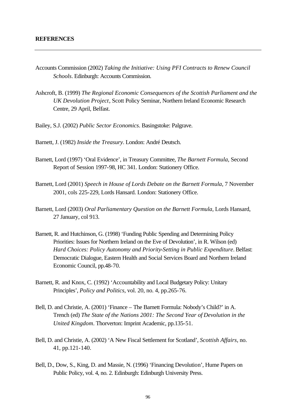- Accounts Commission (2002) *Taking the Initiative: Using PFI Contracts to Renew Council Schools*. Edinburgh: Accounts Commission.
- Ashcroft, B. (1999) *The Regional Economic Consequences of the Scottish Parliament and the UK Devolution Project*, Scott Policy Seminar, Northern Ireland Economic Research Centre, 29 April, Belfast.
- Bailey, S.J. (2002) *Public Sector Economics*. Basingstoke: Palgrave.
- Barnett, J. (1982) *Inside the Treasury*. London: André Deutsch.
- Barnett, Lord (1997) 'Oral Evidence', in Treasury Committee, *The Barnett Formula*, Second Report of Session 1997-98, HC 341. London: Stationery Office.
- Barnett, Lord (2001) *Speech in House of Lords Debate on the Barnett Formula*, 7 November 2001, cols 225-229, Lords Hansard. London: Stationery Office.
- Barnett, Lord (2003) *Oral Parliamentary Question on the Barnett Formula*, Lords Hansard, 27 January, col 913.
- Barnett, R. and Hutchinson, G. (1998) 'Funding Public Spending and Determining Policy Priorities: Issues for Northern Ireland on the Eve of Devolution', in R. Wilson (ed) *Hard Choices: Policy Autonomy and Priority-Setting in Public Expenditure*. Belfast: Democratic Dialogue, Eastern Health and Social Services Board and Northern Ireland Economic Council, pp.48-70.
- Barnett, R. and Knox, C. (1992) 'Accountability and Local Budgetary Policy: Unitary Principles', *Policy and Politics*, vol. 20, no. 4, pp.265-76.
- Bell, D. and Christie, A. (2001) 'Finance The Barnett Formula: Nobody's Child?' in A. Trench (ed) *The State of the Nations 2001: The Second Year of Devolution in the United Kingdom*. Thorverton: Imprint Academic, pp.135-51.
- Bell, D. and Christie, A. (2002) 'A New Fiscal Settlement for Scotland', *Scottish Affairs*, no. 41, pp.121-140.
- Bell, D., Dow, S., King, D. and Massie, N. (1996) 'Financing Devolution', Hume Papers on Public Policy, vol. 4, no. 2. Edinburgh: Edinburgh University Press.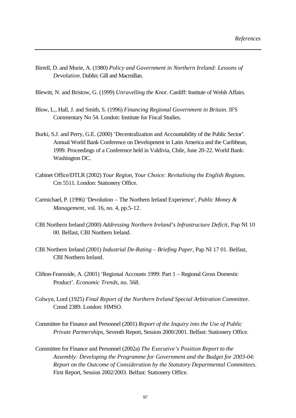- Birrell, D. and Murie, A. (1980) *Policy and Government in Northern Ireland: Lessons of Devolution*. Dublin: Gill and Macmillan.
- Blewitt, N. and Bristow, G. (1999) *Unravelling the Knot*. Cardiff: Institute of Welsh Affairs.
- Blow, L., Hall, J. and Smith, S. (1996) *Financing Regional Government in Britain*. IFS Commentary No 54. London: Institute for Fiscal Studies.
- Burki, S.J. and Perry, G.E. (2000) 'Decentralization and Accountability of the Public Sector'. Annual World Bank Conference on Development in Latin America and the Caribbean, 1999. Proceedings of a Conference held in Valdivia, Chile, June 20-22. World Bank: Washington DC.
- Cabinet Office/DTLR (2002) *Your Region, Your Choice: Revitalising the English Regions*. Cm 5511. London: Stationery Office.
- Carmichael, P. (1996) 'Devolution The Northern Ireland Experience', *Public Money & Management*, vol. 16, no. 4, pp.5-12.
- CBI Northern Ireland (2000) *Addressing Northern Ireland's Infrastructure Deficit*, Pap NI 10 00. Belfast, CBI Northern Ireland.
- CBI Northern Ireland (2001) *Industrial De-Rating Briefing Paper*, Pap NI 17 01. Belfast, CBI Northern Ireland.
- Clifton-Fearnside, A. (2001) 'Regional Accounts 1999: Part 1 Regional Gross Domestic Product'. *Economic Trends*, no. 568.
- Colwyn, Lord (1925) *Final Report of the Northern Ireland Special Arbitration Committee*. Cmnd 2389. London: HMSO.
- Committee for Finance and Personnel (2001) *Report of the Inquiry into the Use of Public Private Partnerships*, Seventh Report, Session 2000/2001. Belfast: Stationery Office.
- Committee for Finance and Personnel (2002a) *The Executive's Position Report to the Assembly: Developing the Programme for Government and the Budget for 2003-04: Report on the Outcome of Consideration by the Statutory Departmental Committees*. First Report, Session 2002/2003. Belfast: Stationery Office.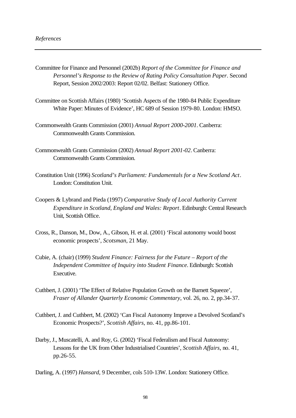- Committee for Finance and Personnel (2002b) *Report of the Committee for Finance and Personnel's Response to the Review of Rating Policy Consultation Paper*. Second Report, Session 2002/2003: Report 02/02. Belfast: Stationery Office.
- Committee on Scottish Affairs (1980) 'Scottish Aspects of the 1980-84 Public Expenditure White Paper: Minutes of Evidence', HC 689 of Session 1979-80. London: HMSO.
- Commonwealth Grants Commission (2001) *Annual Report 2000-2001*. Canberra: Commonwealth Grants Commission.
- Commonwealth Grants Commission (2002) *Annual Report 2001-02*. Canberra: Commonwealth Grants Commission.
- Constitution Unit (1996) *Scotland's Parliament: Fundamentals for a New Scotland Act*. London: Constitution Unit.
- Coopers & Lybrand and Pieda (1997) *Comparative Study of Local Authority Current Expenditure in Scotland, England and Wales: Report*. Edinburgh: Central Research Unit, Scottish Office.
- Cross, R., Danson, M., Dow, A., Gibson, H. et al. (2001) 'Fiscal autonomy would boost economic prospects', *Scotsman*, 21 May.
- Cubie, A. (chair) (1999) *Student Finance: Fairness for the Future Report of the Independent Committee of Inquiry into Student Finance*. Edinburgh: Scottish Executive.
- Cuthbert, J. (2001) 'The Effect of Relative Population Growth on the Barnett Squeeze', *Fraser of Allander Quarterly Economic Commentary*, vol. 26, no. 2, pp.34-37.
- Cuthbert, J. and Cuthbert, M. (2002) 'Can Fiscal Autonomy Improve a Devolved Scotland's Economic Prospects?', *Scottish Affairs*, no. 41, pp.86-101.
- Darby, J., Muscatelli, A. and Roy, G. (2002) 'Fiscal Federalism and Fiscal Autonomy: Lessons for the UK from Other Industrialised Countries', *Scottish Affairs*, no. 41, pp.26-55.
- Darling, A. (1997) *Hansard*, 9 December, cols 510-13W. London: Stationery Office.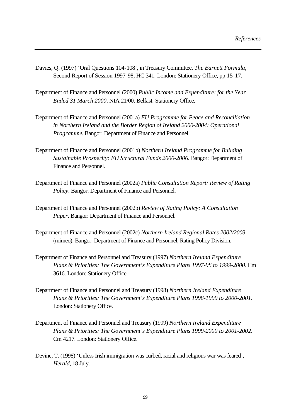- Davies, Q. (1997) 'Oral Questions 104-108', in Treasury Committee, *The Barnett Formula*, Second Report of Session 1997-98, HC 341. London: Stationery Office, pp.15-17.
- Department of Finance and Personnel (2000) *Public Income and Expenditure: for the Year Ended 31 March 2000*. NIA 21/00. Belfast: Stationery Office.
- Department of Finance and Personnel (2001a) *EU Programme for Peace and Reconciliation in Northern Ireland and the Border Region of Ireland 2000-2004: Operational Programme*. Bangor: Department of Finance and Personnel.
- Department of Finance and Personnel (2001b) *Northern Ireland Programme for Building Sustainable Prosperity: EU Structural Funds 2000-2006*. Bangor: Department of Finance and Personnel.
- Department of Finance and Personnel (2002a) *Public Consultation Report: Review of Rating Policy*. Bangor: Department of Finance and Personnel.
- Department of Finance and Personnel (2002b) *Review of Rating Policy: A Consultation Paper*. Bangor: Department of Finance and Personnel.
- Department of Finance and Personnel (2002c) *Northern Ireland Regional Rates 2002/2003* (mimeo). Bangor: Department of Finance and Personnel, Rating Policy Division.
- Department of Finance and Personnel and Treasury (1997) *Northern Ireland Expenditure Plans & Priorities: The Government's Expenditure Plans 1997-98 to 1999-2000*. Cm 3616. London: Stationery Office.
- Department of Finance and Personnel and Treasury (1998) *Northern Ireland Expenditure Plans & Priorities: The Government's Expenditure Plans 1998-1999 to 2000-2001*. London: Stationery Office.
- Department of Finance and Personnel and Treasury (1999) *Northern Ireland Expenditure Plans & Priorities: The Government's Expenditure Plans 1999-2000 to 2001-2002*. Cm 4217. London: Stationery Office.
- Devine, T. (1998) 'Unless Irish immigration was curbed, racial and religious war was feared', *Herald*, 18 July.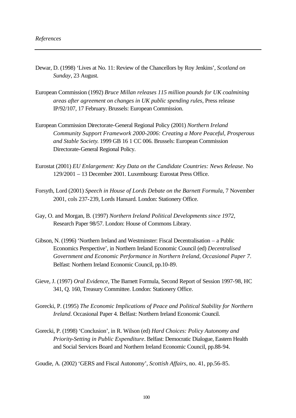- Dewar, D. (1998) 'Lives at No. 11: Review of the Chancellors by Roy Jenkins', *Scotland on Sunday*, 23 August.
- European Commission (1992) *Bruce Millan releases 115 million pounds for UK coalmining areas after agreement on changes in UK public spending rules*, Press release IP/92/107, 17 February. Brussels: European Commission.
- European Commission Directorate-General Regional Policy (2001) *Northern Ireland Community Support Framework 2000-2006: Creating a More Peaceful, Prosperous and Stable Society*. 1999 GB 16 1 CC 006. Brussels: European Commission Directorate-General Regional Policy.
- Eurostat (2001) *EU Enlargement: Key Data on the Candidate Countries: News Release*. No 129/2001 – 13 December 2001. Luxembourg: Eurostat Press Office.
- Forsyth, Lord (2001) *Speech in House of Lords Debate on the Barnett Formula*, 7 November 2001, cols 237-239, Lords Hansard. London: Stationery Office.
- Gay, O. and Morgan, B. (1997) *Northern Ireland Political Developments since 1972*, Research Paper 98/57. London: House of Commons Library.
- Gibson, N. (1996) 'Northern Ireland and Westminster: Fiscal Decentralisation a Public Economics Perspective', in Northern Ireland Economic Council (ed) *Decentralised Government and Economic Performance in Northern Ireland, Occasional Paper 7*. Belfast: Northern Ireland Economic Council, pp.10-89.
- Gieve, J. (1997) *Oral Evidence*, The Barnett Formula, Second Report of Session 1997-98, HC 341, Q. 160, Treasury Committee. London: Stationery Office.
- Gorecki, P. (1995) *The Economic Implications of Peace and Political Stability for Northern Ireland*. Occasional Paper 4. Belfast: Northern Ireland Economic Council.
- Gorecki, P. (1998) 'Conclusion', in R. Wilson (ed) *Hard Choices: Policy Autonomy and Priority-Setting in Public Expenditure*. Belfast: Democratic Dialogue, Eastern Health and Social Services Board and Northern Ireland Economic Council, pp.88-94.

Goudie, A. (2002) 'GERS and Fiscal Autonomy', *Scottish Affairs*, no. 41, pp.56-85.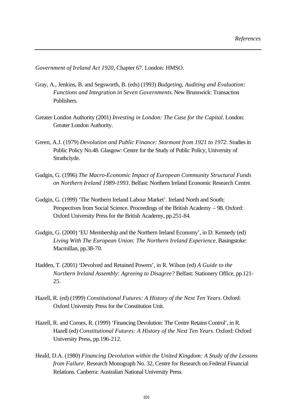*Government of Ireland Act 1920*, Chapter 67. London: HMSO.

- Gray, A., Jenkins, B. and Segsworth, B. (eds) (1993) *Budgeting, Auditing and Evaluation: Functions and Integration in Seven Governments*. New Brunswick: Transaction Publishers.
- Greater London Authority (2001) *Investing in London: The Case for the Capital*. London: Greater London Authority.
- Green, A.J. (1979) *Devolution and Public Finance: Stormont from 1921 to 1972*. Studies in Public Policy No.48. Glasgow: Centre for the Study of Public Policy, University of Strathclyde.
- Gudgin, G. (1996) *The Macro-Economic Impact of European Community Structural Funds on Northern Ireland 1989-1993*. Belfast: Northern Ireland Economic Research Centre.
- Gudgin, G. (1999) 'The Northern Ireland Labour Market'. Ireland North and South: Perspectives from Social Science. Proceedings of the British Academy – 98. Oxford: Oxford University Press for the British Academy, pp.251-84.
- Gudgin, G. (2000) 'EU Membership and the Northern Ireland Economy', in D. Kennedy (ed) *Living With The European Union: The Northern Ireland Experience*. Basingstoke: Macmillan, pp.38-70.
- Hadden, T. (2001) 'Devolved and Retained Powers', in R. Wilson (ed) *A Guide to the Northern Ireland Assembly: Agreeing to Disagree?* Belfast: Stationery Office, pp.121- 25.
- Hazell, R. (ed) (1999) *Constitutional Futures: A History of the Next Ten Years*. Oxford: Oxford University Press for the Constitution Unit.
- Hazell, R. and Cornes, R. (1999) 'Financing Devolution: The Centre Retains Control', in R. Hazell (ed) *Constitutional Futures: A History of the Next Ten Years*. Oxford: Oxford University Press, pp.196-212.
- Heald, D.A. (1980) *Financing Devolution within the United Kingdom: A Study of the Lessons from Failure*. Research Monograph No. 32, Centre for Research on Federal Financial Relations. Canberra: Australian National University Press.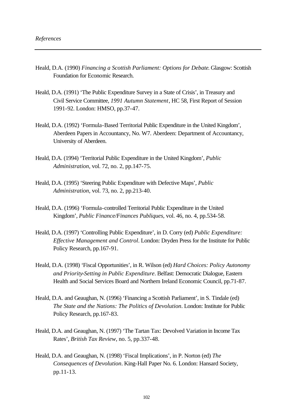- Heald, D.A. (1990) *Financing a Scottish Parliament: Options for Debate*. Glasgow: Scottish Foundation for Economic Research.
- Heald, D.A. (1991) 'The Public Expenditure Survey in a State of Crisis', in Treasury and Civil Service Committee, *1991 Autumn Statement*, HC 58, First Report of Session 1991-92. London: HMSO, pp.37-47.
- Heald, D.A. (1992) 'Formula-Based Territorial Public Expenditure in the United Kingdom', Aberdeen Papers in Accountancy, No. W7. Aberdeen: Department of Accountancy, University of Aberdeen.
- Heald, D.A. (1994) 'Territorial Public Expenditure in the United Kingdom', *Public Administration*, vol. 72, no. 2, pp.147-75.
- Heald, D.A. (1995) 'Steering Public Expenditure with Defective Maps', *Public Administration*, vol. 73, no. 2, pp.213-40.
- Heald, D.A. (1996) 'Formula-controlled Territorial Public Expenditure in the United Kingdom', *Public Finance/Finances Publiques*, vol. 46, no. 4, pp.534-58.
- Heald, D.A. (1997) 'Controlling Public Expenditure', in D. Corry (ed) *Public Expenditure: Effective Management and Control*. London: Dryden Press for the Institute for Public Policy Research, pp.167-91.
- Heald, D.A. (1998) 'Fiscal Opportunities', in R. Wilson (ed) *Hard Choices: Policy Autonomy and Priority-Setting in Public Expenditure*. Belfast: Democratic Dialogue, Eastern Health and Social Services Board and Northern Ireland Economic Council, pp.71-87.
- Heald, D.A. and Geaughan, N. (1996) 'Financing a Scottish Parliament', in S. Tindale (ed) *The State and the Nations: The Politics of Devolution*. London: Institute for Public Policy Research, pp.167-83.
- Heald, D.A. and Geaughan, N. (1997) 'The Tartan Tax: Devolved Variation in Income Tax Rates', *British Tax Review*, no. 5, pp.337-48.
- Heald, D.A. and Geaughan, N. (1998) 'Fiscal Implications', in P. Norton (ed) *The Consequences of Devolution*. King-Hall Paper No. 6. London: Hansard Society, pp.11-13.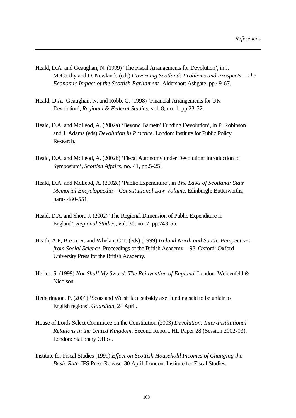- Heald, D.A. and Geaughan, N. (1999) 'The Fiscal Arrangements for Devolution', in J. McCarthy and D. Newlands (eds) *Governing Scotland: Problems and Prospects – The Economic Impact of the Scottish Parliament*. Aldershot: Ashgate, pp.49-67.
- Heald, D.A., Geaughan, N. and Robb, C. (1998) 'Financial Arrangements for UK Devolution', *Regional & Federal Studies*, vol. 8, no. 1, pp.23-52.
- Heald, D.A. and McLeod, A. (2002a) 'Beyond Barnett? Funding Devolution', in P. Robinson and J. Adams (eds) *Devolution in Practice*. London: Institute for Public Policy Research.
- Heald, D.A. and McLeod, A. (2002b) 'Fiscal Autonomy under Devolution: Introduction to Symposium', *Scottish Affairs*, no. 41, pp.5-25.
- Heald, D.A. and McLeod, A. (2002c) 'Public Expenditure', in *The Laws of Scotland: Stair Memorial Encyclopaedia – Constitutional Law Volume*. Edinburgh: Butterworths, paras 480-551.
- Heald, D.A. and Short, J. (2002) 'The Regional Dimension of Public Expenditure in England', *Regional Studies*, vol. 36, no. 7, pp.743-55.
- Heath, A.F, Breen, R. and Whelan, C.T. (eds) (1999) *Ireland North and South: Perspectives from Social Science*. Proceedings of the British Academy – 98. Oxford: Oxford University Press for the British Academy.
- Heffer, S. (1999) *Nor Shall My Sword: The Reinvention of England*. London: Weidenfeld & Nicolson.
- Hetherington, P. (2001) 'Scots and Welsh face subsidy axe: funding said to be unfair to English regions', *Guardian*, 24 April.
- House of Lords Select Committee on the Constitution (2003) *Devolution: Inter-Institutional Relations in the United Kingdom*, Second Report, HL Paper 28 (Session 2002-03). London: Stationery Office.
- Institute for Fiscal Studies (1999) *Effect on Scottish Household Incomes of Changing the Basic Rate*. IFS Press Release, 30 April. London: Institute for Fiscal Studies.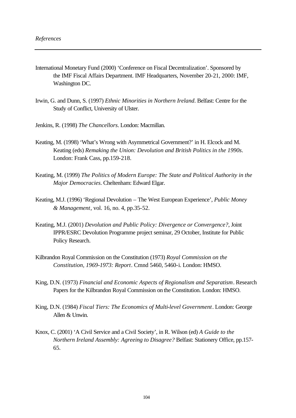- International Monetary Fund (2000) 'Conference on Fiscal Decentralization'. Sponsored by the IMF Fiscal Affairs Department. IMF Headquarters, November 20-21, 2000: IMF, Washington DC.
- Irwin, G. and Dunn, S. (1997) *Ethnic Minorities in Northern Ireland*. Belfast: Centre for the Study of Conflict, University of Ulster.
- Jenkins, R. (1998) *The Chancellors*. London: Macmillan.
- Keating, M. (1998) 'What's Wrong with Asymmetrical Government?' in H. Elcock and M. Keating (eds) *Remaking the Union: Devolution and British Politics in the 1990s*. London: Frank Cass, pp.159-218.
- Keating, M. (1999) *The Politics of Modern Europe: The State and Political Authority in the Major Democracies*. Cheltenham: Edward Elgar.
- Keating, M.J. (1996) 'Regional Devolution The West European Experience', *Public Money & Management*, vol. 16, no. 4, pp.35-52.
- Keating, M.J. (2001) *Devolution and Public Policy: Divergence or Convergence?*, Joint IPPR/ESRC Devolution Programme project seminar, 29 October, Institute for Public Policy Research.
- Kilbrandon Royal Commission on the Constitution (1973) *Royal Commission on the Constitution, 1969-1973: Report*. Cmnd 5460, 5460-i. London: HMSO.
- King, D.N. (1973) *Financial and Economic Aspects of Regionalism and Separatism*. Research Papers for the Kilbrandon Royal Commission on the Constitution. London: HMSO.
- King, D.N. (1984) *Fiscal Tiers: The Economics of Multi-level Government*. London: George Allen & Unwin.
- Knox, C. (2001) 'A Civil Service and a Civil Society', in R. Wilson (ed) *A Guide to the Northern Ireland Assembly: Agreeing to Disagree?* Belfast: Stationery Office, pp.157- 65.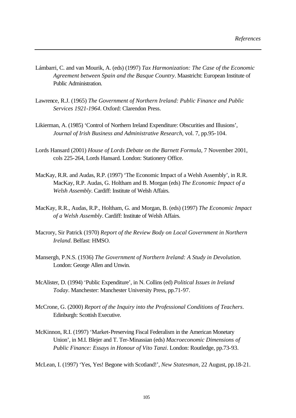- Lámbarri, C. and van Mourik, A. (eds) (1997) *Tax Harmonization: The Case of the Economic Agreement between Spain and the Basque Country*. Maastricht: European Institute of Public Administration.
- Lawrence, R.J. (1965) *The Government of Northern Ireland: Public Finance and Public Services 1921-1964*. Oxford: Clarendon Press.
- Likierman, A. (1985) 'Control of Northern Ireland Expenditure: Obscurities and Illusions', *Journal of Irish Business and Administrative Research*, vol. 7, pp.95-104.
- Lords Hansard (2001) *House of Lords Debate on the Barnett Formula*, 7 November 2001, cols 225-264, Lords Hansard. London: Stationery Office.
- MacKay, R.R. and Audas, R.P. (1997) 'The Economic Impact of a Welsh Assembly', in R.R. MacKay, R.P. Audas, G. Holtham and B. Morgan (eds) *The Economic Impact of a Welsh Assembly*. Cardiff: Institute of Welsh Affairs.
- MacKay, R.R., Audas, R.P., Holtham, G. and Morgan, B. (eds) (1997) *The Economic Impact of a Welsh Assembly*. Cardiff: Institute of Welsh Affairs.
- Macrory, Sir Patrick (1970) *Report of the Review Body on Local Government in Northern Ireland*. Belfast: HMSO.
- Mansergh, P.N.S. (1936) *The Government of Northern Ireland: A Study in Devolution*. London: George Allen and Unwin.
- McAlister, D. (1994) 'Public Expenditure', in N. Collins (ed) *Political Issues in Ireland Today*. Manchester: Manchester University Press, pp.71-97.
- McCrone, G. (2000) *Report of the Inquiry into the Professional Conditions of Teachers*. Edinburgh: Scottish Executive.
- McKinnon, R.I. (1997) 'Market-Preserving Fiscal Federalism in the American Monetary Union', in M.I. Blejer and T. Ter-Minassian (eds) *Macroeconomic Dimensions of Public Finance: Essays in Honour of Vito Tanzi*. London: Routledge, pp.73-93.

McLean, I. (1997) 'Yes, Yes! Begone with Scotland!', *New Statesman*, 22 August, pp.18-21.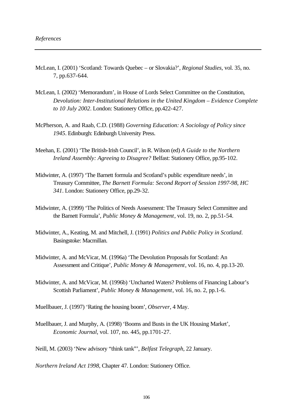- McLean, I. (2001) 'Scotland: Towards Quebec or Slovakia?', *Regional Studies*, vol. 35, no. 7, pp.637-644.
- McLean, I. (2002) 'Memorandum', in House of Lords Select Committee on the Constitution, *Devolution: Inter-Institutional Relations in the United Kingdom – Evidence Complete to 10 July 2002*. London: Stationery Office, pp.422-427.
- McPherson, A. and Raab, C.D. (1988) *Governing Education: A Sociology of Policy since 1945*. Edinburgh: Edinburgh University Press.
- Meehan, E. (2001) 'The British-Irish Council', in R. Wilson (ed) *A Guide to the Northern Ireland Assembly: Agreeing to Disagree?* Belfast: Stationery Office, pp.95-102.
- Midwinter, A. (1997) 'The Barnett formula and Scotland's public expenditure needs', in Treasury Committee, *The Barnett Formula: Second Report of Session 1997-98, HC 341*. London: Stationery Office, pp.29-32.
- Midwinter, A. (1999) 'The Politics of Needs Assessment: The Treasury Select Committee and the Barnett Formula', *Public Money & Management*, vol. 19, no. 2, pp.51-54.
- Midwinter, A., Keating, M. and Mitchell, J. (1991) *Politics and Public Policy in Scotland*. Basingstoke: Macmillan.
- Midwinter, A. and McVicar, M. (1996a) 'The Devolution Proposals for Scotland: An Assessment and Critique', *Public Money & Management*, vol. 16, no. 4, pp.13-20.
- Midwinter, A. and McVicar, M. (1996b) 'Uncharted Waters? Problems of Financing Labour's Scottish Parliament', *Public Money & Management*, vol. 16, no. 2, pp.1-6.
- Muellbauer, J. (1997) 'Rating the housing boom', *Observer*, 4 May.
- Muellbauer, J. and Murphy, A. (1998) 'Booms and Busts in the UK Housing Market', *Economic Journal*, vol. 107, no. 445, pp.1701-27.

Neill, M. (2003) 'New advisory "think tank"', *Belfast Telegraph*, 22 January.

*Northern Ireland Act 1998*, Chapter 47. London: Stationery Office.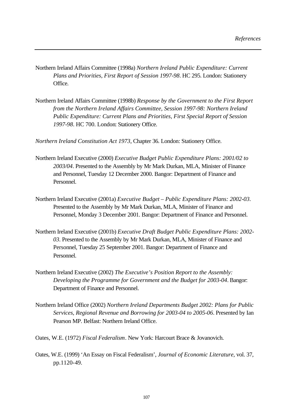- Northern Ireland Affairs Committee (1998a) *Northern Ireland Public Expenditure: Current Plans and Priorities, First Report of Session 1997-98*. HC 295. London: Stationery Office.
- Northern Ireland Affairs Committee (1998b) *Response by the Government to the First Report from the Northern Ireland Affairs Committee, Session 1997-98: Northern Ireland Public Expenditure: Current Plans and Priorities, First Special Report of Session 1997-98*. HC 700. London: Stationery Office.

*Northern Ireland Constitution Act 1973*, Chapter 36. London: Stationery Office.

- Northern Ireland Executive (2000) *Executive Budget Public Expenditure Plans: 2001/02 to 2003/04*. Presented to the Assembly by Mr Mark Durkan, MLA, Minister of Finance and Personnel, Tuesday 12 December 2000. Bangor: Department of Finance and Personnel.
- Northern Ireland Executive (2001a) *Executive Budget Public Expenditure Plans: 2002-03*. Presented to the Assembly by Mr Mark Durkan, MLA, Minister of Finance and Personnel, Monday 3 December 2001. Bangor: Department of Finance and Personnel.
- Northern Ireland Executive (2001b) *Executive Draft Budget Public Expenditure Plans: 2002- 03*. Presented to the Assembly by Mr Mark Durkan, MLA, Minister of Finance and Personnel, Tuesday 25 September 2001. Bangor: Department of Finance and Personnel.
- Northern Ireland Executive (2002) *The Executive's Position Report to the Assembly: Developing the Programme for Government and the Budget for 2003-04*. Bangor: Department of Finance and Personnel.
- Northern Ireland Office (2002) *Northern Ireland Departments Budget 2002: Plans for Public Services, Regional Revenue and Borrowing for 2003-04 to 2005-06*. Presented by Ian Pearson MP. Belfast: Northern Ireland Office.
- Oates, W.E. (1972) *Fiscal Federalism*. New York: Harcourt Brace & Jovanovich.
- Oates, W.E. (1999) 'An Essay on Fiscal Federalism', *Journal of Economic Literature*, vol. 37, pp.1120-49.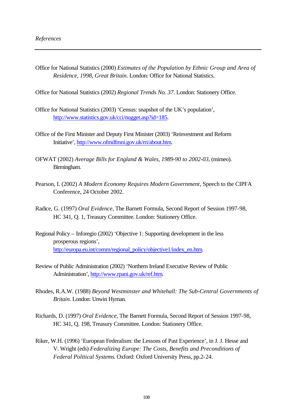Office for National Statistics (2000) *Estimates of the Population by Ethnic Group and Area of Residence, 1998, Great Britain*. London: Office for National Statistics.

Office for National Statistics (2002) *Regional Trends No. 37*. London: Stationery Office.

- Office for National Statistics (2003) 'Census: snapshot of the UK's population', http://www.statistics.gov.uk/cci/nugget.asp?id=185.
- Office of the First Minister and Deputy First Minister (2003) 'Reinvestment and Reform Initiative', http://www.ofmdfmni.gov.uk/rri/about.htm.
- OFWAT (2002) *Average Bills for England & Wales, 1989-90 to 2002-03*, (mimeo). Birmingham.
- Pearson, I. (2002) *A Modern Economy Requires Modern Government*, Speech to the CIPFA Conference, 24 October 2002.
- Radice, G. (1997) *Oral Evidence*, The Barnett Formula, Second Report of Session 1997-98, HC 341, Q. 1, Treasury Committee. London: Stationery Office.
- Regional Policy Inforegio (2002) 'Objective 1: Supporting development in the less prosperous regions', http://europa.eu.int/comm/regional\_policy/objective1/index\_en.htm.
- Review of Public Administration (2002) 'Northern Ireland Executive Review of Public Administration', http://www.rpani.gov.uk/ref.htm.
- Rhodes, R.A.W. (1988) *Beyond Westminster and Whitehall: The Sub-Central Governments of Britain*. London: Unwin Hyman.
- Richards, D. (1997) *Oral Evidence*, The Barnett Formula, Second Report of Session 1997-98, HC 341, Q. 198, Treasury Committee. London: Stationery Office.
- Riker, W.H. (1996) 'European Federalism: the Lessons of Past Experience', in J. J. Hesse and V. Wright (eds) *Federalizing Europe: The Costs, Benefits and Preconditions of Federal Political Systems*. Oxford: Oxford University Press, pp.2-24.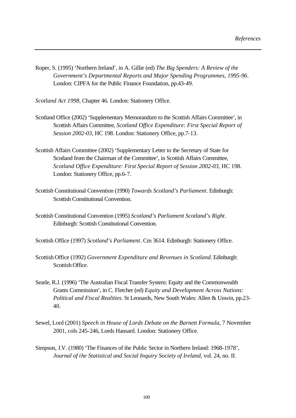Roper, S. (1995) 'Northern Ireland', in A. Gillie (ed) *The Big Spenders: A Review of the Government's Departmental Reports and Major Spending Programmes, 1995-96*. London: CIPFA for the Public Finance Foundation, pp.43-49.

*Scotland Act 1998*, Chapter 46. London: Stationery Office.

- Scotland Office (2002) 'Supplementary Memorandum to the Scottish Affairs Committee', in Scottish Affairs Committee, *Scotland Office Expenditure: First Special Report of Session 2002-03*, HC 198. London: Stationery Office, pp.7-13.
- Scottish Affairs Committee (2002) 'Supplementary Letter to the Secretary of State for Scotland from the Chairman of the Committee', in Scottish Affairs Committee, *Scotland Office Expenditure: First Special Report of Session 2002-03*, HC 198. London: Stationery Office, pp.6-7.
- Scottish Constitutional Convention (1990) *Towards Scotland's Parliament*. Edinburgh: Scottish Constitutional Convention.
- Scottish Constitutional Convention (1995) *Scotland's Parliament Scotland's Right*. Edinburgh: Scottish Constitutional Convention.
- Scottish Office (1997) *Scotland's Parliament*. Cm 3614. Edinburgh: Stationery Office.
- Scottish Office (1992) *Government Expenditure and Revenues in Scotland*. Edinburgh: Scottish Office.
- Searle, R.J. (1996) 'The Australian Fiscal Transfer System: Equity and the Commonwealth Grants Commission', in C. Fletcher (ed) *Equity and Development Across Nations: Political and Fiscal Realities*. St Leonards, New South Wales: Allen & Unwin, pp.23- 40.
- Sewel, Lord (2001) *Speech in House of Lords Debate on the Barnett Formula*, 7 November 2001, cols 245-246, Lords Hansard. London: Stationery Office.
- Simpson, J.V. (1980) 'The Finances of the Public Sector in Northern Ireland: 1968-1978', *Journal of the Statistical and Social Inquiry Society of Ireland*, vol. 24, no. II.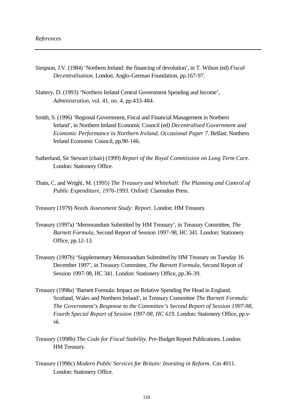- Simpson, J.V. (1984) 'Northern Ireland: the financing of devolution', in T. Wilson (ed) *Fiscal Decentralisation*. London: Anglo-German Foundation, pp.167-97.
- Slattery, D. (1993) 'Northern Ireland Central Government Spending and Income', *Administration*, vol. 41, no. 4, pp.433-484.
- Smith, S. (1996) 'Regional Government, Fiscal and Financial Management in Northern Ireland', in Northern Ireland Economic Council (ed) *Decentralised Government and Economic Performance in Northern Ireland, Occasional Paper 7*. Belfast: Northern Ireland Economic Council, pp.90-146.
- Sutherland, Sir Stewart (chair) (1999) *Report of the Royal Commission on Long Term Care*. London: Stationery Office.
- Thain, C. and Wright, M. (1995) *The Treasury and Whitehall: The Planning and Control of Public Expenditure, 1976-1993*. Oxford: Clarendon Press.

Treasury (1979) *Needs Assessment Study: Report*. London: HM Treasury.

- Treasury (1997a) 'Memorandum Submitted by HM Treasury', in Treasury Committee, *The Barnett Formula*, Second Report of Session 1997-98, HC 341. London: Stationery Office, pp.12-13.
- Treasury (1997b) 'Supplementary Memorandum Submitted by HM Treasury on Tuesday 16 December 1997', in Treasury Committee, *The Barnett Formula*, Second Report of Session 1997-98, HC 341. London: Stationery Office, pp.36-39.
- Treasury (1998a) 'Barnett Formula: Impact on Relative Spending Per Head in England, Scotland, Wales and Northern Ireland', in Treasury Committee *The Barnett Formula: The Government's Response to the Committee's Second Report of Session 1997-98, Fourth Special Report of Session 1997-98, HC 619*. London: Stationery Office, pp.vvii.
- Treasury (1998b) *The Code for Fiscal Stability*. Pre-Budget Report Publications. London: HM Treasury.
- Treasury (1998c) *Modern Public Services for Britain: Investing in Reform*. Cm 4011. London: Stationery Office.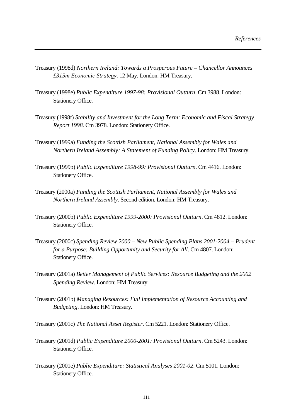- Treasury (1998d) *Northern Ireland: Towards a Prosperous Future Chancellor Announces £315m Economic Strategy*. 12 May. London: HM Treasury.
- Treasury (1998e) *Public Expenditure 1997-98: Provisional Outturn*. Cm 3988. London: Stationery Office.
- Treasury (1998f) *Stability and Investment for the Long Term: Economic and Fiscal Strategy Report 1998*. Cm 3978. London: Stationery Office.
- Treasury (1999a) *Funding the Scottish Parliament, National Assembly for Wales and Northern Ireland Assembly: A Statement of Funding Policy*. London: HM Treasury.
- Treasury (1999b) *Public Expenditure 1998-99: Provisional Outturn*. Cm 4416. London: Stationery Office.
- Treasury (2000a) *Funding the Scottish Parliament, National Assembly for Wales and Northern Ireland Assembly*. Second edition. London: HM Treasury.
- Treasury (2000b) *Public Expenditure 1999-2000: Provisional Outturn*. Cm 4812. London: Stationery Office.
- Treasury (2000c) *Spending Review 2000 New Public Spending Plans 2001-2004 Prudent for a Purpose: Building Opportunity and Security for All*. Cm 4807. London: Stationery Office.
- Treasury (2001a) *Better Management of Public Services: Resource Budgeting and the 2002 Spending Review*. London: HM Treasury.
- Treasury (2001b) *Managing Resources: Full Implementation of Resource Accounting and Budgeting*. London: HM Treasury.
- Treasury (2001c) *The National Asset Register*. Cm 5221. London: Stationery Office.
- Treasury (2001d) *Public Expenditure 2000-2001: Provisional Outturn*. Cm 5243. London: Stationery Office.
- Treasury (2001e) *Public Expenditure: Statistical Analyses 2001-02*. Cm 5101. London: Stationery Office.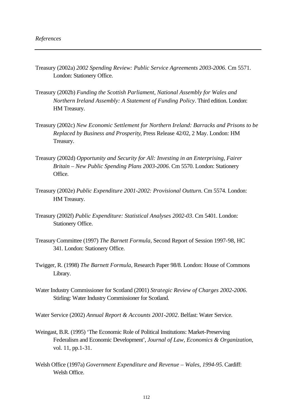- Treasury (2002a) *2002 Spending Review: Public Service Agreements 2003-2006*. Cm 5571. London: Stationery Office.
- Treasury (2002b) *Funding the Scottish Parliament, National Assembly for Wales and Northern Ireland Assembly: A Statement of Funding Policy*. Third edition. London: HM Treasury.
- Treasury (2002c) *New Economic Settlement for Northern Ireland: Barracks and Prisons to be Replaced by Business and Prosperity*, Press Release 42/02, 2 May. London: HM Treasury.
- Treasury (2002d) *Opportunity and Security for All: Investing in an Enterprising, Fairer Britain – New Public Spending Plans 2003-2006*. Cm 5570. London: Stationery Office.
- Treasury (2002e) *Public Expenditure 2001-2002: Provisional Outturn*. Cm 5574. London: HM Treasury.
- Treasury (2002f) *Public Expenditure: Statistical Analyses 2002-03*. Cm 5401. London: Stationery Office.
- TreasuryCommittee (1997) *The Barnett Formula*, Second Report of Session 1997-98, HC 341. London: Stationery Office.
- Twigger, R. (1998) *The Barnett Formula*, Research Paper 98/8. London: House of Commons Library.
- Water Industry Commissioner for Scotland (2001) *Strategic Review of Charges 2002-2006*. Stirling: Water Industry Commissioner for Scotland.
- Water Service (2002) *Annual Report & Accounts 2001-2002*. Belfast: Water Service.
- Weingast, B.R. (1995) 'The Economic Role of Political Institutions: Market-Preserving Federalism and Economic Development', *Journal of Law, Economics & Organization*, vol. 11, pp.1-31.
- Welsh Office (1997a) *Government Expenditure and Revenue Wales, 1994-95*. Cardiff: Welsh Office.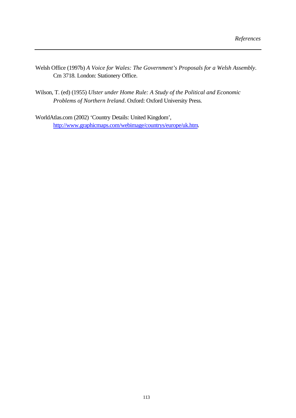- Welsh Office (1997b) *A Voice for Wales: The Government's Proposals for a Welsh Assembly*. Cm 3718. London: Stationery Office.
- Wilson, T. (ed) (1955) *Ulster under Home Rule: A Study of the Political and Economic Problems of Northern Ireland*. Oxford: Oxford University Press.
- WorldAtlas.com (2002) 'Country Details: United Kingdom', http://www.graphicmaps.com/webimage/countrys/europe/uk.htm.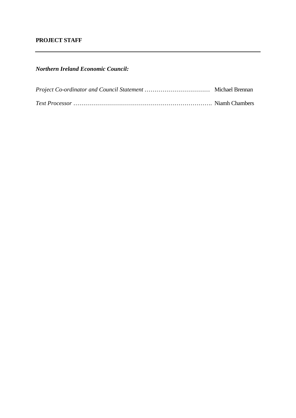# **PROJECT STAFF**

*Northern Ireland Economic Council:*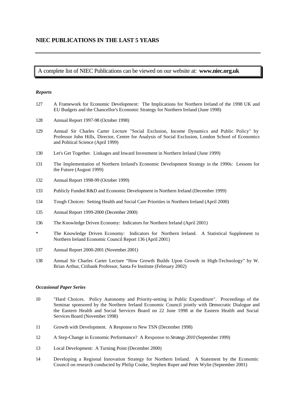## A complete list of NIEC Publications can be viewed on our website at: **www.niec.org.uk**

### *Reports*

- 127 A Framework for Economic Development: The Implications for Northern Ireland of the 1998 UK and EU Budgets and the Chancellor's Economic Strategy for Northern Ireland (June 1998)
- 128 Annual Report 1997-98 (October 1998)
- 129 Annual Sir Charles Carter Lecture "Social Exclusion, Income Dynamics and Public Policy" by Professor John Hills, Director, Centre for Analysis of Social Exclusion, London School of Economics and Political Science (April 1999)
- 130 Let's Get Together. Linkages and Inward Investment in Northern Ireland (June 1999)
- 131 The Implementation of Northern Ireland's Economic Development Strategy in the 1990s: Lessons for the Future (August 1999)
- 132 Annual Report 1998-99 (October 1999)
- 133 Publicly Funded R&D and Economic Development in Northern Ireland (December 1999)
- 134 Tough Choices: Setting Health and Social Care Priorities in Northern Ireland (April 2000)
- 135 Annual Report 1999-2000 (December 2000)
- 136 The Knowledge Driven Economy: Indicators for Northern Ireland (April 2001)
- The Knowledge Driven Economy: Indicators for Northern Ireland. A Statistical Supplement to Northern Ireland Economic Council Report 136 (April 2001)
- 137 Annual Report 2000-2001 (November 2001)
- 138 Annual Sir Charles Carter Lecture "How Growth Builds Upon Growth in High-Technology" by W. Brian Arthur, Citibank Professor, Santa Fe Institute (February 2002)

#### *Occasional Paper Series*

- 10 "Hard Choices. Policy Autonomy and Priority-setting in Public Expenditure". Proceedings of the Seminar sponsored by the Northern Ireland Economic Council jointly with Democratic Dialogue and the Eastern Health and Social Services Board on 22 June 1998 at the Eastern Health and Social Services Board (November 1998)
- 11 Growth with Development. A Response to New TSN (December 1998)
- 12 A Step-Change in Economic Performance? A Response to *Strategy 2010* (September 1999)
- 13 Local Development: A Turning Point (December 2000)
- 14 Developing a Regional Innovation Strategy for Northern Ireland. A Statement by the Economic Council on research conducted by Philip Cooke, Stephen Roper and Peter Wylie (September 2001)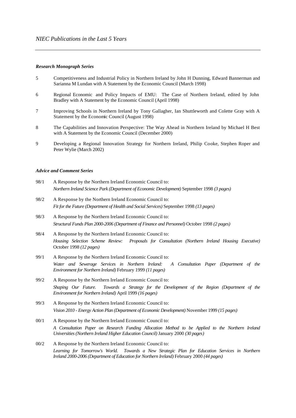#### *Research Monograph Series*

- 5 Competitiveness and Industrial Policy in Northern Ireland by John H Dunning, Edward Bannerman and Sarianna M Lundan with A Statement by the Economic Council (March 1998)
- 6 Regional Economic and Policy Impacts of EMU: The Case of Northern Ireland, edited by John Bradley with A Statement by the Economic Council (April 1998)
- 7 Improving Schools in Northern Ireland by Tony Gallagher, Ian Shuttleworth and Colette Gray with A Statement by the Economic Council (August 1998)
- 8 The Capabilities and Innovation Perspective: The Way Ahead in Northern Ireland by Michael H Best with A Statement by the Economic Council (December 2000)
- 9 Developing a Regional Innovation Strategy for Northern Ireland, Philip Cooke, Stephen Roper and Peter Wylie (March 2002)

## *Advice and Comment Series*

- 98/1 A Response by the Northern Ireland Economic Council to: *Northern Ireland Science Park (Department of Economic Development)* September 1998 *(3 pages)*
- 98/2 A Response by the Northern Ireland Economic Council to: *Fit for the Future (Department of Health and Social Services)* September 1998 *(13 pages)*
- 98/3 A Response by the Northern Ireland Economic Council to: *Structural Funds Plan 2000-2006 (Department of Finance and Personnel)* October 1998 *(2 pages)*
- 98/4 A Response by the Northern Ireland Economic Council to: *Housing Selection Scheme Review: Proposals for Consultation (Northern Ireland Housing Executive)* October 1998 *(12 pages)*
- 99/1 A Response by the Northern Ireland Economic Council to: *Water and Sewerage Services in Northern Ireland: A Consultation Paper (Department of the Environment for Northern Ireland)* February 1999 *(11 pages)*
- 99/2 A Response by the Northern Ireland Economic Council to: *Shaping Our Future. Towards a Strategy for the Development of the Region (Department of the Environment for Northern Ireland)* April 1999 *(16 pages)*
- 99/3 A Response by the Northern Ireland Economic Council to: *Vision 2010 - Energy Action Plan (Department of Economic Development)* November 1999 *(15 pages)*
- 00/1 A Response by the Northern Ireland Economic Council to: *A Consultation Paper on Research Funding Allocation Method to be Applied to the Northern Ireland Universities (Northern Ireland Higher Education Council)* January 2000 *(30 pages)*
- 00/2 A Response by the Northern Ireland Economic Council to: *Learning for Tomorrow's World. Towards a New Strategic Plan for Education Services in Northern Ireland 2000-2006 (Department of Education for Northern Ireland)* February 2000 *(44 pages)*